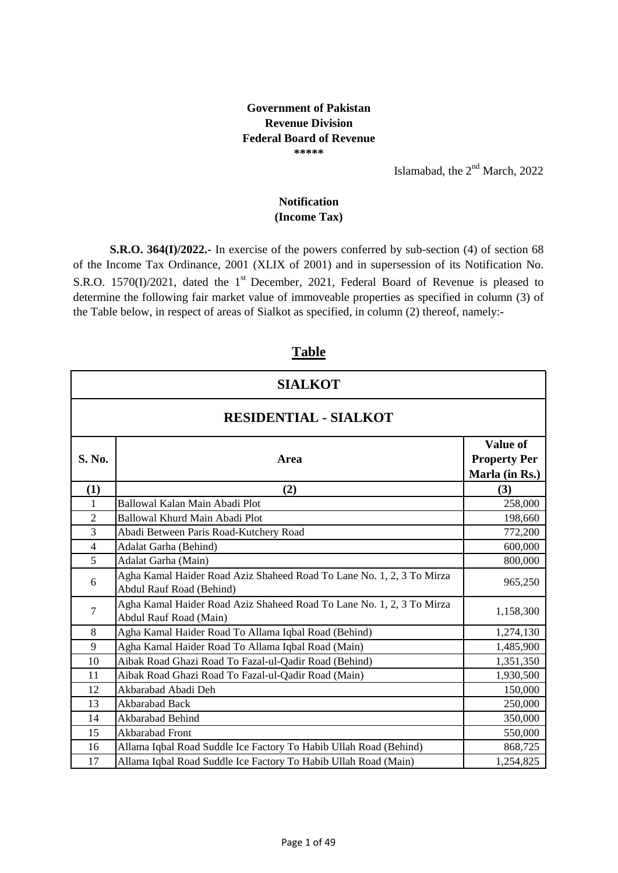#### **Government of Pakistan Revenue Division Federal Board of Revenue \*\*\*\*\***

Islamabad, the 2<sup>nd</sup> March, 2022

#### **(Income Tax) Notification**

**S.R.O. 364(I)/2022.-** In exercise of the powers conferred by sub-section (4) of section 68 of the Income Tax Ordinance, 2001 (XLIX of 2001) and in supersession of its Notification No. S.R.O. 1570(I)/2021, dated the 1<sup>st</sup> December, 2021, Federal Board of Revenue is pleased to determine the following fair market value of immoveable properties as specified in column (3) of the Table below, in respect of areas of Sialkot as specified, in column (2) thereof, namely:-

### **Table**

| <b>SIALKOT</b>               |                                                                                                   |                                                   |
|------------------------------|---------------------------------------------------------------------------------------------------|---------------------------------------------------|
| <b>RESIDENTIAL - SIALKOT</b> |                                                                                                   |                                                   |
| S. No.                       | Area                                                                                              | Value of<br><b>Property Per</b><br>Marla (in Rs.) |
| (1)                          | (2)                                                                                               | (3)                                               |
| 1                            | Ballowal Kalan Main Abadi Plot                                                                    | 258,000                                           |
| $\overline{2}$               | Ballowal Khurd Main Abadi Plot                                                                    | 198,660                                           |
| 3                            | Abadi Between Paris Road-Kutchery Road                                                            | 772,200                                           |
| $\overline{4}$               | Adalat Garha (Behind)                                                                             | 600,000                                           |
| 5                            | Adalat Garha (Main)                                                                               | 800,000                                           |
| 6                            | Agha Kamal Haider Road Aziz Shaheed Road To Lane No. 1, 2, 3 To Mirza<br>Abdul Rauf Road (Behind) | 965,250                                           |
| $\tau$                       | Agha Kamal Haider Road Aziz Shaheed Road To Lane No. 1, 2, 3 To Mirza<br>Abdul Rauf Road (Main)   | 1,158,300                                         |
| 8                            | Agha Kamal Haider Road To Allama Iqbal Road (Behind)                                              | 1,274,130                                         |
| 9                            | Agha Kamal Haider Road To Allama Iqbal Road (Main)                                                | 1,485,900                                         |
| 10                           | Aibak Road Ghazi Road To Fazal-ul-Qadir Road (Behind)                                             | 1,351,350                                         |
| 11                           | Aibak Road Ghazi Road To Fazal-ul-Qadir Road (Main)                                               | 1,930,500                                         |
| 12                           | Akbarabad Abadi Deh                                                                               | 150,000                                           |
| 13                           | Akbarabad Back                                                                                    | 250,000                                           |
| 14                           | Akbarabad Behind                                                                                  | 350,000                                           |
| 15                           | Akbarabad Front                                                                                   | 550,000                                           |
| 16                           | Allama Iqbal Road Suddle Ice Factory To Habib Ullah Road (Behind)                                 | 868,725                                           |
| 17                           | Allama Iqbal Road Suddle Ice Factory To Habib Ullah Road (Main)                                   | 1,254,825                                         |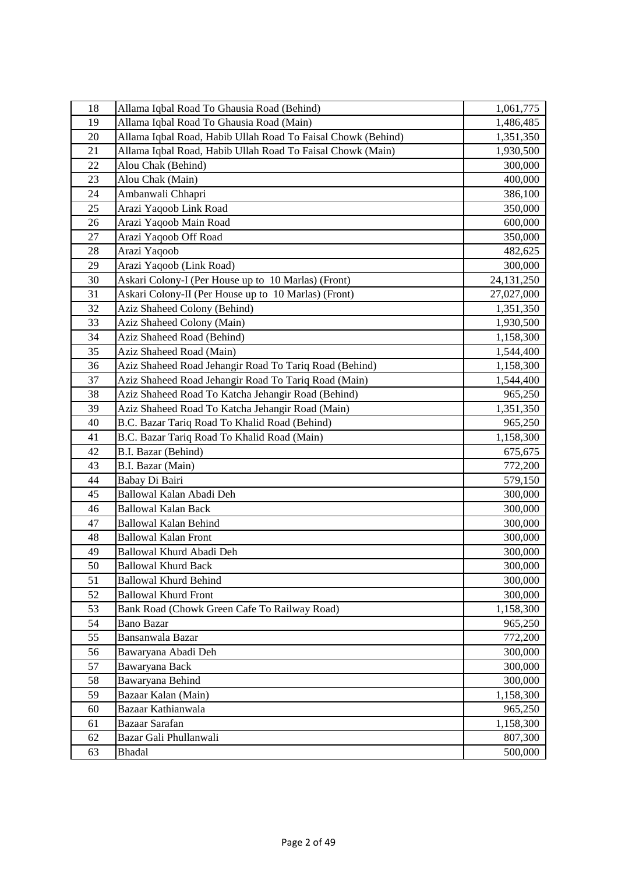| 18 | Allama Iqbal Road To Ghausia Road (Behind)                   | 1,061,775    |
|----|--------------------------------------------------------------|--------------|
| 19 | Allama Iqbal Road To Ghausia Road (Main)                     | 1,486,485    |
| 20 | Allama Iqbal Road, Habib Ullah Road To Faisal Chowk (Behind) | 1,351,350    |
| 21 | Allama Iqbal Road, Habib Ullah Road To Faisal Chowk (Main)   | 1,930,500    |
| 22 | Alou Chak (Behind)                                           | 300,000      |
| 23 | Alou Chak (Main)                                             | 400,000      |
| 24 | Ambanwali Chhapri                                            | 386,100      |
| 25 | Arazi Yaqoob Link Road                                       | 350,000      |
| 26 | Arazi Yaqoob Main Road                                       | 600,000      |
| 27 | Arazi Yaqoob Off Road                                        | 350,000      |
| 28 | Arazi Yaqoob                                                 | 482,625      |
| 29 | Arazi Yaqoob (Link Road)                                     | 300,000      |
| 30 | Askari Colony-I (Per House up to 10 Marlas) (Front)          | 24, 131, 250 |
| 31 | Askari Colony-II (Per House up to 10 Marlas) (Front)         | 27,027,000   |
| 32 | Aziz Shaheed Colony (Behind)                                 | 1,351,350    |
| 33 | Aziz Shaheed Colony (Main)                                   | 1,930,500    |
| 34 | Aziz Shaheed Road (Behind)                                   | 1,158,300    |
| 35 | Aziz Shaheed Road (Main)                                     | 1,544,400    |
| 36 | Aziz Shaheed Road Jehangir Road To Tariq Road (Behind)       | 1,158,300    |
| 37 | Aziz Shaheed Road Jehangir Road To Tariq Road (Main)         | 1,544,400    |
| 38 | Aziz Shaheed Road To Katcha Jehangir Road (Behind)           | 965,250      |
| 39 | Aziz Shaheed Road To Katcha Jehangir Road (Main)             | 1,351,350    |
| 40 | B.C. Bazar Tariq Road To Khalid Road (Behind)                | 965,250      |
| 41 | B.C. Bazar Tariq Road To Khalid Road (Main)                  | 1,158,300    |
| 42 | B.I. Bazar (Behind)                                          | 675,675      |
| 43 | B.I. Bazar (Main)                                            | 772,200      |
| 44 | Babay Di Bairi                                               | 579,150      |
| 45 | Ballowal Kalan Abadi Deh                                     | 300,000      |
| 46 | <b>Ballowal Kalan Back</b>                                   | 300,000      |
| 47 | <b>Ballowal Kalan Behind</b>                                 | 300,000      |
| 48 | <b>Ballowal Kalan Front</b>                                  | 300,000      |
| 49 | Ballowal Khurd Abadi Deh                                     | 300,000      |
| 50 | <b>Ballowal Khurd Back</b>                                   | 300,000      |
| 51 | <b>Ballowal Khurd Behind</b>                                 | 300,000      |
| 52 | <b>Ballowal Khurd Front</b>                                  | 300,000      |
| 53 | Bank Road (Chowk Green Cafe To Railway Road)                 | 1,158,300    |
| 54 | <b>Bano Bazar</b>                                            | 965,250      |
| 55 | Bansanwala Bazar                                             | 772,200      |
| 56 | Bawaryana Abadi Deh                                          | 300,000      |
| 57 | Bawaryana Back                                               | 300,000      |
| 58 | Bawaryana Behind                                             | 300,000      |
| 59 | Bazaar Kalan (Main)                                          | 1,158,300    |
| 60 | Bazaar Kathianwala                                           | 965,250      |
| 61 | Bazaar Sarafan                                               | 1,158,300    |
| 62 | Bazar Gali Phullanwali                                       | 807,300      |
| 63 | <b>Bhadal</b>                                                | 500,000      |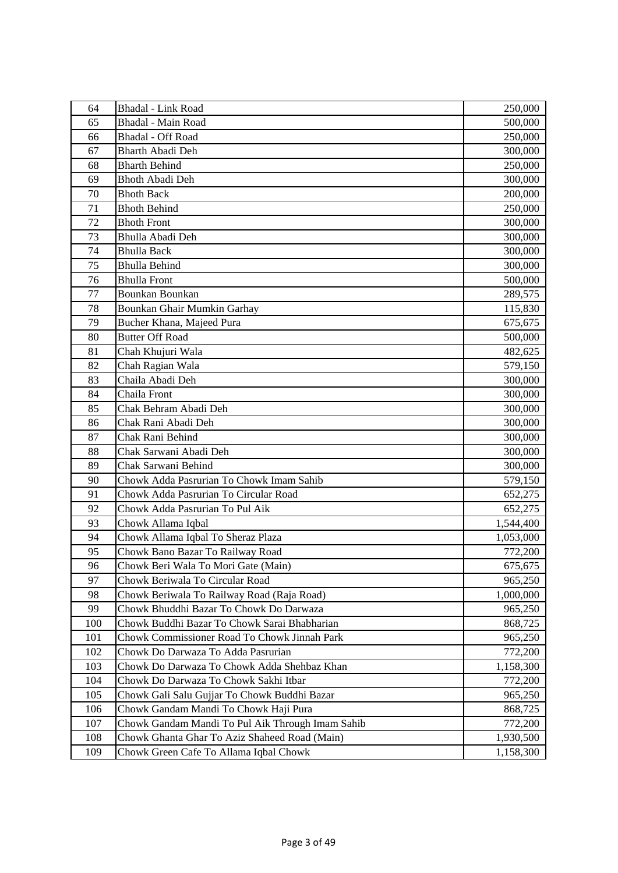| 64  | <b>Bhadal</b> - Link Road                        | 250,000   |
|-----|--------------------------------------------------|-----------|
| 65  | <b>Bhadal</b> - Main Road                        | 500,000   |
| 66  | <b>Bhadal</b> - Off Road                         | 250,000   |
| 67  | <b>Bharth Abadi Deh</b>                          | 300,000   |
| 68  | <b>Bharth Behind</b>                             | 250,000   |
| 69  | <b>Bhoth Abadi Deh</b>                           | 300,000   |
| 70  | <b>Bhoth Back</b>                                | 200,000   |
| 71  | <b>Bhoth Behind</b>                              | 250,000   |
| 72  | <b>Bhoth Front</b>                               | 300,000   |
| 73  | Bhulla Abadi Deh                                 | 300,000   |
| 74  | <b>Bhulla Back</b>                               | 300,000   |
| 75  | <b>Bhulla Behind</b>                             | 300,000   |
| 76  | <b>Bhulla Front</b>                              | 500,000   |
| 77  | <b>Bounkan Bounkan</b>                           | 289,575   |
| 78  | Bounkan Ghair Mumkin Garhay                      | 115,830   |
| 79  | Bucher Khana, Majeed Pura                        | 675,675   |
| 80  | <b>Butter Off Road</b>                           | 500,000   |
| 81  | Chah Khujuri Wala                                | 482,625   |
| 82  | Chah Ragian Wala                                 | 579,150   |
| 83  | Chaila Abadi Deh                                 | 300,000   |
| 84  | Chaila Front                                     | 300,000   |
| 85  | Chak Behram Abadi Deh                            | 300,000   |
| 86  | Chak Rani Abadi Deh                              | 300,000   |
| 87  | Chak Rani Behind                                 | 300,000   |
| 88  | Chak Sarwani Abadi Deh                           | 300,000   |
| 89  | Chak Sarwani Behind                              | 300,000   |
| 90  | Chowk Adda Pasrurian To Chowk Imam Sahib         | 579,150   |
| 91  | Chowk Adda Pasrurian To Circular Road            | 652,275   |
| 92  | Chowk Adda Pasrurian To Pul Aik                  | 652,275   |
| 93  | Chowk Allama Iqbal                               | 1,544,400 |
| 94  | Chowk Allama Iqbal To Sheraz Plaza               | 1,053,000 |
| 95  | Chowk Bano Bazar To Railway Road                 | 772,200   |
| 96  | Chowk Beri Wala To Mori Gate (Main)              | 675,675   |
| 97  | Chowk Beriwala To Circular Road                  | 965,250   |
| 98  | Chowk Beriwala To Railway Road (Raja Road)       | 1,000,000 |
| 99  | Chowk Bhuddhi Bazar To Chowk Do Darwaza          | 965,250   |
| 100 | Chowk Buddhi Bazar To Chowk Sarai Bhabharian     | 868,725   |
| 101 | Chowk Commissioner Road To Chowk Jinnah Park     | 965,250   |
| 102 | Chowk Do Darwaza To Adda Pasrurian               | 772,200   |
| 103 | Chowk Do Darwaza To Chowk Adda Shehbaz Khan      | 1,158,300 |
| 104 | Chowk Do Darwaza To Chowk Sakhi Itbar            | 772,200   |
| 105 | Chowk Gali Salu Gujjar To Chowk Buddhi Bazar     | 965,250   |
| 106 | Chowk Gandam Mandi To Chowk Haji Pura            | 868,725   |
| 107 | Chowk Gandam Mandi To Pul Aik Through Imam Sahib | 772,200   |
| 108 | Chowk Ghanta Ghar To Aziz Shaheed Road (Main)    | 1,930,500 |
| 109 | Chowk Green Cafe To Allama Iqbal Chowk           | 1,158,300 |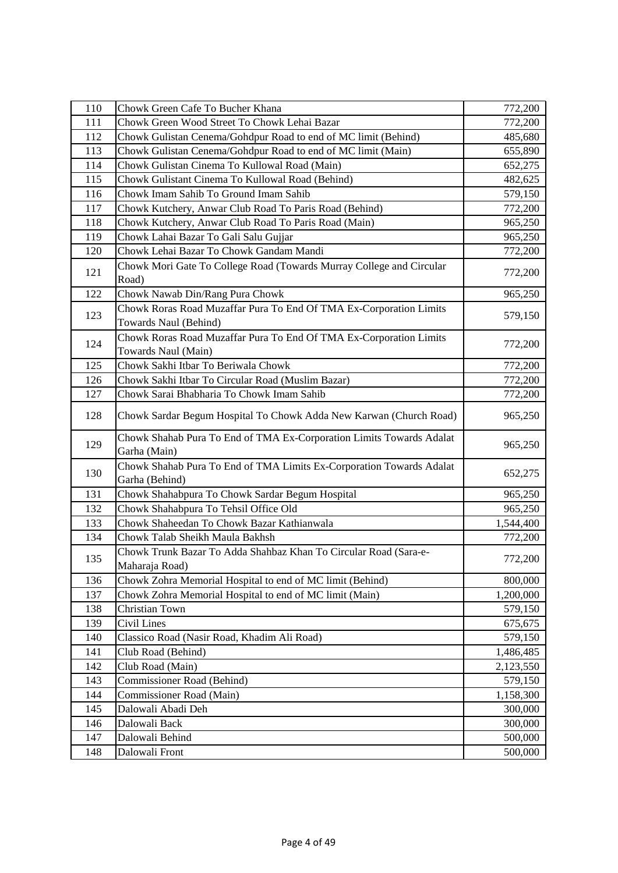| 110 | Chowk Green Cafe To Bucher Khana                                                            | 772,200   |
|-----|---------------------------------------------------------------------------------------------|-----------|
| 111 | Chowk Green Wood Street To Chowk Lehai Bazar                                                | 772,200   |
| 112 | Chowk Gulistan Cenema/Gohdpur Road to end of MC limit (Behind)                              | 485,680   |
| 113 | Chowk Gulistan Cenema/Gohdpur Road to end of MC limit (Main)                                | 655,890   |
| 114 | Chowk Gulistan Cinema To Kullowal Road (Main)                                               | 652,275   |
| 115 | Chowk Gulistant Cinema To Kullowal Road (Behind)                                            | 482,625   |
| 116 | Chowk Imam Sahib To Ground Imam Sahib                                                       | 579,150   |
| 117 | Chowk Kutchery, Anwar Club Road To Paris Road (Behind)                                      | 772,200   |
| 118 | Chowk Kutchery, Anwar Club Road To Paris Road (Main)                                        | 965,250   |
| 119 | Chowk Lahai Bazar To Gali Salu Gujjar                                                       | 965,250   |
| 120 | Chowk Lehai Bazar To Chowk Gandam Mandi                                                     | 772,200   |
| 121 | Chowk Mori Gate To College Road (Towards Murray College and Circular<br>Road)               | 772,200   |
| 122 | Chowk Nawab Din/Rang Pura Chowk                                                             | 965,250   |
| 123 | Chowk Roras Road Muzaffar Pura To End Of TMA Ex-Corporation Limits<br>Towards Naul (Behind) | 579,150   |
| 124 | Chowk Roras Road Muzaffar Pura To End Of TMA Ex-Corporation Limits<br>Towards Naul (Main)   | 772,200   |
| 125 | Chowk Sakhi Itbar To Beriwala Chowk                                                         | 772,200   |
| 126 | Chowk Sakhi Itbar To Circular Road (Muslim Bazar)                                           | 772,200   |
| 127 | Chowk Sarai Bhabharia To Chowk Imam Sahib                                                   | 772,200   |
| 128 | Chowk Sardar Begum Hospital To Chowk Adda New Karwan (Church Road)                          | 965,250   |
| 129 | Chowk Shahab Pura To End of TMA Ex-Corporation Limits Towards Adalat<br>Garha (Main)        | 965,250   |
| 130 | Chowk Shahab Pura To End of TMA Limits Ex-Corporation Towards Adalat<br>Garha (Behind)      | 652,275   |
| 131 | Chowk Shahabpura To Chowk Sardar Begum Hospital                                             | 965,250   |
| 132 | Chowk Shahabpura To Tehsil Office Old                                                       |           |
| 133 | Chowk Shaheedan To Chowk Bazar Kathianwala                                                  | 965,250   |
|     |                                                                                             | 1,544,400 |
| 134 | Chowk Talab Sheikh Maula Bakhsh                                                             | 772,200   |
| 135 | Chowk Trunk Bazar To Adda Shahbaz Khan To Circular Road (Sara-e-<br>Maharaja Road)          | 772,200   |
| 136 | Chowk Zohra Memorial Hospital to end of MC limit (Behind)                                   | 800,000   |
| 137 | Chowk Zohra Memorial Hospital to end of MC limit (Main)                                     | 1,200,000 |
| 138 | Christian Town                                                                              | 579,150   |
| 139 | Civil Lines                                                                                 | 675,675   |
| 140 | Classico Road (Nasir Road, Khadim Ali Road)                                                 | 579,150   |
| 141 | Club Road (Behind)                                                                          | 1,486,485 |
| 142 | Club Road (Main)                                                                            | 2,123,550 |
| 143 | Commissioner Road (Behind)                                                                  | 579,150   |
| 144 | Commissioner Road (Main)                                                                    | 1,158,300 |
| 145 | Dalowali Abadi Deh                                                                          | 300,000   |
| 146 | Dalowali Back                                                                               | 300,000   |
| 147 | Dalowali Behind<br>Dalowali Front                                                           | 500,000   |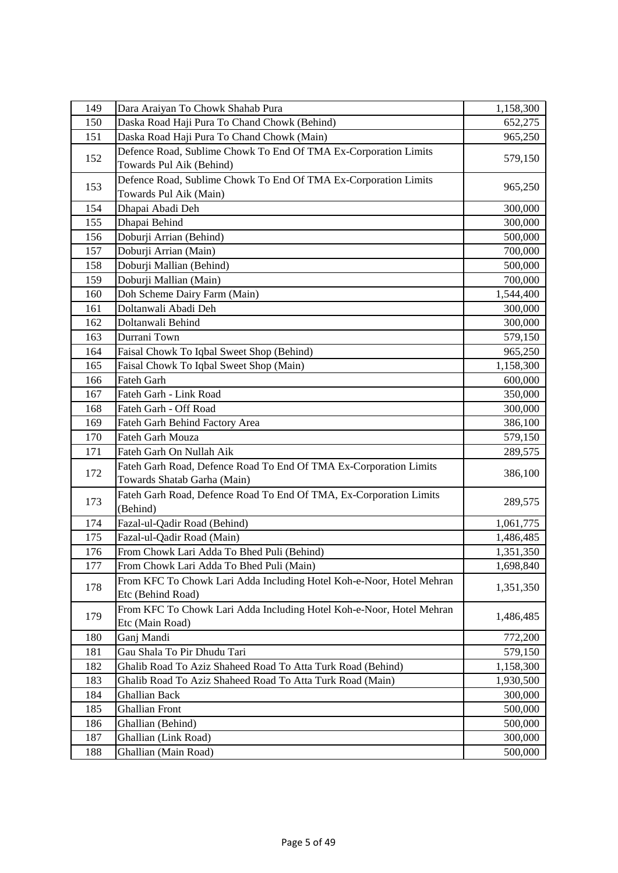| 149 | Dara Araiyan To Chowk Shahab Pura                                    | 1,158,300 |
|-----|----------------------------------------------------------------------|-----------|
| 150 | Daska Road Haji Pura To Chand Chowk (Behind)                         | 652,275   |
| 151 | Daska Road Haji Pura To Chand Chowk (Main)                           | 965,250   |
|     | Defence Road, Sublime Chowk To End Of TMA Ex-Corporation Limits      |           |
| 152 | Towards Pul Aik (Behind)                                             | 579,150   |
|     | Defence Road, Sublime Chowk To End Of TMA Ex-Corporation Limits      |           |
| 153 | Towards Pul Aik (Main)                                               | 965,250   |
| 154 | Dhapai Abadi Deh                                                     | 300,000   |
| 155 | Dhapai Behind                                                        | 300,000   |
| 156 | Doburji Arrian (Behind)                                              | 500,000   |
| 157 | Doburji Arrian (Main)                                                | 700,000   |
| 158 | Doburji Mallian (Behind)                                             | 500,000   |
| 159 | Doburji Mallian (Main)                                               | 700,000   |
| 160 | Doh Scheme Dairy Farm (Main)                                         | 1,544,400 |
| 161 | Doltanwali Abadi Deh                                                 | 300,000   |
| 162 | Doltanwali Behind                                                    | 300,000   |
| 163 | Durrani Town                                                         | 579,150   |
| 164 | Faisal Chowk To Iqbal Sweet Shop (Behind)                            | 965,250   |
| 165 | Faisal Chowk To Iqbal Sweet Shop (Main)                              | 1,158,300 |
| 166 | Fateh Garh                                                           | 600,000   |
| 167 | Fateh Garh - Link Road                                               | 350,000   |
| 168 | Fateh Garh - Off Road                                                | 300,000   |
| 169 | Fateh Garh Behind Factory Area                                       | 386,100   |
| 170 | Fateh Garh Mouza                                                     | 579,150   |
| 171 | Fateh Garh On Nullah Aik                                             | 289,575   |
|     | Fateh Garh Road, Defence Road To End Of TMA Ex-Corporation Limits    |           |
| 172 | Towards Shatab Garha (Main)                                          | 386,100   |
|     | Fateh Garh Road, Defence Road To End Of TMA, Ex-Corporation Limits   |           |
| 173 | (Behind)                                                             | 289,575   |
| 174 | Fazal-ul-Qadir Road (Behind)                                         | 1,061,775 |
| 175 | Fazal-ul-Qadir Road (Main)                                           | 1,486,485 |
| 176 | From Chowk Lari Adda To Bhed Puli (Behind)                           | 1,351,350 |
| 177 | From Chowk Lari Adda To Bhed Puli (Main)                             | 1,698,840 |
| 178 | From KFC To Chowk Lari Adda Including Hotel Koh-e-Noor, Hotel Mehran |           |
|     | Etc (Behind Road)                                                    | 1,351,350 |
|     | From KFC To Chowk Lari Adda Including Hotel Koh-e-Noor, Hotel Mehran |           |
| 179 | Etc (Main Road)                                                      | 1,486,485 |
| 180 | Ganj Mandi                                                           | 772,200   |
| 181 | Gau Shala To Pir Dhudu Tari                                          | 579,150   |
| 182 | Ghalib Road To Aziz Shaheed Road To Atta Turk Road (Behind)          | 1,158,300 |
| 183 | Ghalib Road To Aziz Shaheed Road To Atta Turk Road (Main)            | 1,930,500 |
| 184 | <b>Ghallian Back</b>                                                 | 300,000   |
| 185 | <b>Ghallian Front</b>                                                | 500,000   |
| 186 | Ghallian (Behind)                                                    | 500,000   |
| 187 | Ghallian (Link Road)                                                 | 300,000   |
| 188 | Ghallian (Main Road)                                                 | 500,000   |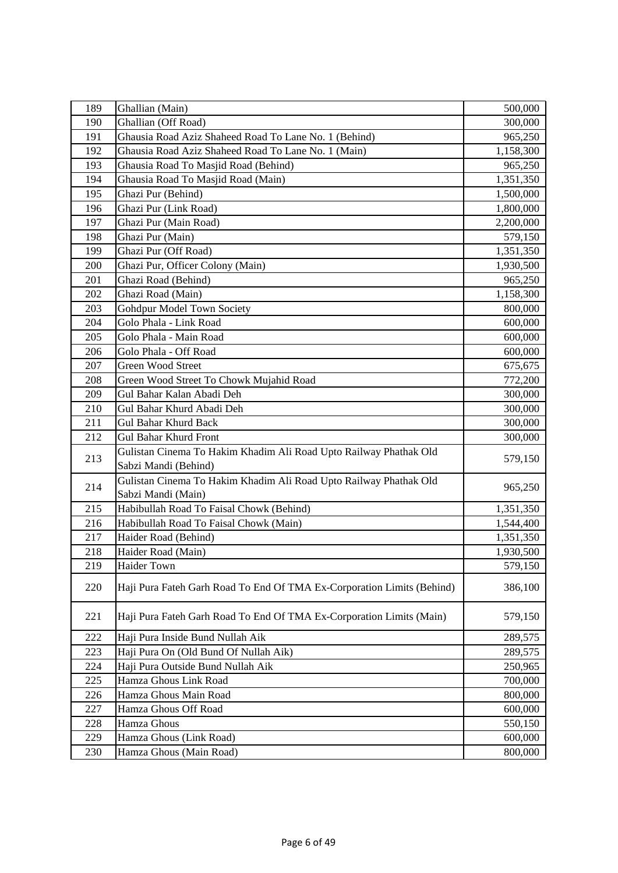| 189        | Ghallian (Main)                                                                           | 500,000                |
|------------|-------------------------------------------------------------------------------------------|------------------------|
| 190        | Ghallian (Off Road)                                                                       | 300,000                |
| 191        | Ghausia Road Aziz Shaheed Road To Lane No. 1 (Behind)                                     | 965,250                |
| 192        | Ghausia Road Aziz Shaheed Road To Lane No. 1 (Main)                                       | 1,158,300              |
| 193        | Ghausia Road To Masjid Road (Behind)                                                      | 965,250                |
| 194        | Ghausia Road To Masjid Road (Main)                                                        | 1,351,350              |
| 195        | Ghazi Pur (Behind)                                                                        | 1,500,000              |
| 196        | Ghazi Pur (Link Road)                                                                     | 1,800,000              |
| 197        | Ghazi Pur (Main Road)                                                                     | 2,200,000              |
| 198        | Ghazi Pur (Main)                                                                          | 579,150                |
| 199        | Ghazi Pur (Off Road)                                                                      | 1,351,350              |
| 200        | Ghazi Pur, Officer Colony (Main)                                                          | 1,930,500              |
| 201        | Ghazi Road (Behind)                                                                       | 965,250                |
| 202        | Ghazi Road (Main)                                                                         | 1,158,300              |
| 203        | Gohdpur Model Town Society                                                                | 800,000                |
| 204        | Golo Phala - Link Road                                                                    | 600,000                |
| 205        | Golo Phala - Main Road                                                                    | 600,000                |
| 206        | Golo Phala - Off Road                                                                     | 600,000                |
| 207        | <b>Green Wood Street</b>                                                                  | 675,675                |
| 208        | Green Wood Street To Chowk Mujahid Road                                                   | 772,200                |
| 209        | Gul Bahar Kalan Abadi Deh                                                                 | 300,000                |
| 210        | Gul Bahar Khurd Abadi Deh                                                                 | 300,000                |
| 211        | <b>Gul Bahar Khurd Back</b>                                                               | 300,000                |
| 212        | <b>Gul Bahar Khurd Front</b>                                                              | 300,000                |
| 213        | Gulistan Cinema To Hakim Khadim Ali Road Upto Railway Phathak Old<br>Sabzi Mandi (Behind) | 579,150                |
| 214        | Gulistan Cinema To Hakim Khadim Ali Road Upto Railway Phathak Old                         | 965,250                |
|            | Sabzi Mandi (Main)                                                                        |                        |
| 215<br>216 | Habibullah Road To Faisal Chowk (Behind)<br>Habibullah Road To Faisal Chowk (Main)        | 1,351,350              |
| 217        | Haider Road (Behind)                                                                      | 1,544,400<br>1,351,350 |
| 218        | Haider Road (Main)                                                                        |                        |
|            |                                                                                           | 1,930,500              |
| 219        | Haider Town                                                                               | 579,150                |
| 220        | Haji Pura Fateh Garh Road To End Of TMA Ex-Corporation Limits (Behind)                    | 386,100                |
| 221        | Haji Pura Fateh Garh Road To End Of TMA Ex-Corporation Limits (Main)                      | 579,150                |
| 222        | Haji Pura Inside Bund Nullah Aik                                                          | 289,575                |
| 223        | Haji Pura On (Old Bund Of Nullah Aik)                                                     | 289,575                |
| 224        | Haji Pura Outside Bund Nullah Aik                                                         | 250,965                |
| 225        | Hamza Ghous Link Road                                                                     | 700,000                |
| 226        | Hamza Ghous Main Road                                                                     | 800,000                |
| 227        | Hamza Ghous Off Road                                                                      | 600,000                |
| 228        | Hamza Ghous                                                                               | 550,150                |
| 229        | Hamza Ghous (Link Road)                                                                   | 600,000                |
| 230        | Hamza Ghous (Main Road)                                                                   | 800,000                |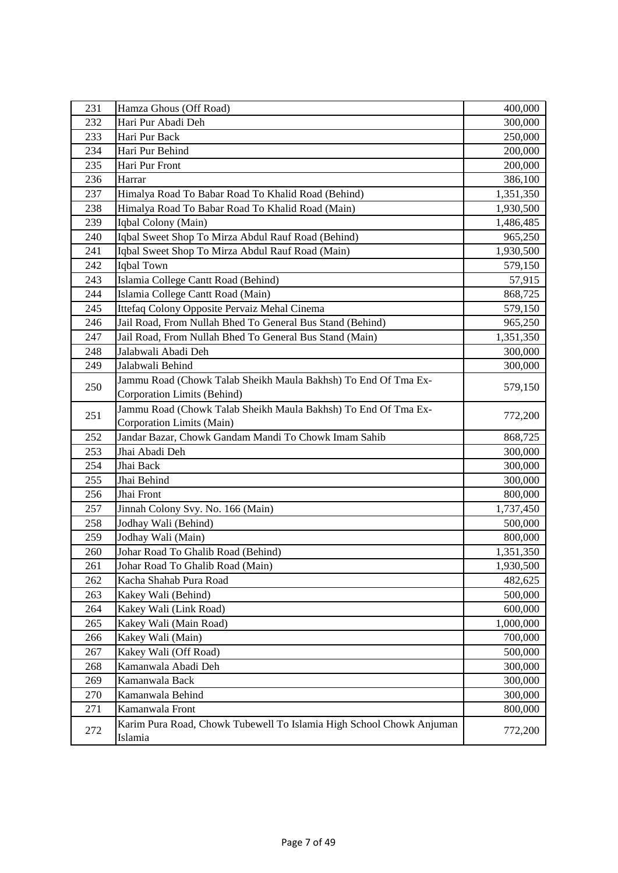| 231 | Hamza Ghous (Off Road)                                                          | 400,000   |
|-----|---------------------------------------------------------------------------------|-----------|
| 232 | Hari Pur Abadi Deh                                                              | 300,000   |
| 233 | Hari Pur Back                                                                   | 250,000   |
| 234 | Hari Pur Behind                                                                 | 200,000   |
| 235 | Hari Pur Front                                                                  | 200,000   |
| 236 | Harrar                                                                          | 386,100   |
| 237 | Himalya Road To Babar Road To Khalid Road (Behind)                              | 1,351,350 |
| 238 | Himalya Road To Babar Road To Khalid Road (Main)                                | 1,930,500 |
| 239 | Iqbal Colony (Main)                                                             | 1,486,485 |
| 240 | Iqbal Sweet Shop To Mirza Abdul Rauf Road (Behind)                              | 965,250   |
| 241 | Iqbal Sweet Shop To Mirza Abdul Rauf Road (Main)                                | 1,930,500 |
| 242 | Iqbal Town                                                                      | 579,150   |
| 243 | Islamia College Cantt Road (Behind)                                             | 57,915    |
| 244 | Islamia College Cantt Road (Main)                                               | 868,725   |
| 245 | Ittefaq Colony Opposite Pervaiz Mehal Cinema                                    | 579,150   |
| 246 | Jail Road, From Nullah Bhed To General Bus Stand (Behind)                       | 965,250   |
| 247 | Jail Road, From Nullah Bhed To General Bus Stand (Main)                         | 1,351,350 |
| 248 | Jalabwali Abadi Deh                                                             | 300,000   |
| 249 | Jalabwali Behind                                                                | 300,000   |
|     | Jammu Road (Chowk Talab Sheikh Maula Bakhsh) To End Of Tma Ex-                  |           |
| 250 | Corporation Limits (Behind)                                                     | 579,150   |
|     | Jammu Road (Chowk Talab Sheikh Maula Bakhsh) To End Of Tma Ex-                  |           |
| 251 | Corporation Limits (Main)                                                       | 772,200   |
| 252 | Jandar Bazar, Chowk Gandam Mandi To Chowk Imam Sahib                            | 868,725   |
| 253 | Jhai Abadi Deh                                                                  | 300,000   |
| 254 | Jhai Back                                                                       | 300,000   |
| 255 | Jhai Behind                                                                     | 300,000   |
| 256 | Jhai Front                                                                      | 800,000   |
| 257 | Jinnah Colony Svy. No. 166 (Main)                                               | 1,737,450 |
| 258 | Jodhay Wali (Behind)                                                            | 500,000   |
| 259 | Jodhay Wali (Main)                                                              | 800,000   |
| 260 | Johar Road To Ghalib Road (Behind)                                              | 1,351,350 |
| 261 | Johar Road To Ghalib Road (Main)                                                | 1,930,500 |
| 262 | Kacha Shahab Pura Road                                                          | 482,625   |
| 263 | Kakey Wali (Behind)                                                             | 500,000   |
| 264 | Kakey Wali (Link Road)                                                          | 600,000   |
| 265 | Kakey Wali (Main Road)                                                          | 1,000,000 |
| 266 | Kakey Wali (Main)                                                               | 700,000   |
| 267 | Kakey Wali (Off Road)                                                           | 500,000   |
| 268 | Kamanwala Abadi Deh                                                             | 300,000   |
| 269 | Kamanwala Back                                                                  | 300,000   |
| 270 | Kamanwala Behind                                                                | 300,000   |
| 271 | Kamanwala Front                                                                 | 800,000   |
| 272 | Karim Pura Road, Chowk Tubewell To Islamia High School Chowk Anjuman<br>Islamia | 772,200   |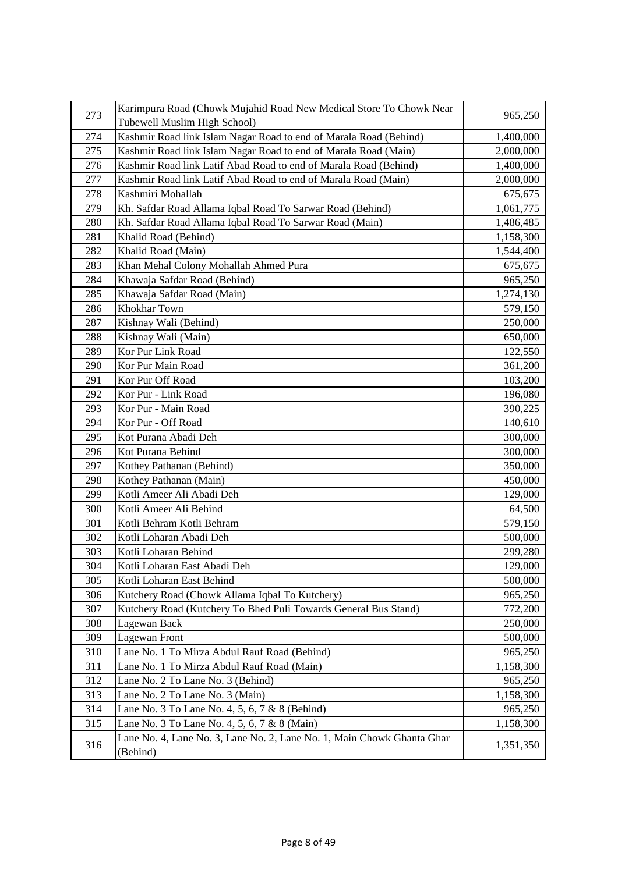| 273 | Karimpura Road (Chowk Mujahid Road New Medical Store To Chowk Near     | 965,250   |
|-----|------------------------------------------------------------------------|-----------|
|     | Tubewell Muslim High School)                                           |           |
| 274 | Kashmir Road link Islam Nagar Road to end of Marala Road (Behind)      | 1,400,000 |
| 275 | Kashmir Road link Islam Nagar Road to end of Marala Road (Main)        | 2,000,000 |
| 276 | Kashmir Road link Latif Abad Road to end of Marala Road (Behind)       | 1,400,000 |
| 277 | Kashmir Road link Latif Abad Road to end of Marala Road (Main)         | 2,000,000 |
| 278 | Kashmiri Mohallah                                                      | 675,675   |
| 279 | Kh. Safdar Road Allama Iqbal Road To Sarwar Road (Behind)              | 1,061,775 |
| 280 | Kh. Safdar Road Allama Iqbal Road To Sarwar Road (Main)                | 1,486,485 |
| 281 | Khalid Road (Behind)                                                   | 1,158,300 |
| 282 | Khalid Road (Main)                                                     | 1,544,400 |
| 283 | Khan Mehal Colony Mohallah Ahmed Pura                                  | 675,675   |
| 284 | Khawaja Safdar Road (Behind)                                           | 965,250   |
| 285 | Khawaja Safdar Road (Main)                                             | 1,274,130 |
| 286 | Khokhar Town                                                           | 579,150   |
| 287 | Kishnay Wali (Behind)                                                  | 250,000   |
| 288 | Kishnay Wali (Main)                                                    | 650,000   |
| 289 | Kor Pur Link Road                                                      | 122,550   |
| 290 | Kor Pur Main Road                                                      | 361,200   |
| 291 | Kor Pur Off Road                                                       | 103,200   |
| 292 | Kor Pur - Link Road                                                    | 196,080   |
| 293 | Kor Pur - Main Road                                                    | 390,225   |
| 294 | Kor Pur - Off Road                                                     | 140,610   |
| 295 | Kot Purana Abadi Deh                                                   | 300,000   |
| 296 | Kot Purana Behind                                                      | 300,000   |
| 297 | Kothey Pathanan (Behind)                                               | 350,000   |
| 298 | Kothey Pathanan (Main)                                                 | 450,000   |
| 299 | Kotli Ameer Ali Abadi Deh                                              | 129,000   |
| 300 | Kotli Ameer Ali Behind                                                 | 64,500    |
| 301 | Kotli Behram Kotli Behram                                              | 579,150   |
| 302 | Kotli Loharan Abadi Deh                                                | 500,000   |
| 303 | Kotli Loharan Behind                                                   | 299,280   |
| 304 | Kotli Loharan East Abadi Deh                                           | 129,000   |
| 305 | Kotli Loharan East Behind                                              | 500,000   |
| 306 | Kutchery Road (Chowk Allama Iqbal To Kutchery)                         | 965,250   |
| 307 | Kutchery Road (Kutchery To Bhed Puli Towards General Bus Stand)        | 772,200   |
| 308 | Lagewan Back                                                           | 250,000   |
| 309 | Lagewan Front                                                          | 500,000   |
| 310 | Lane No. 1 To Mirza Abdul Rauf Road (Behind)                           | 965,250   |
| 311 | Lane No. 1 To Mirza Abdul Rauf Road (Main)                             | 1,158,300 |
| 312 | Lane No. 2 To Lane No. 3 (Behind)                                      | 965,250   |
| 313 | Lane No. 2 To Lane No. 3 (Main)                                        | 1,158,300 |
| 314 | Lane No. 3 To Lane No. 4, 5, 6, 7 & 8 (Behind)                         | 965,250   |
| 315 | Lane No. 3 To Lane No. 4, 5, 6, 7 & 8 (Main)                           | 1,158,300 |
| 316 | Lane No. 4, Lane No. 3, Lane No. 2, Lane No. 1, Main Chowk Ghanta Ghar | 1,351,350 |
|     | (Behind)                                                               |           |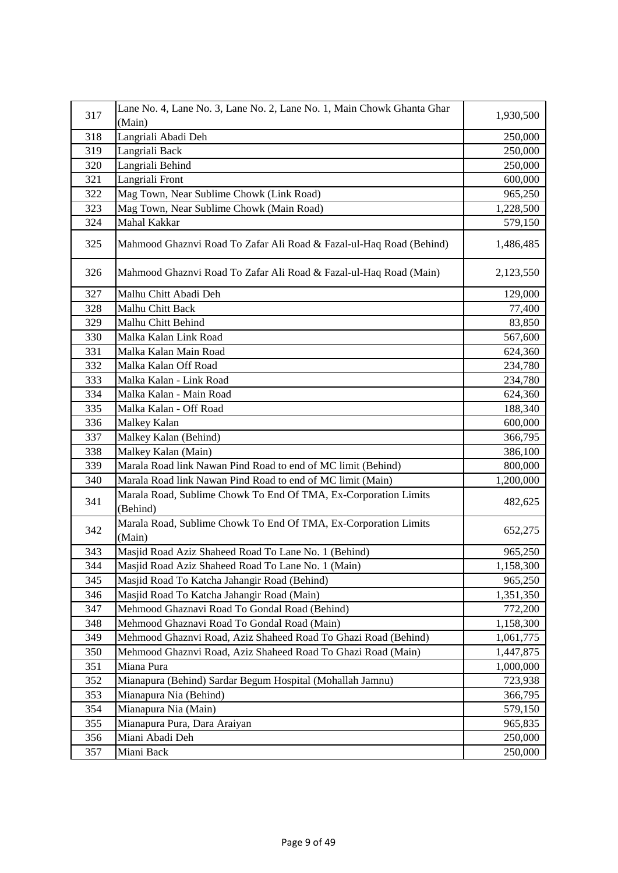| 317 | Lane No. 4, Lane No. 3, Lane No. 2, Lane No. 1, Main Chowk Ghanta Ghar      | 1,930,500 |
|-----|-----------------------------------------------------------------------------|-----------|
|     | (Main)                                                                      |           |
| 318 | Langriali Abadi Deh                                                         | 250,000   |
| 319 | Langriali Back                                                              | 250,000   |
| 320 | Langriali Behind                                                            | 250,000   |
| 321 | Langriali Front                                                             | 600,000   |
| 322 | Mag Town, Near Sublime Chowk (Link Road)                                    | 965,250   |
| 323 | Mag Town, Near Sublime Chowk (Main Road)                                    | 1,228,500 |
| 324 | Mahal Kakkar                                                                | 579,150   |
| 325 | Mahmood Ghaznvi Road To Zafar Ali Road & Fazal-ul-Haq Road (Behind)         | 1,486,485 |
| 326 | Mahmood Ghaznvi Road To Zafar Ali Road & Fazal-ul-Haq Road (Main)           | 2,123,550 |
| 327 | Malhu Chitt Abadi Deh                                                       | 129,000   |
| 328 | Malhu Chitt Back                                                            | 77,400    |
| 329 | Malhu Chitt Behind                                                          | 83,850    |
| 330 | Malka Kalan Link Road                                                       | 567,600   |
| 331 | Malka Kalan Main Road                                                       | 624,360   |
| 332 | Malka Kalan Off Road                                                        | 234,780   |
| 333 | Malka Kalan - Link Road                                                     | 234,780   |
| 334 | Malka Kalan - Main Road                                                     | 624,360   |
| 335 | Malka Kalan - Off Road                                                      | 188,340   |
| 336 | Malkey Kalan                                                                | 600,000   |
| 337 | Malkey Kalan (Behind)                                                       | 366,795   |
| 338 | Malkey Kalan (Main)                                                         | 386,100   |
| 339 | Marala Road link Nawan Pind Road to end of MC limit (Behind)                | 800,000   |
| 340 | Marala Road link Nawan Pind Road to end of MC limit (Main)                  | 1,200,000 |
| 341 | Marala Road, Sublime Chowk To End Of TMA, Ex-Corporation Limits<br>(Behind) | 482,625   |
| 342 | Marala Road, Sublime Chowk To End Of TMA, Ex-Corporation Limits<br>(Main)   | 652,275   |
| 343 | Masjid Road Aziz Shaheed Road To Lane No. 1 (Behind)                        | 965,250   |
| 344 | Masjid Road Aziz Shaheed Road To Lane No. 1 (Main)                          | 1,158,300 |
| 345 | Masjid Road To Katcha Jahangir Road (Behind)                                | 965,250   |
| 346 | Masjid Road To Katcha Jahangir Road (Main)                                  | 1,351,350 |
| 347 | Mehmood Ghaznavi Road To Gondal Road (Behind)                               | 772,200   |
| 348 | Mehmood Ghaznavi Road To Gondal Road (Main)                                 | 1,158,300 |
| 349 | Mehmood Ghaznvi Road, Aziz Shaheed Road To Ghazi Road (Behind)              | 1,061,775 |
| 350 | Mehmood Ghaznvi Road, Aziz Shaheed Road To Ghazi Road (Main)                | 1,447,875 |
| 351 | Miana Pura                                                                  | 1,000,000 |
| 352 | Mianapura (Behind) Sardar Begum Hospital (Mohallah Jamnu)                   | 723,938   |
| 353 | Mianapura Nia (Behind)                                                      | 366,795   |
| 354 | Mianapura Nia (Main)                                                        | 579,150   |
| 355 | Mianapura Pura, Dara Araiyan                                                | 965,835   |
| 356 | Miani Abadi Deh                                                             | 250,000   |
| 357 | Miani Back                                                                  | 250,000   |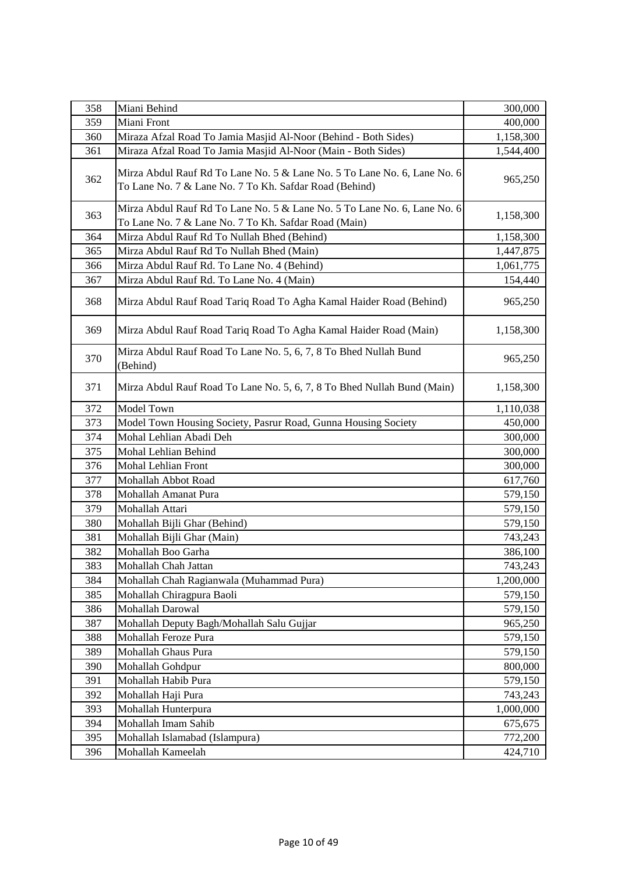| 358 | Miani Behind                                                                                                                       | 300,000   |
|-----|------------------------------------------------------------------------------------------------------------------------------------|-----------|
| 359 | Miani Front                                                                                                                        | 400,000   |
| 360 | Miraza Afzal Road To Jamia Masjid Al-Noor (Behind - Both Sides)                                                                    | 1,158,300 |
| 361 | Miraza Afzal Road To Jamia Masjid Al-Noor (Main - Both Sides)                                                                      | 1,544,400 |
| 362 | Mirza Abdul Rauf Rd To Lane No. 5 & Lane No. 5 To Lane No. 6, Lane No. 6<br>To Lane No. 7 & Lane No. 7 To Kh. Safdar Road (Behind) | 965,250   |
| 363 | Mirza Abdul Rauf Rd To Lane No. 5 & Lane No. 5 To Lane No. 6, Lane No. 6<br>To Lane No. 7 & Lane No. 7 To Kh. Safdar Road (Main)   | 1,158,300 |
| 364 | Mirza Abdul Rauf Rd To Nullah Bhed (Behind)                                                                                        | 1,158,300 |
| 365 | Mirza Abdul Rauf Rd To Nullah Bhed (Main)                                                                                          | 1,447,875 |
| 366 | Mirza Abdul Rauf Rd. To Lane No. 4 (Behind)                                                                                        | 1,061,775 |
| 367 | Mirza Abdul Rauf Rd. To Lane No. 4 (Main)                                                                                          | 154,440   |
| 368 | Mirza Abdul Rauf Road Tariq Road To Agha Kamal Haider Road (Behind)                                                                | 965,250   |
| 369 | Mirza Abdul Rauf Road Tariq Road To Agha Kamal Haider Road (Main)                                                                  | 1,158,300 |
| 370 | Mirza Abdul Rauf Road To Lane No. 5, 6, 7, 8 To Bhed Nullah Bund<br>(Behind)                                                       | 965,250   |
| 371 | Mirza Abdul Rauf Road To Lane No. 5, 6, 7, 8 To Bhed Nullah Bund (Main)                                                            | 1,158,300 |
| 372 | Model Town                                                                                                                         | 1,110,038 |
| 373 | Model Town Housing Society, Pasrur Road, Gunna Housing Society                                                                     | 450,000   |
| 374 | Mohal Lehlian Abadi Deh                                                                                                            | 300,000   |
| 375 | Mohal Lehlian Behind                                                                                                               | 300,000   |
| 376 | <b>Mohal Lehlian Front</b>                                                                                                         | 300,000   |
| 377 | Mohallah Abbot Road                                                                                                                | 617,760   |
| 378 | Mohallah Amanat Pura                                                                                                               | 579,150   |
| 379 | Mohallah Attari                                                                                                                    | 579,150   |
| 380 | Mohallah Bijli Ghar (Behind)                                                                                                       | 579,150   |
| 381 | Mohallah Bijli Ghar (Main)                                                                                                         | 743,243   |
| 382 | Mohallah Boo Garha                                                                                                                 | 386,100   |
| 383 | Mohallah Chah Jattan                                                                                                               | 743,243   |
| 384 | Mohallah Chah Ragianwala (Muhammad Pura)                                                                                           | 1,200,000 |
| 385 | Mohallah Chiragpura Baoli                                                                                                          | 579,150   |
| 386 | Mohallah Darowal                                                                                                                   | 579,150   |
| 387 | Mohallah Deputy Bagh/Mohallah Salu Gujjar                                                                                          | 965,250   |
| 388 | Mohallah Feroze Pura                                                                                                               | 579,150   |
| 389 | Mohallah Ghaus Pura                                                                                                                | 579,150   |
| 390 | Mohallah Gohdpur                                                                                                                   | 800,000   |
| 391 | Mohallah Habib Pura                                                                                                                | 579,150   |
| 392 | Mohallah Haji Pura                                                                                                                 | 743,243   |
| 393 | Mohallah Hunterpura                                                                                                                | 1,000,000 |
| 394 | Mohallah Imam Sahib                                                                                                                | 675,675   |
| 395 | Mohallah Islamabad (Islampura)                                                                                                     | 772,200   |
| 396 | Mohallah Kameelah                                                                                                                  | 424,710   |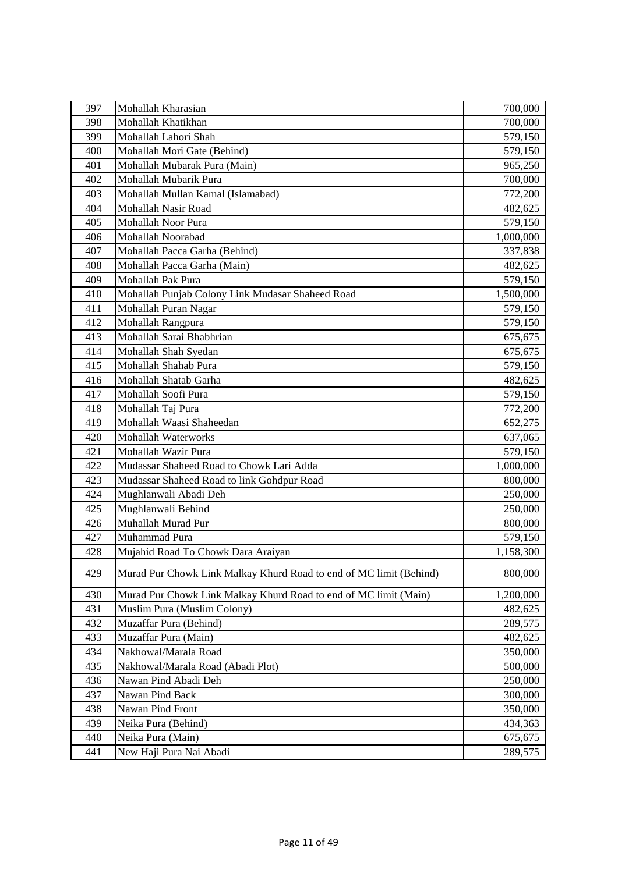| 397 | Mohallah Kharasian                                                 | 700,000   |
|-----|--------------------------------------------------------------------|-----------|
| 398 | Mohallah Khatikhan                                                 | 700,000   |
| 399 | Mohallah Lahori Shah                                               | 579,150   |
| 400 | Mohallah Mori Gate (Behind)                                        | 579,150   |
| 401 | Mohallah Mubarak Pura (Main)                                       | 965,250   |
| 402 | Mohallah Mubarik Pura                                              | 700,000   |
| 403 | Mohallah Mullan Kamal (Islamabad)                                  | 772,200   |
| 404 | Mohallah Nasir Road                                                | 482,625   |
| 405 | Mohallah Noor Pura                                                 | 579,150   |
| 406 | Mohallah Noorabad                                                  | 1,000,000 |
| 407 | Mohallah Pacca Garha (Behind)                                      | 337,838   |
| 408 | Mohallah Pacca Garha (Main)                                        | 482,625   |
| 409 | Mohallah Pak Pura                                                  | 579,150   |
| 410 | Mohallah Punjab Colony Link Mudasar Shaheed Road                   | 1,500,000 |
| 411 | Mohallah Puran Nagar                                               | 579,150   |
| 412 | Mohallah Rangpura                                                  | 579,150   |
| 413 | Mohallah Sarai Bhabhrian                                           | 675,675   |
| 414 | Mohallah Shah Syedan                                               | 675,675   |
| 415 | Mohallah Shahab Pura                                               | 579,150   |
| 416 | Mohallah Shatab Garha                                              | 482,625   |
| 417 | Mohallah Soofi Pura                                                | 579,150   |
| 418 | Mohallah Taj Pura                                                  | 772,200   |
| 419 | Mohallah Waasi Shaheedan                                           | 652,275   |
| 420 | <b>Mohallah Waterworks</b>                                         | 637,065   |
| 421 | Mohallah Wazir Pura                                                | 579,150   |
| 422 | Mudassar Shaheed Road to Chowk Lari Adda                           | 1,000,000 |
| 423 | Mudassar Shaheed Road to link Gohdpur Road                         | 800,000   |
| 424 | Mughlanwali Abadi Deh                                              | 250,000   |
| 425 | Mughlanwali Behind                                                 | 250,000   |
| 426 | Muhallah Murad Pur                                                 | 800,000   |
| 427 | Muhammad Pura                                                      | 579,150   |
| 428 | Mujahid Road To Chowk Dara Araiyan                                 | 1,158,300 |
| 429 | Murad Pur Chowk Link Malkay Khurd Road to end of MC limit (Behind) | 800,000   |
| 430 | Murad Pur Chowk Link Malkay Khurd Road to end of MC limit (Main)   | 1,200,000 |
| 431 | Muslim Pura (Muslim Colony)                                        | 482,625   |
| 432 | Muzaffar Pura (Behind)                                             | 289,575   |
| 433 | Muzaffar Pura (Main)                                               | 482,625   |
| 434 | Nakhowal/Marala Road                                               | 350,000   |
| 435 | Nakhowal/Marala Road (Abadi Plot)                                  | 500,000   |
| 436 | Nawan Pind Abadi Deh                                               | 250,000   |
| 437 | Nawan Pind Back                                                    | 300,000   |
| 438 | Nawan Pind Front                                                   | 350,000   |
| 439 | Neika Pura (Behind)                                                | 434,363   |
| 440 | Neika Pura (Main)                                                  | 675,675   |
| 441 | New Haji Pura Nai Abadi                                            | 289,575   |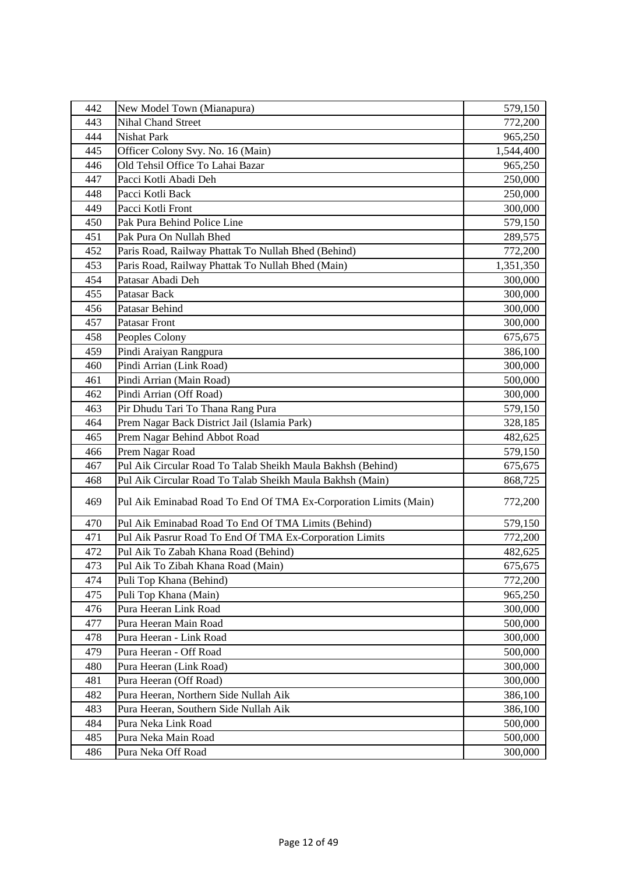| 442 | New Model Town (Mianapura)                                       | 579,150   |
|-----|------------------------------------------------------------------|-----------|
| 443 | <b>Nihal Chand Street</b>                                        | 772,200   |
| 444 | <b>Nishat Park</b>                                               | 965,250   |
| 445 | Officer Colony Svy. No. 16 (Main)                                | 1,544,400 |
| 446 | Old Tehsil Office To Lahai Bazar                                 | 965,250   |
| 447 | Pacci Kotli Abadi Deh                                            | 250,000   |
| 448 | Pacci Kotli Back                                                 | 250,000   |
| 449 | Pacci Kotli Front                                                | 300,000   |
| 450 | Pak Pura Behind Police Line                                      | 579,150   |
| 451 | Pak Pura On Nullah Bhed                                          | 289,575   |
| 452 | Paris Road, Railway Phattak To Nullah Bhed (Behind)              | 772,200   |
| 453 | Paris Road, Railway Phattak To Nullah Bhed (Main)                | 1,351,350 |
| 454 | Patasar Abadi Deh                                                | 300,000   |
| 455 | Patasar Back                                                     | 300,000   |
| 456 | Patasar Behind                                                   | 300,000   |
| 457 | <b>Patasar Front</b>                                             | 300,000   |
| 458 | Peoples Colony                                                   | 675,675   |
| 459 | Pindi Araiyan Rangpura                                           | 386,100   |
| 460 | Pindi Arrian (Link Road)                                         | 300,000   |
| 461 | Pindi Arrian (Main Road)                                         | 500,000   |
| 462 | Pindi Arrian (Off Road)                                          | 300,000   |
| 463 | Pir Dhudu Tari To Thana Rang Pura                                | 579,150   |
| 464 | Prem Nagar Back District Jail (Islamia Park)                     | 328,185   |
| 465 | Prem Nagar Behind Abbot Road                                     | 482,625   |
| 466 | Prem Nagar Road                                                  | 579,150   |
| 467 | Pul Aik Circular Road To Talab Sheikh Maula Bakhsh (Behind)      | 675,675   |
| 468 | Pul Aik Circular Road To Talab Sheikh Maula Bakhsh (Main)        | 868,725   |
| 469 | Pul Aik Eminabad Road To End Of TMA Ex-Corporation Limits (Main) | 772,200   |
| 470 | Pul Aik Eminabad Road To End Of TMA Limits (Behind)              | 579,150   |
| 471 | Pul Aik Pasrur Road To End Of TMA Ex-Corporation Limits          | 772,200   |
| 472 | Pul Aik To Zabah Khana Road (Behind)                             | 482,625   |
| 473 | Pul Aik To Zibah Khana Road (Main)                               | 675,675   |
| 474 | Puli Top Khana (Behind)                                          | 772,200   |
| 475 | Puli Top Khana (Main)                                            | 965,250   |
| 476 | Pura Heeran Link Road                                            | 300,000   |
| 477 | Pura Heeran Main Road                                            | 500,000   |
| 478 | Pura Heeran - Link Road                                          | 300,000   |
| 479 | Pura Heeran - Off Road                                           | 500,000   |
| 480 | Pura Heeran (Link Road)                                          | 300,000   |
| 481 | Pura Heeran (Off Road)                                           | 300,000   |
| 482 | Pura Heeran, Northern Side Nullah Aik                            | 386,100   |
| 483 | Pura Heeran, Southern Side Nullah Aik                            | 386,100   |
| 484 | Pura Neka Link Road                                              | 500,000   |
| 485 | Pura Neka Main Road                                              | 500,000   |
| 486 | Pura Neka Off Road                                               | 300,000   |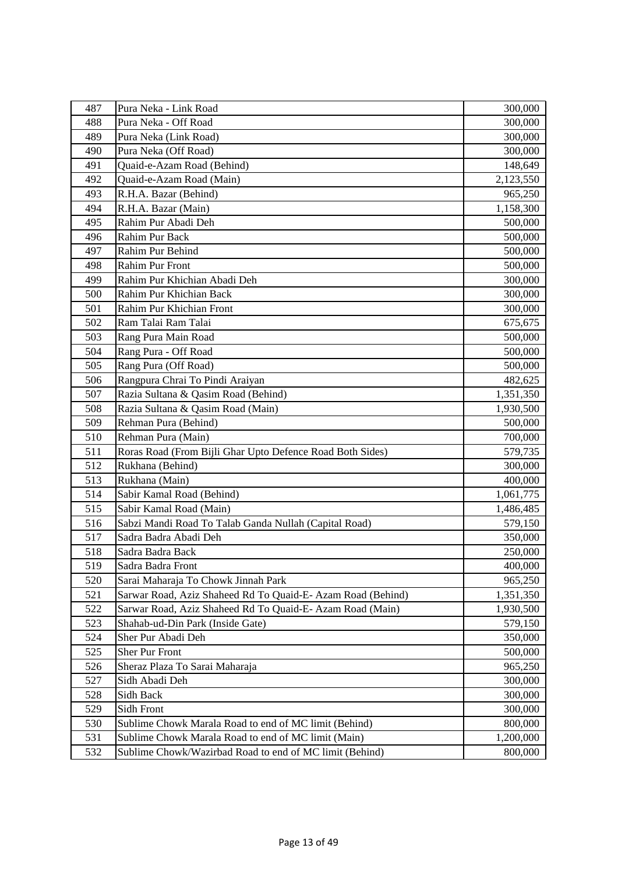| 487 | Pura Neka - Link Road                                       | 300,000   |
|-----|-------------------------------------------------------------|-----------|
| 488 | Pura Neka - Off Road                                        | 300,000   |
| 489 | Pura Neka (Link Road)                                       | 300,000   |
| 490 | Pura Neka (Off Road)                                        | 300,000   |
| 491 | Quaid-e-Azam Road (Behind)                                  | 148,649   |
| 492 | Quaid-e-Azam Road (Main)                                    | 2,123,550 |
| 493 | R.H.A. Bazar (Behind)                                       | 965,250   |
| 494 | R.H.A. Bazar (Main)                                         | 1,158,300 |
| 495 | Rahim Pur Abadi Deh                                         | 500,000   |
| 496 | <b>Rahim Pur Back</b>                                       | 500,000   |
| 497 | Rahim Pur Behind                                            | 500,000   |
| 498 | <b>Rahim Pur Front</b>                                      | 500,000   |
| 499 | Rahim Pur Khichian Abadi Deh                                | 300,000   |
| 500 | Rahim Pur Khichian Back                                     | 300,000   |
| 501 | Rahim Pur Khichian Front                                    | 300,000   |
| 502 | Ram Talai Ram Talai                                         | 675,675   |
| 503 | Rang Pura Main Road                                         | 500,000   |
| 504 | Rang Pura - Off Road                                        | 500,000   |
| 505 | Rang Pura (Off Road)                                        | 500,000   |
| 506 | Rangpura Chrai To Pindi Araiyan                             | 482,625   |
| 507 | Razia Sultana & Qasim Road (Behind)                         | 1,351,350 |
| 508 | Razia Sultana & Qasim Road (Main)                           | 1,930,500 |
| 509 | Rehman Pura (Behind)                                        | 500,000   |
| 510 | Rehman Pura (Main)                                          | 700,000   |
| 511 | Roras Road (From Bijli Ghar Upto Defence Road Both Sides)   | 579,735   |
| 512 | Rukhana (Behind)                                            | 300,000   |
| 513 | Rukhana (Main)                                              | 400,000   |
| 514 | Sabir Kamal Road (Behind)                                   | 1,061,775 |
| 515 | Sabir Kamal Road (Main)                                     | 1,486,485 |
| 516 | Sabzi Mandi Road To Talab Ganda Nullah (Capital Road)       | 579,150   |
| 517 | Sadra Badra Abadi Deh                                       | 350,000   |
| 518 | Sadra Badra Back                                            | 250,000   |
| 519 | Sadra Badra Front                                           | 400,000   |
| 520 | Sarai Maharaja To Chowk Jinnah Park                         | 965,250   |
| 521 | Sarwar Road, Aziz Shaheed Rd To Quaid-E- Azam Road (Behind) | 1,351,350 |
| 522 | Sarwar Road, Aziz Shaheed Rd To Quaid-E-Azam Road (Main)    | 1,930,500 |
| 523 | Shahab-ud-Din Park (Inside Gate)                            | 579,150   |
| 524 | Sher Pur Abadi Deh                                          | 350,000   |
| 525 | Sher Pur Front                                              | 500,000   |
| 526 | Sheraz Plaza To Sarai Maharaja                              | 965,250   |
| 527 | Sidh Abadi Deh                                              | 300,000   |
| 528 | Sidh Back                                                   | 300,000   |
| 529 | Sidh Front                                                  | 300,000   |
| 530 | Sublime Chowk Marala Road to end of MC limit (Behind)       | 800,000   |
| 531 | Sublime Chowk Marala Road to end of MC limit (Main)         | 1,200,000 |
| 532 | Sublime Chowk/Wazirbad Road to end of MC limit (Behind)     | 800,000   |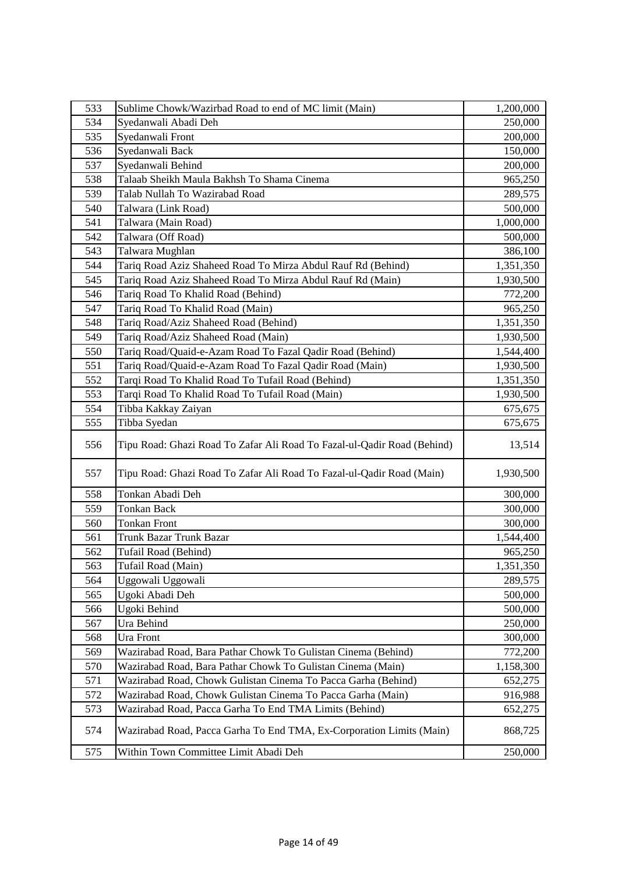| 533 | Sublime Chowk/Wazirbad Road to end of MC limit (Main)                   | 1,200,000 |
|-----|-------------------------------------------------------------------------|-----------|
| 534 | Syedanwali Abadi Deh                                                    | 250,000   |
| 535 | Syedanwali Front                                                        | 200,000   |
| 536 | Syedanwali Back                                                         | 150,000   |
| 537 | Syedanwali Behind                                                       | 200,000   |
| 538 | Talaab Sheikh Maula Bakhsh To Shama Cinema                              | 965,250   |
| 539 | Talab Nullah To Wazirabad Road                                          | 289,575   |
| 540 | Talwara (Link Road)                                                     | 500,000   |
| 541 | Talwara (Main Road)                                                     | 1,000,000 |
| 542 | Talwara (Off Road)                                                      | 500,000   |
| 543 | Talwara Mughlan                                                         | 386,100   |
| 544 | Tariq Road Aziz Shaheed Road To Mirza Abdul Rauf Rd (Behind)            | 1,351,350 |
| 545 | Tariq Road Aziz Shaheed Road To Mirza Abdul Rauf Rd (Main)              | 1,930,500 |
| 546 | Tariq Road To Khalid Road (Behind)                                      | 772,200   |
| 547 | Tariq Road To Khalid Road (Main)                                        | 965,250   |
| 548 | Tariq Road/Aziz Shaheed Road (Behind)                                   | 1,351,350 |
| 549 | Tariq Road/Aziz Shaheed Road (Main)                                     | 1,930,500 |
| 550 | Tariq Road/Quaid-e-Azam Road To Fazal Qadir Road (Behind)               | 1,544,400 |
| 551 | Tariq Road/Quaid-e-Azam Road To Fazal Qadir Road (Main)                 | 1,930,500 |
| 552 | Tarqi Road To Khalid Road To Tufail Road (Behind)                       | 1,351,350 |
| 553 | Tarqi Road To Khalid Road To Tufail Road (Main)                         | 1,930,500 |
| 554 | Tibba Kakkay Zaiyan                                                     | 675,675   |
| 555 | Tibba Syedan                                                            | 675,675   |
| 556 | Tipu Road: Ghazi Road To Zafar Ali Road To Fazal-ul-Qadir Road (Behind) | 13,514    |
| 557 | Tipu Road: Ghazi Road To Zafar Ali Road To Fazal-ul-Qadir Road (Main)   | 1,930,500 |
| 558 | Tonkan Abadi Deh                                                        | 300,000   |
| 559 | <b>Tonkan Back</b>                                                      | 300,000   |
| 560 | <b>Tonkan Front</b>                                                     | 300,000   |
| 561 | Trunk Bazar Trunk Bazar                                                 | 1,544,400 |
| 562 | Tufail Road (Behind)                                                    | 965,250   |
| 563 | Tufail Road (Main)                                                      | 1,351,350 |
| 564 | Uggowali Uggowali                                                       | 289,575   |
| 565 | Ugoki Abadi Deh                                                         | 500,000   |
| 566 | Ugoki Behind                                                            | 500,000   |
| 567 | Ura Behind                                                              | 250,000   |
| 568 | Ura Front                                                               | 300,000   |
| 569 | Wazirabad Road, Bara Pathar Chowk To Gulistan Cinema (Behind)           | 772,200   |
| 570 | Wazirabad Road, Bara Pathar Chowk To Gulistan Cinema (Main)             | 1,158,300 |
| 571 | Wazirabad Road, Chowk Gulistan Cinema To Pacca Garha (Behind)           | 652,275   |
| 572 | Wazirabad Road, Chowk Gulistan Cinema To Pacca Garha (Main)             | 916,988   |
| 573 | Wazirabad Road, Pacca Garha To End TMA Limits (Behind)                  | 652,275   |
| 574 | Wazirabad Road, Pacca Garha To End TMA, Ex-Corporation Limits (Main)    | 868,725   |
| 575 | Within Town Committee Limit Abadi Deh                                   | 250,000   |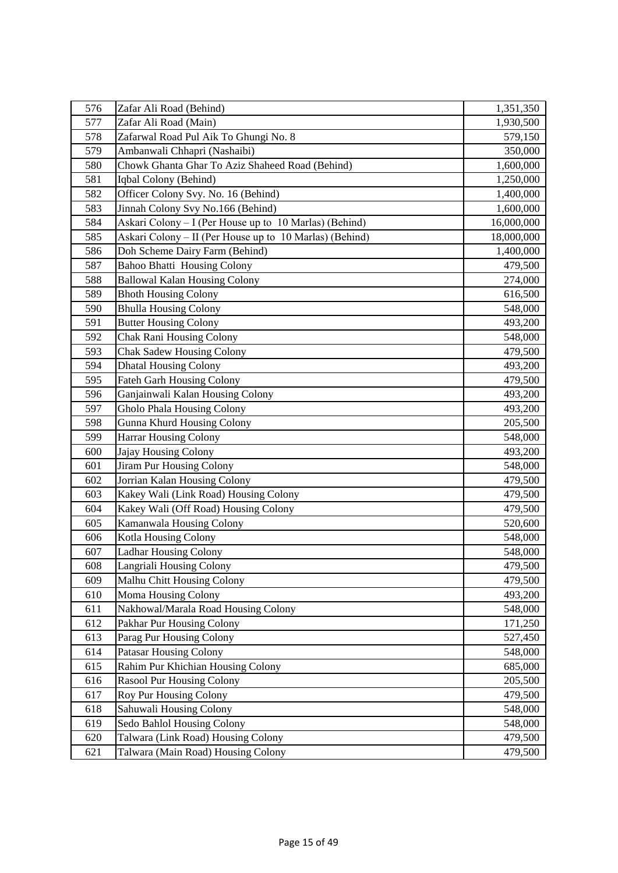| 576 | Zafar Ali Road (Behind)                                 | 1,351,350  |
|-----|---------------------------------------------------------|------------|
| 577 | Zafar Ali Road (Main)                                   | 1,930,500  |
| 578 | Zafarwal Road Pul Aik To Ghungi No. 8                   | 579,150    |
| 579 | Ambanwali Chhapri (Nashaibi)                            | 350,000    |
| 580 | Chowk Ghanta Ghar To Aziz Shaheed Road (Behind)         | 1,600,000  |
| 581 | Iqbal Colony (Behind)                                   | 1,250,000  |
| 582 | Officer Colony Svy. No. 16 (Behind)                     | 1,400,000  |
| 583 | Jinnah Colony Svy No.166 (Behind)                       | 1,600,000  |
| 584 | Askari Colony – I (Per House up to 10 Marlas) (Behind)  | 16,000,000 |
| 585 | Askari Colony – II (Per House up to 10 Marlas) (Behind) | 18,000,000 |
| 586 | Doh Scheme Dairy Farm (Behind)                          | 1,400,000  |
| 587 | <b>Bahoo Bhatti Housing Colony</b>                      | 479,500    |
| 588 | <b>Ballowal Kalan Housing Colony</b>                    | 274,000    |
| 589 | <b>Bhoth Housing Colony</b>                             | 616,500    |
| 590 | <b>Bhulla Housing Colony</b>                            | 548,000    |
| 591 | <b>Butter Housing Colony</b>                            | 493,200    |
| 592 | <b>Chak Rani Housing Colony</b>                         | 548,000    |
| 593 | <b>Chak Sadew Housing Colony</b>                        | 479,500    |
| 594 | <b>Dhatal Housing Colony</b>                            | 493,200    |
| 595 | <b>Fateh Garh Housing Colony</b>                        | 479,500    |
| 596 | Ganjainwali Kalan Housing Colony                        | 493,200    |
| 597 | Gholo Phala Housing Colony                              | 493,200    |
| 598 | Gunna Khurd Housing Colony                              | 205,500    |
| 599 | <b>Harrar Housing Colony</b>                            | 548,000    |
| 600 | Jajay Housing Colony                                    | 493,200    |
| 601 | Jiram Pur Housing Colony                                | 548,000    |
| 602 | Jorrian Kalan Housing Colony                            | 479,500    |
| 603 | Kakey Wali (Link Road) Housing Colony                   | 479,500    |
| 604 | Kakey Wali (Off Road) Housing Colony                    | 479,500    |
| 605 | Kamanwala Housing Colony                                | 520,600    |
| 606 | Kotla Housing Colony                                    | 548,000    |
| 607 | <b>Ladhar Housing Colony</b>                            | 548,000    |
| 608 | Langriali Housing Colony                                | 479,500    |
| 609 | Malhu Chitt Housing Colony                              | 479,500    |
| 610 | Moma Housing Colony                                     | 493,200    |
| 611 | Nakhowal/Marala Road Housing Colony                     | 548,000    |
| 612 | Pakhar Pur Housing Colony                               | 171,250    |
| 613 | Parag Pur Housing Colony                                | 527,450    |
| 614 | <b>Patasar Housing Colony</b>                           | 548,000    |
| 615 | Rahim Pur Khichian Housing Colony                       | 685,000    |
| 616 | Rasool Pur Housing Colony                               | 205,500    |
| 617 | Roy Pur Housing Colony                                  | 479,500    |
| 618 | Sahuwali Housing Colony                                 | 548,000    |
| 619 | Sedo Bahlol Housing Colony                              | 548,000    |
| 620 | Talwara (Link Road) Housing Colony                      | 479,500    |
| 621 | Talwara (Main Road) Housing Colony                      | 479,500    |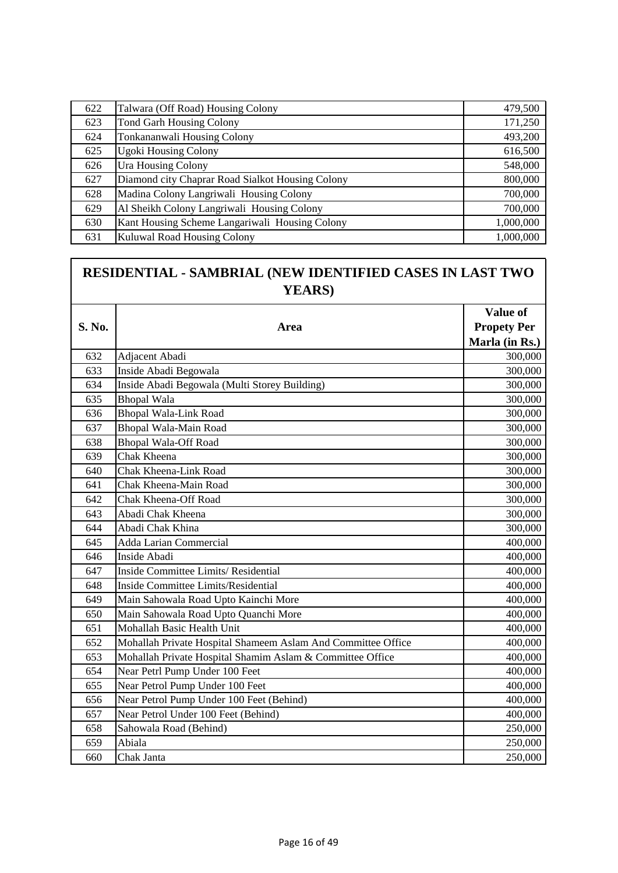| 622 | Talwara (Off Road) Housing Colony                | 479,500   |
|-----|--------------------------------------------------|-----------|
| 623 | <b>Tond Garh Housing Colony</b>                  | 171,250   |
| 624 | Tonkananwali Housing Colony                      | 493,200   |
| 625 | <b>Ugoki Housing Colony</b>                      | 616,500   |
| 626 | <b>Ura Housing Colony</b>                        | 548,000   |
| 627 | Diamond city Chaprar Road Sialkot Housing Colony | 800,000   |
| 628 | Madina Colony Langriwali Housing Colony          | 700,000   |
| 629 | Al Sheikh Colony Langriwali Housing Colony       | 700,000   |
| 630 | Kant Housing Scheme Langariwali Housing Colony   | 1,000,000 |
| 631 | Kuluwal Road Housing Colony                      | 1,000,000 |

## **RESIDENTIAL - SAMBRIAL (NEW IDENTIFIED CASES IN LAST TWO YEARS)**

|        |                                                              | Value of           |
|--------|--------------------------------------------------------------|--------------------|
| S. No. | Area                                                         | <b>Propety Per</b> |
|        |                                                              | Marla (in Rs.)     |
| 632    | Adjacent Abadi                                               | 300,000            |
| 633    | Inside Abadi Begowala                                        | 300,000            |
| 634    | Inside Abadi Begowala (Multi Storey Building)                | 300,000            |
| 635    | <b>Bhopal Wala</b>                                           | 300,000            |
| 636    | <b>Bhopal Wala-Link Road</b>                                 | 300,000            |
| 637    | Bhopal Wala-Main Road                                        | 300,000            |
| 638    | <b>Bhopal Wala-Off Road</b>                                  | 300,000            |
| 639    | Chak Kheena                                                  | 300,000            |
| 640    | Chak Kheena-Link Road                                        | 300,000            |
| 641    | Chak Kheena-Main Road                                        | 300,000            |
| 642    | <b>Chak Kheena-Off Road</b>                                  | 300,000            |
| 643    | Abadi Chak Kheena                                            | 300,000            |
| 644    | Abadi Chak Khina                                             | 300,000            |
| 645    | <b>Adda Larian Commercial</b>                                | 400,000            |
| 646    | Inside Abadi                                                 | 400,000            |
| 647    | Inside Committee Limits/Residential                          | 400,000            |
| 648    | Inside Committee Limits/Residential                          | 400,000            |
| 649    | Main Sahowala Road Upto Kainchi More                         | 400,000            |
| 650    | Main Sahowala Road Upto Quanchi More                         | 400,000            |
| 651    | Mohallah Basic Health Unit                                   | 400,000            |
| 652    | Mohallah Private Hospital Shameem Aslam And Committee Office | 400,000            |
| 653    | Mohallah Private Hospital Shamim Aslam & Committee Office    | 400,000            |
| 654    | Near Petrl Pump Under 100 Feet                               | 400,000            |
| 655    | Near Petrol Pump Under 100 Feet                              | 400,000            |
| 656    | Near Petrol Pump Under 100 Feet (Behind)                     | 400,000            |
| 657    | Near Petrol Under 100 Feet (Behind)                          | 400,000            |
| 658    | Sahowala Road (Behind)                                       | 250,000            |
| 659    | Abiala                                                       | 250,000            |
| 660    | Chak Janta                                                   | 250,000            |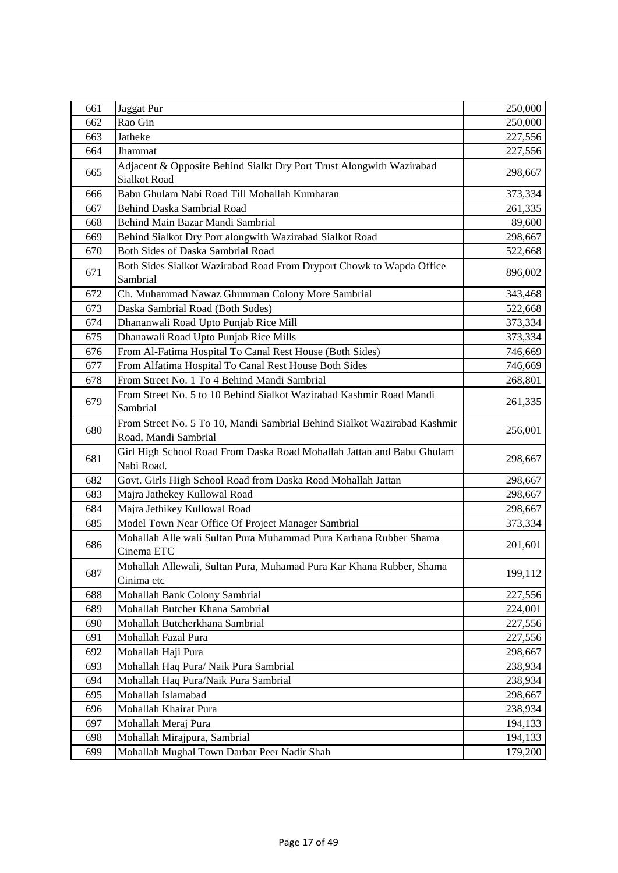| 661 | Jaggat Pur                                                                                       | 250,000 |
|-----|--------------------------------------------------------------------------------------------------|---------|
| 662 | Rao Gin                                                                                          | 250,000 |
| 663 | Jatheke                                                                                          | 227,556 |
| 664 | Jhammat                                                                                          | 227,556 |
| 665 | Adjacent & Opposite Behind Sialkt Dry Port Trust Alongwith Wazirabad<br><b>Sialkot Road</b>      | 298,667 |
| 666 | Babu Ghulam Nabi Road Till Mohallah Kumharan                                                     | 373,334 |
| 667 | Behind Daska Sambrial Road                                                                       | 261,335 |
| 668 | Behind Main Bazar Mandi Sambrial                                                                 | 89,600  |
| 669 | Behind Sialkot Dry Port alongwith Wazirabad Sialkot Road                                         | 298,667 |
| 670 | Both Sides of Daska Sambrial Road                                                                | 522,668 |
| 671 | Both Sides Sialkot Wazirabad Road From Dryport Chowk to Wapda Office<br>Sambrial                 | 896,002 |
| 672 | Ch. Muhammad Nawaz Ghumman Colony More Sambrial                                                  | 343,468 |
| 673 | Daska Sambrial Road (Both Sodes)                                                                 | 522,668 |
| 674 | Dhananwali Road Upto Punjab Rice Mill                                                            | 373,334 |
| 675 | Dhanawali Road Upto Punjab Rice Mills                                                            | 373,334 |
| 676 | From Al-Fatima Hospital To Canal Rest House (Both Sides)                                         | 746,669 |
| 677 | From Alfatima Hospital To Canal Rest House Both Sides                                            | 746,669 |
| 678 | From Street No. 1 To 4 Behind Mandi Sambrial                                                     | 268,801 |
| 679 | From Street No. 5 to 10 Behind Sialkot Wazirabad Kashmir Road Mandi<br>Sambrial                  | 261,335 |
| 680 | From Street No. 5 To 10, Mandi Sambrial Behind Sialkot Wazirabad Kashmir<br>Road, Mandi Sambrial | 256,001 |
| 681 | Girl High School Road From Daska Road Mohallah Jattan and Babu Ghulam<br>Nabi Road.              | 298,667 |
| 682 | Govt. Girls High School Road from Daska Road Mohallah Jattan                                     | 298,667 |
| 683 | Majra Jathekey Kullowal Road                                                                     | 298,667 |
| 684 | Majra Jethikey Kullowal Road                                                                     | 298,667 |
| 685 | Model Town Near Office Of Project Manager Sambrial                                               | 373,334 |
| 686 | Mohallah Alle wali Sultan Pura Muhammad Pura Karhana Rubber Shama<br>Cinema ETC                  | 201,601 |
| 687 | Mohallah Allewali, Sultan Pura, Muhamad Pura Kar Khana Rubber, Shama<br>Cinima etc               | 199,112 |
| 688 | Mohallah Bank Colony Sambrial                                                                    | 227,556 |
| 689 | Mohallah Butcher Khana Sambrial                                                                  | 224,001 |
| 690 | Mohallah Butcherkhana Sambrial                                                                   | 227,556 |
| 691 | Mohallah Fazal Pura                                                                              | 227,556 |
| 692 | Mohallah Haji Pura                                                                               | 298,667 |
| 693 | Mohallah Haq Pura/ Naik Pura Sambrial                                                            | 238,934 |
| 694 | Mohallah Haq Pura/Naik Pura Sambrial                                                             | 238,934 |
| 695 | Mohallah Islamabad                                                                               | 298,667 |
| 696 | Mohallah Khairat Pura                                                                            | 238,934 |
| 697 | Mohallah Meraj Pura                                                                              | 194,133 |
| 698 | Mohallah Mirajpura, Sambrial                                                                     | 194,133 |
| 699 | Mohallah Mughal Town Darbar Peer Nadir Shah                                                      | 179,200 |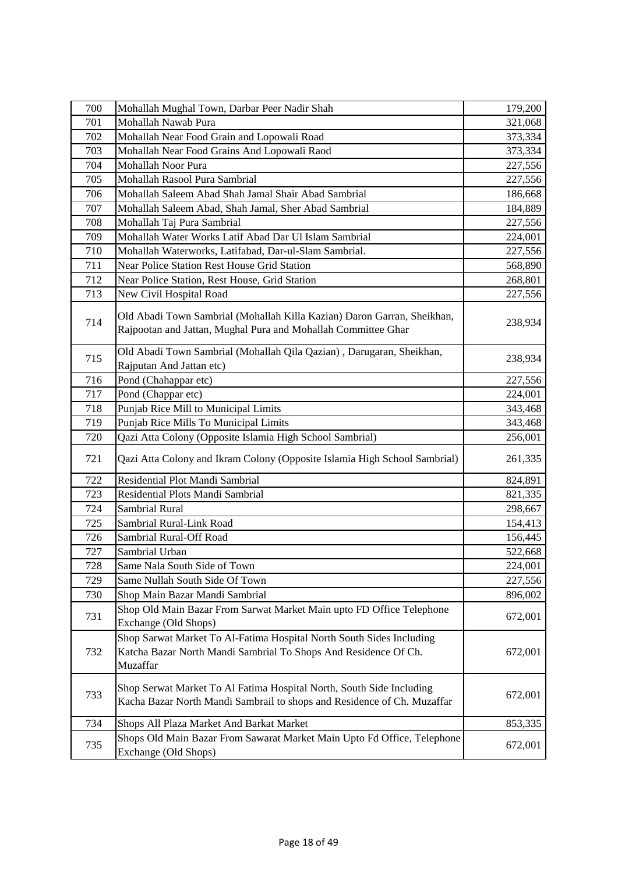| 700 | Mohallah Mughal Town, Darbar Peer Nadir Shah                                                                                                        | 179,200 |
|-----|-----------------------------------------------------------------------------------------------------------------------------------------------------|---------|
| 701 | Mohallah Nawab Pura                                                                                                                                 | 321,068 |
| 702 | Mohallah Near Food Grain and Lopowali Road                                                                                                          | 373,334 |
| 703 | Mohallah Near Food Grains And Lopowali Raod                                                                                                         | 373,334 |
| 704 | Mohallah Noor Pura                                                                                                                                  | 227,556 |
| 705 | Mohallah Rasool Pura Sambrial                                                                                                                       | 227,556 |
| 706 | Mohallah Saleem Abad Shah Jamal Shair Abad Sambrial                                                                                                 | 186,668 |
| 707 | Mohallah Saleem Abad, Shah Jamal, Sher Abad Sambrial                                                                                                | 184,889 |
| 708 | Mohallah Taj Pura Sambrial                                                                                                                          | 227,556 |
| 709 | Mohallah Water Works Latif Abad Dar Ul Islam Sambrial                                                                                               | 224,001 |
| 710 | Mohallah Waterworks, Latifabad, Dar-ul-Slam Sambrial.                                                                                               | 227,556 |
| 711 | Near Police Station Rest House Grid Station                                                                                                         | 568,890 |
| 712 | Near Police Station, Rest House, Grid Station                                                                                                       | 268,801 |
| 713 | New Civil Hospital Road                                                                                                                             | 227,556 |
| 714 | Old Abadi Town Sambrial (Mohallah Killa Kazian) Daron Garran, Sheikhan,<br>Rajpootan and Jattan, Mughal Pura and Mohallah Committee Ghar            | 238,934 |
| 715 | Old Abadi Town Sambrial (Mohallah Qila Qazian), Darugaran, Sheikhan,<br>Rajputan And Jattan etc)                                                    | 238,934 |
| 716 | Pond (Chahappar etc)                                                                                                                                | 227,556 |
| 717 | Pond (Chappar etc)                                                                                                                                  | 224,001 |
| 718 | Punjab Rice Mill to Municipal Limits                                                                                                                | 343,468 |
| 719 | Punjab Rice Mills To Municipal Limits                                                                                                               | 343,468 |
| 720 | Qazi Atta Colony (Opposite Islamia High School Sambrial)                                                                                            | 256,001 |
| 721 | Qazi Atta Colony and Ikram Colony (Opposite Islamia High School Sambrial)                                                                           | 261,335 |
| 722 | Residential Plot Mandi Sambrial                                                                                                                     | 824,891 |
| 723 | Residential Plots Mandi Sambrial                                                                                                                    | 821,335 |
| 724 | Sambrial Rural                                                                                                                                      | 298,667 |
| 725 | Sambrial Rural-Link Road                                                                                                                            | 154,413 |
| 726 | Sambrial Rural-Off Road                                                                                                                             | 156,445 |
| 727 | Sambrial Urban                                                                                                                                      | 522,668 |
| 728 | Same Nala South Side of Town                                                                                                                        | 224,001 |
| 729 | Same Nullah South Side Of Town                                                                                                                      | 227,556 |
| 730 | Shop Main Bazar Mandi Sambrial                                                                                                                      | 896,002 |
| 731 | Shop Old Main Bazar From Sarwat Market Main upto FD Office Telephone<br>Exchange (Old Shops)                                                        | 672,001 |
| 732 | Shop Sarwat Market To Al-Fatima Hospital North South Sides Including<br>Katcha Bazar North Mandi Sambrial To Shops And Residence Of Ch.<br>Muzaffar | 672,001 |
| 733 | Shop Serwat Market To Al Fatima Hospital North, South Side Including<br>Kacha Bazar North Mandi Sambrail to shops and Residence of Ch. Muzaffar     | 672,001 |
| 734 | Shops All Plaza Market And Barkat Market                                                                                                            | 853,335 |
| 735 | Shops Old Main Bazar From Sawarat Market Main Upto Fd Office, Telephone<br>Exchange (Old Shops)                                                     | 672,001 |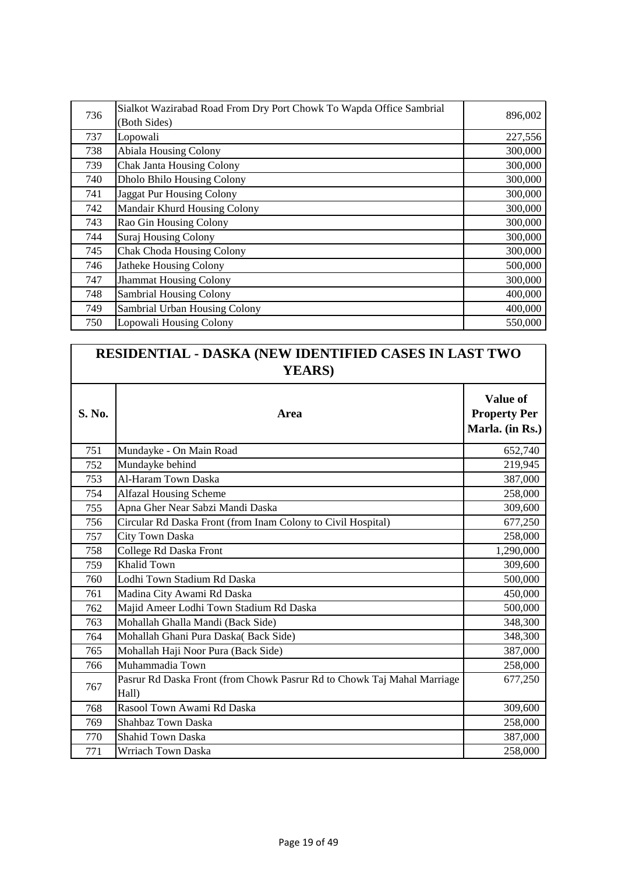| 736 | Sialkot Wazirabad Road From Dry Port Chowk To Wapda Office Sambrial | 896,002 |
|-----|---------------------------------------------------------------------|---------|
|     | (Both Sides)                                                        |         |
| 737 | Lopowali                                                            | 227,556 |
| 738 | <b>Abiala Housing Colony</b>                                        | 300,000 |
| 739 | <b>Chak Janta Housing Colony</b>                                    | 300,000 |
| 740 | <b>Dholo Bhilo Housing Colony</b>                                   | 300,000 |
| 741 | <b>Jaggat Pur Housing Colony</b>                                    | 300,000 |
| 742 | Mandair Khurd Housing Colony                                        | 300,000 |
| 743 | Rao Gin Housing Colony                                              | 300,000 |
| 744 | Suraj Housing Colony                                                | 300,000 |
| 745 | <b>Chak Choda Housing Colony</b>                                    | 300,000 |
| 746 | <b>Jatheke Housing Colony</b>                                       | 500,000 |
| 747 | <b>Jhammat Housing Colony</b>                                       | 300,000 |
| 748 | <b>Sambrial Housing Colony</b>                                      | 400,000 |
| 749 | Sambrial Urban Housing Colony                                       | 400,000 |
| 750 | Lopowali Housing Colony                                             | 550,000 |

| RESIDENTIAL - DASKA (NEW IDENTIFIED CASES IN LAST TWO<br><b>YEARS</b> ) |                                                                                  |                                                    |
|-------------------------------------------------------------------------|----------------------------------------------------------------------------------|----------------------------------------------------|
| S. No.                                                                  | Area                                                                             | Value of<br><b>Property Per</b><br>Marla. (in Rs.) |
| 751                                                                     | Mundayke - On Main Road                                                          | 652,740                                            |
| 752                                                                     | Mundayke behind                                                                  | 219,945                                            |
| 753                                                                     | Al-Haram Town Daska                                                              | 387,000                                            |
| 754                                                                     | <b>Alfazal Housing Scheme</b>                                                    | 258,000                                            |
| 755                                                                     | Apna Gher Near Sabzi Mandi Daska                                                 | 309,600                                            |
| 756                                                                     | Circular Rd Daska Front (from Inam Colony to Civil Hospital)                     | 677,250                                            |
| 757                                                                     | <b>City Town Daska</b>                                                           | 258,000                                            |
| 758                                                                     | College Rd Daska Front                                                           | 1,290,000                                          |
| 759                                                                     | <b>Khalid Town</b>                                                               | 309,600                                            |
| 760                                                                     | Lodhi Town Stadium Rd Daska                                                      | 500,000                                            |
| 761                                                                     | Madina City Awami Rd Daska                                                       | 450,000                                            |
| 762                                                                     | Majid Ameer Lodhi Town Stadium Rd Daska                                          | 500,000                                            |
| 763                                                                     | Mohallah Ghalla Mandi (Back Side)                                                | 348,300                                            |
| 764                                                                     | Mohallah Ghani Pura Daska(Back Side)                                             | 348,300                                            |
| 765                                                                     | Mohallah Haji Noor Pura (Back Side)                                              | 387,000                                            |
| 766                                                                     | Muhammadia Town                                                                  | 258,000                                            |
| 767                                                                     | Pasrur Rd Daska Front (from Chowk Pasrur Rd to Chowk Taj Mahal Marriage<br>Hall) | 677,250                                            |
| 768                                                                     | Rasool Town Awami Rd Daska                                                       | 309,600                                            |
| 769                                                                     | Shahbaz Town Daska                                                               | 258,000                                            |
| 770                                                                     | <b>Shahid Town Daska</b>                                                         | 387,000                                            |
| 771                                                                     | Wrriach Town Daska                                                               | 258,000                                            |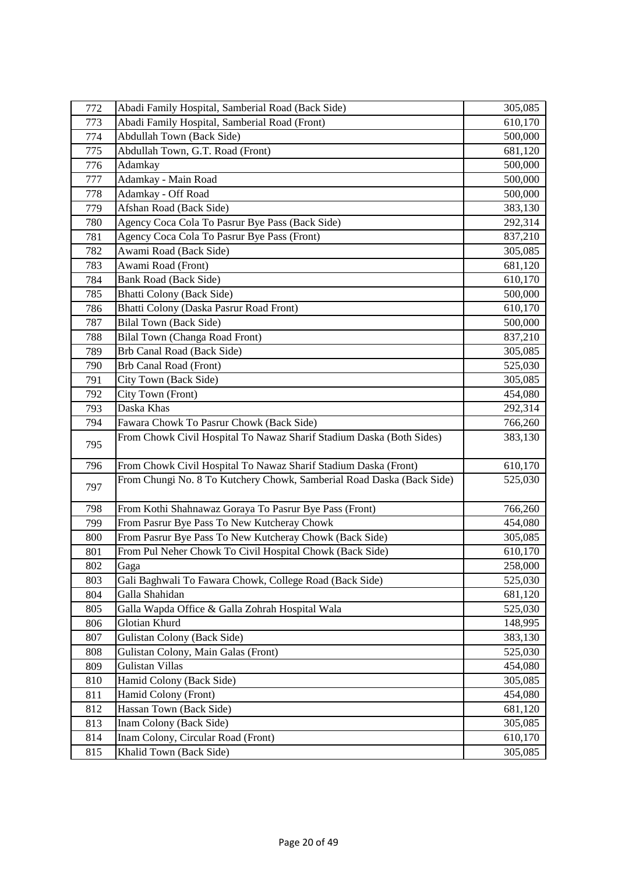| 772 | Abadi Family Hospital, Samberial Road (Back Side)                     | 305,085 |
|-----|-----------------------------------------------------------------------|---------|
| 773 | Abadi Family Hospital, Samberial Road (Front)                         | 610,170 |
| 774 | <b>Abdullah Town (Back Side)</b>                                      | 500,000 |
| 775 | Abdullah Town, G.T. Road (Front)                                      | 681,120 |
| 776 | Adamkay                                                               | 500,000 |
| 777 | Adamkay - Main Road                                                   | 500,000 |
| 778 | Adamkay - Off Road                                                    | 500,000 |
| 779 | Afshan Road (Back Side)                                               | 383,130 |
| 780 | Agency Coca Cola To Pasrur Bye Pass (Back Side)                       | 292,314 |
| 781 | Agency Coca Cola To Pasrur Bye Pass (Front)                           | 837,210 |
| 782 | Awami Road (Back Side)                                                | 305,085 |
| 783 | Awami Road (Front)                                                    | 681,120 |
| 784 | Bank Road (Back Side)                                                 | 610,170 |
| 785 | <b>Bhatti Colony (Back Side)</b>                                      | 500,000 |
| 786 | Bhatti Colony (Daska Pasrur Road Front)                               | 610,170 |
| 787 | <b>Bilal Town (Back Side)</b>                                         | 500,000 |
| 788 | Bilal Town (Changa Road Front)                                        | 837,210 |
| 789 | Brb Canal Road (Back Side)                                            | 305,085 |
| 790 | <b>Brb Canal Road (Front)</b>                                         | 525,030 |
| 791 | City Town (Back Side)                                                 | 305,085 |
| 792 | City Town (Front)                                                     | 454,080 |
| 793 | Daska Khas                                                            | 292,314 |
| 794 | Fawara Chowk To Pasrur Chowk (Back Side)                              | 766,260 |
| 795 | From Chowk Civil Hospital To Nawaz Sharif Stadium Daska (Both Sides)  | 383,130 |
| 796 | From Chowk Civil Hospital To Nawaz Sharif Stadium Daska (Front)       | 610,170 |
| 797 | From Chungi No. 8 To Kutchery Chowk, Samberial Road Daska (Back Side) | 525,030 |
| 798 | From Kothi Shahnawaz Goraya To Pasrur Bye Pass (Front)                | 766,260 |
| 799 | From Pasrur Bye Pass To New Kutcheray Chowk                           | 454,080 |
| 800 | From Pasrur Bye Pass To New Kutcheray Chowk (Back Side)               | 305,085 |
| 801 | From Pul Neher Chowk To Civil Hospital Chowk (Back Side)              | 610,170 |
| 802 | Gaga                                                                  | 258,000 |
| 803 | Gali Baghwali To Fawara Chowk, College Road (Back Side)               | 525,030 |
| 804 | Galla Shahidan                                                        | 681,120 |
| 805 | Galla Wapda Office & Galla Zohrah Hospital Wala                       | 525,030 |
| 806 | Glotian Khurd                                                         | 148,995 |
| 807 | <b>Gulistan Colony (Back Side)</b>                                    | 383,130 |
| 808 | Gulistan Colony, Main Galas (Front)                                   | 525,030 |
| 809 | Gulistan Villas                                                       | 454,080 |
| 810 | Hamid Colony (Back Side)                                              | 305,085 |
| 811 | Hamid Colony (Front)                                                  | 454,080 |
| 812 | Hassan Town (Back Side)                                               | 681,120 |
| 813 | Inam Colony (Back Side)                                               | 305,085 |
| 814 | Inam Colony, Circular Road (Front)                                    | 610,170 |
| 815 | Khalid Town (Back Side)                                               | 305,085 |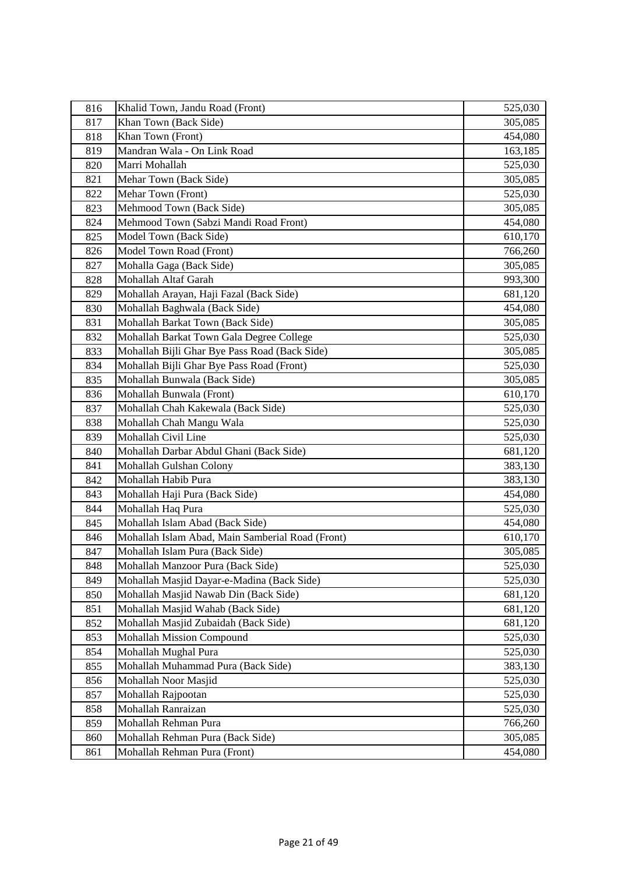| 816 | Khalid Town, Jandu Road (Front)                  | 525,030 |
|-----|--------------------------------------------------|---------|
| 817 | Khan Town (Back Side)                            | 305,085 |
| 818 | Khan Town (Front)                                | 454,080 |
| 819 | Mandran Wala - On Link Road                      | 163,185 |
| 820 | Marri Mohallah                                   | 525,030 |
| 821 | Mehar Town (Back Side)                           | 305,085 |
| 822 | Mehar Town (Front)                               | 525,030 |
| 823 | Mehmood Town (Back Side)                         | 305,085 |
| 824 | Mehmood Town (Sabzi Mandi Road Front)            | 454,080 |
| 825 | Model Town (Back Side)                           | 610,170 |
| 826 | Model Town Road (Front)                          | 766,260 |
| 827 | Mohalla Gaga (Back Side)                         | 305,085 |
| 828 | Mohallah Altaf Garah                             | 993,300 |
| 829 | Mohallah Arayan, Haji Fazal (Back Side)          | 681,120 |
| 830 | Mohallah Baghwala (Back Side)                    | 454,080 |
| 831 | Mohallah Barkat Town (Back Side)                 | 305,085 |
| 832 | Mohallah Barkat Town Gala Degree College         | 525,030 |
| 833 | Mohallah Bijli Ghar Bye Pass Road (Back Side)    | 305,085 |
| 834 | Mohallah Bijli Ghar Bye Pass Road (Front)        | 525,030 |
| 835 | Mohallah Bunwala (Back Side)                     | 305,085 |
| 836 | Mohallah Bunwala (Front)                         | 610,170 |
| 837 | Mohallah Chah Kakewala (Back Side)               | 525,030 |
| 838 | Mohallah Chah Mangu Wala                         | 525,030 |
| 839 | Mohallah Civil Line                              | 525,030 |
| 840 | Mohallah Darbar Abdul Ghani (Back Side)          | 681,120 |
| 841 | Mohallah Gulshan Colony                          | 383,130 |
| 842 | Mohallah Habib Pura                              | 383,130 |
| 843 | Mohallah Haji Pura (Back Side)                   | 454,080 |
| 844 | Mohallah Haq Pura                                | 525,030 |
| 845 | Mohallah Islam Abad (Back Side)                  | 454,080 |
| 846 | Mohallah Islam Abad, Main Samberial Road (Front) | 610,170 |
| 847 | Mohallah Islam Pura (Back Side)                  | 305,085 |
| 848 | Mohallah Manzoor Pura (Back Side)                | 525,030 |
| 849 | Mohallah Masjid Dayar-e-Madina (Back Side)       | 525,030 |
| 850 | Mohallah Masjid Nawab Din (Back Side)            | 681,120 |
| 851 | Mohallah Masjid Wahab (Back Side)                | 681,120 |
| 852 | Mohallah Masjid Zubaidah (Back Side)             | 681,120 |
| 853 | <b>Mohallah Mission Compound</b>                 | 525,030 |
| 854 | Mohallah Mughal Pura                             | 525,030 |
| 855 | Mohallah Muhammad Pura (Back Side)               | 383,130 |
| 856 | Mohallah Noor Masjid                             | 525,030 |
| 857 | Mohallah Rajpootan                               | 525,030 |
| 858 | Mohallah Ranraizan                               | 525,030 |
| 859 | Mohallah Rehman Pura                             | 766,260 |
| 860 | Mohallah Rehman Pura (Back Side)                 | 305,085 |
| 861 | Mohallah Rehman Pura (Front)                     | 454,080 |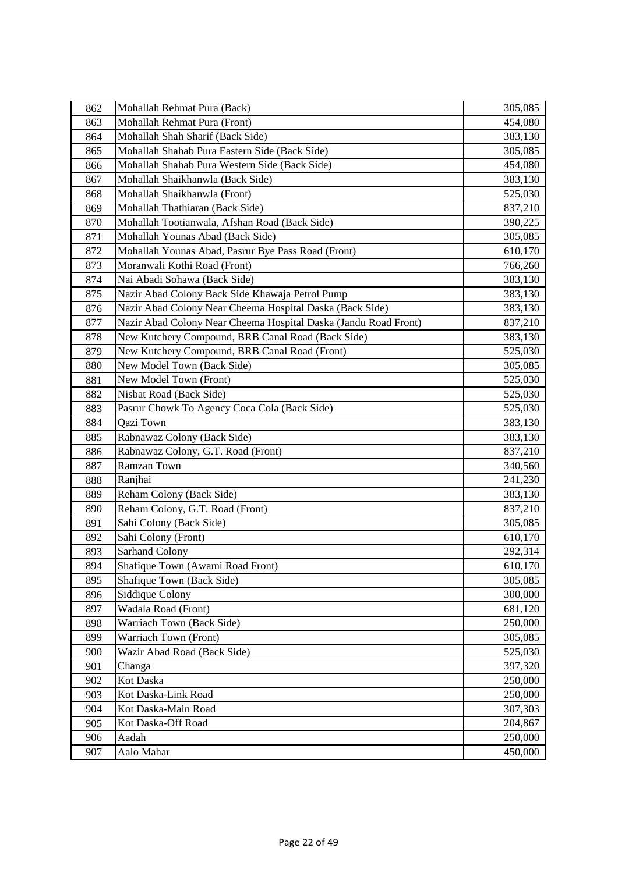| 862 | Mohallah Rehmat Pura (Back)                                     | 305,085 |
|-----|-----------------------------------------------------------------|---------|
| 863 | Mohallah Rehmat Pura (Front)                                    | 454,080 |
| 864 | Mohallah Shah Sharif (Back Side)                                | 383,130 |
| 865 | Mohallah Shahab Pura Eastern Side (Back Side)                   | 305,085 |
| 866 | Mohallah Shahab Pura Western Side (Back Side)                   | 454,080 |
| 867 | Mohallah Shaikhanwla (Back Side)                                | 383,130 |
| 868 | Mohallah Shaikhanwla (Front)                                    | 525,030 |
| 869 | Mohallah Thathiaran (Back Side)                                 | 837,210 |
| 870 | Mohallah Tootianwala, Afshan Road (Back Side)                   | 390,225 |
| 871 | Mohallah Younas Abad (Back Side)                                | 305,085 |
| 872 | Mohallah Younas Abad, Pasrur Bye Pass Road (Front)              | 610,170 |
| 873 | Moranwali Kothi Road (Front)                                    | 766,260 |
| 874 | Nai Abadi Sohawa (Back Side)                                    | 383,130 |
| 875 | Nazir Abad Colony Back Side Khawaja Petrol Pump                 | 383,130 |
| 876 | Nazir Abad Colony Near Cheema Hospital Daska (Back Side)        | 383,130 |
| 877 | Nazir Abad Colony Near Cheema Hospital Daska (Jandu Road Front) | 837,210 |
| 878 | New Kutchery Compound, BRB Canal Road (Back Side)               | 383,130 |
| 879 | New Kutchery Compound, BRB Canal Road (Front)                   | 525,030 |
| 880 | New Model Town (Back Side)                                      | 305,085 |
| 881 | New Model Town (Front)                                          | 525,030 |
| 882 | Nisbat Road (Back Side)                                         | 525,030 |
| 883 | Pasrur Chowk To Agency Coca Cola (Back Side)                    | 525,030 |
| 884 | Qazi Town                                                       | 383,130 |
| 885 | Rabnawaz Colony (Back Side)                                     | 383,130 |
| 886 | Rabnawaz Colony, G.T. Road (Front)                              | 837,210 |
| 887 | Ramzan Town                                                     | 340,560 |
| 888 | Ranjhai                                                         | 241,230 |
| 889 | Reham Colony (Back Side)                                        | 383,130 |
| 890 | Reham Colony, G.T. Road (Front)                                 | 837,210 |
| 891 | Sahi Colony (Back Side)                                         | 305,085 |
| 892 | Sahi Colony (Front)                                             | 610,170 |
| 893 | Sarhand Colony                                                  | 292,314 |
| 894 | Shafique Town (Awami Road Front)                                | 610,170 |
| 895 | Shafique Town (Back Side)                                       | 305,085 |
| 896 | Siddique Colony                                                 | 300,000 |
| 897 | Wadala Road (Front)                                             | 681,120 |
| 898 | Warriach Town (Back Side)                                       | 250,000 |
| 899 | Warriach Town (Front)                                           | 305,085 |
| 900 | Wazir Abad Road (Back Side)                                     | 525,030 |
| 901 | Changa                                                          | 397,320 |
| 902 | Kot Daska                                                       | 250,000 |
| 903 | Kot Daska-Link Road                                             | 250,000 |
| 904 | Kot Daska-Main Road                                             | 307,303 |
| 905 | Kot Daska-Off Road                                              | 204,867 |
| 906 | Aadah                                                           | 250,000 |
| 907 | Aalo Mahar                                                      | 450,000 |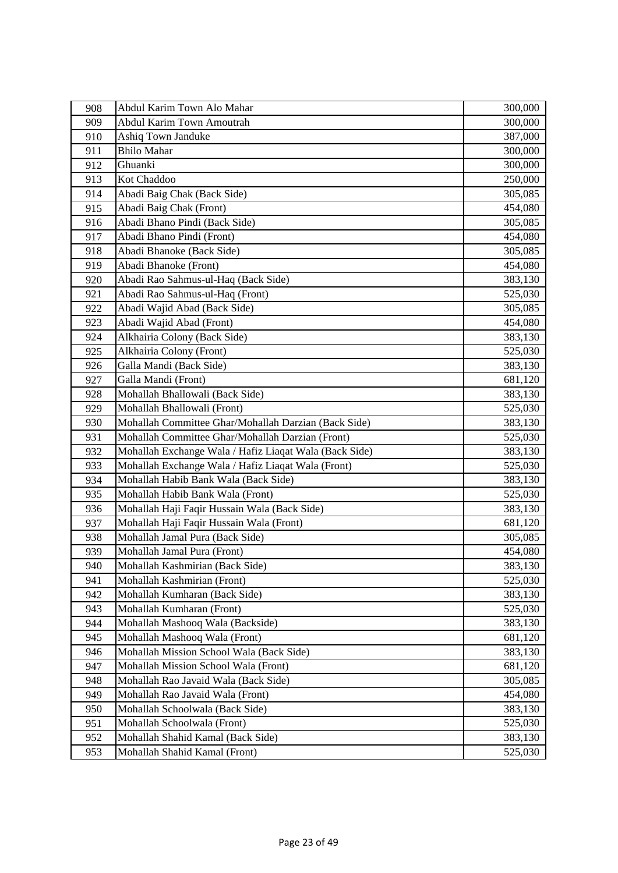| 908 | Abdul Karim Town Alo Mahar                             | 300,000 |
|-----|--------------------------------------------------------|---------|
| 909 | <b>Abdul Karim Town Amoutrah</b>                       | 300,000 |
| 910 | Ashiq Town Janduke                                     | 387,000 |
| 911 | <b>Bhilo Mahar</b>                                     | 300,000 |
| 912 | Ghuanki                                                | 300,000 |
| 913 | Kot Chaddoo                                            | 250,000 |
| 914 | Abadi Baig Chak (Back Side)                            | 305,085 |
| 915 | Abadi Baig Chak (Front)                                | 454,080 |
| 916 | Abadi Bhano Pindi (Back Side)                          | 305,085 |
| 917 | Abadi Bhano Pindi (Front)                              | 454,080 |
| 918 | Abadi Bhanoke (Back Side)                              | 305,085 |
| 919 | Abadi Bhanoke (Front)                                  | 454,080 |
| 920 | Abadi Rao Sahmus-ul-Haq (Back Side)                    | 383,130 |
| 921 | Abadi Rao Sahmus-ul-Haq (Front)                        | 525,030 |
| 922 | Abadi Wajid Abad (Back Side)                           | 305,085 |
| 923 | Abadi Wajid Abad (Front)                               | 454,080 |
| 924 | Alkhairia Colony (Back Side)                           | 383,130 |
| 925 | Alkhairia Colony (Front)                               | 525,030 |
| 926 | Galla Mandi (Back Side)                                | 383,130 |
| 927 | Galla Mandi (Front)                                    | 681,120 |
| 928 | Mohallah Bhallowali (Back Side)                        | 383,130 |
| 929 | Mohallah Bhallowali (Front)                            | 525,030 |
| 930 | Mohallah Committee Ghar/Mohallah Darzian (Back Side)   | 383,130 |
| 931 | Mohallah Committee Ghar/Mohallah Darzian (Front)       | 525,030 |
| 932 | Mohallah Exchange Wala / Hafiz Liaqat Wala (Back Side) | 383,130 |
| 933 | Mohallah Exchange Wala / Hafiz Liaqat Wala (Front)     | 525,030 |
| 934 | Mohallah Habib Bank Wala (Back Side)                   | 383,130 |
| 935 | Mohallah Habib Bank Wala (Front)                       | 525,030 |
| 936 | Mohallah Haji Faqir Hussain Wala (Back Side)           | 383,130 |
| 937 | Mohallah Haji Faqir Hussain Wala (Front)               | 681,120 |
| 938 | Mohallah Jamal Pura (Back Side)                        | 305,085 |
| 939 | Mohallah Jamal Pura (Front)                            | 454,080 |
| 940 | Mohallah Kashmirian (Back Side)                        | 383,130 |
| 941 | Mohallah Kashmirian (Front)                            | 525,030 |
| 942 | Mohallah Kumharan (Back Side)                          | 383,130 |
| 943 | Mohallah Kumharan (Front)                              | 525,030 |
| 944 | Mohallah Mashooq Wala (Backside)                       | 383,130 |
| 945 | Mohallah Mashooq Wala (Front)                          | 681,120 |
| 946 | Mohallah Mission School Wala (Back Side)               | 383,130 |
| 947 | Mohallah Mission School Wala (Front)                   | 681,120 |
| 948 | Mohallah Rao Javaid Wala (Back Side)                   | 305,085 |
| 949 | Mohallah Rao Javaid Wala (Front)                       | 454,080 |
| 950 | Mohallah Schoolwala (Back Side)                        | 383,130 |
| 951 | Mohallah Schoolwala (Front)                            | 525,030 |
| 952 | Mohallah Shahid Kamal (Back Side)                      | 383,130 |
| 953 | Mohallah Shahid Kamal (Front)                          | 525,030 |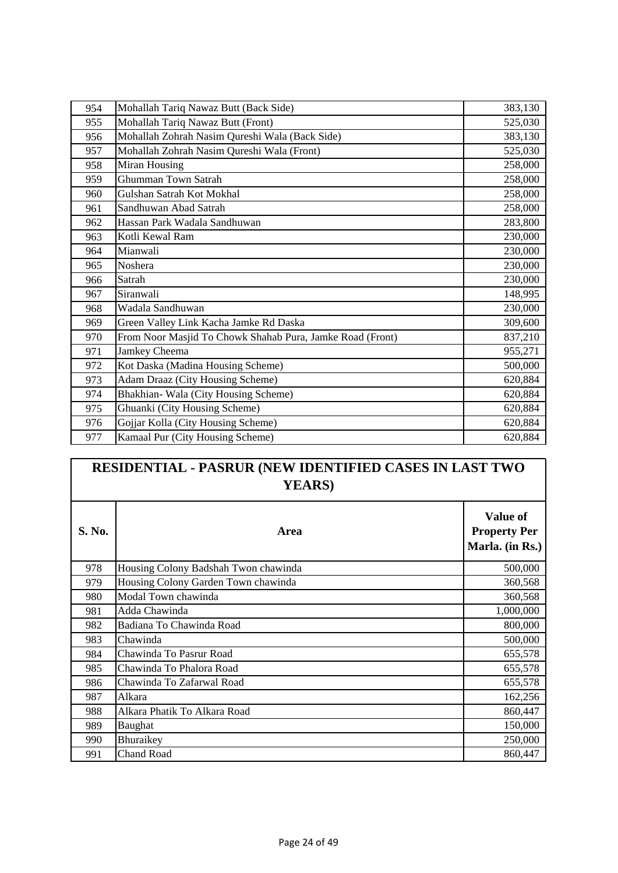| 954 | Mohallah Tariq Nawaz Butt (Back Side)                     | 383,130 |
|-----|-----------------------------------------------------------|---------|
| 955 | Mohallah Tariq Nawaz Butt (Front)                         | 525,030 |
| 956 | Mohallah Zohrah Nasim Qureshi Wala (Back Side)            | 383,130 |
| 957 | Mohallah Zohrah Nasim Qureshi Wala (Front)                | 525,030 |
| 958 | Miran Housing                                             | 258,000 |
| 959 | <b>Ghumman Town Satrah</b>                                | 258,000 |
| 960 | Gulshan Satrah Kot Mokhal                                 | 258,000 |
| 961 | Sandhuwan Abad Satrah                                     | 258,000 |
| 962 | Hassan Park Wadala Sandhuwan                              | 283,800 |
| 963 | Kotli Kewal Ram                                           | 230,000 |
| 964 | Mianwali                                                  | 230,000 |
| 965 | Noshera                                                   | 230,000 |
| 966 | Satrah                                                    | 230,000 |
| 967 | Siranwali                                                 | 148,995 |
| 968 | Wadala Sandhuwan                                          | 230,000 |
| 969 | Green Valley Link Kacha Jamke Rd Daska                    | 309,600 |
| 970 | From Noor Masjid To Chowk Shahab Pura, Jamke Road (Front) | 837,210 |
| 971 | Jamkey Cheema                                             | 955,271 |
| 972 | Kot Daska (Madina Housing Scheme)                         | 500,000 |
| 973 | Adam Draaz (City Housing Scheme)                          | 620,884 |
| 974 | Bhakhian- Wala (City Housing Scheme)                      | 620,884 |
| 975 | Ghuanki (City Housing Scheme)                             | 620,884 |
| 976 | Gojjar Kolla (City Housing Scheme)                        | 620,884 |
| 977 | Kamaal Pur (City Housing Scheme)                          | 620,884 |

## **RESIDENTIAL - PASRUR (NEW IDENTIFIED CASES IN LAST TWO YEARS)**

| <b>S. No.</b> | Area                                 | <b>Value of</b><br><b>Property Per</b><br>Marla. (in Rs.) |
|---------------|--------------------------------------|-----------------------------------------------------------|
| 978           | Housing Colony Badshah Twon chawinda | 500,000                                                   |
| 979           | Housing Colony Garden Town chawinda  | 360,568                                                   |
| 980           | Modal Town chawinda                  | 360,568                                                   |
| 981           | Adda Chawinda                        | 1,000,000                                                 |
| 982           | Badiana To Chawinda Road             | 800,000                                                   |
| 983           | Chawinda                             | 500,000                                                   |
| 984           | Chawinda To Pasrur Road              | 655,578                                                   |
| 985           | Chawinda To Phalora Road             | 655,578                                                   |
| 986           | Chawinda To Zafarwal Road            | 655,578                                                   |
| 987           | Alkara                               | 162,256                                                   |
| 988           | Alkara Phatik To Alkara Road         | 860,447                                                   |
| 989           | Baughat                              | 150,000                                                   |
| 990           | Bhuraikey                            | 250,000                                                   |
| 991           | <b>Chand Road</b>                    | 860,447                                                   |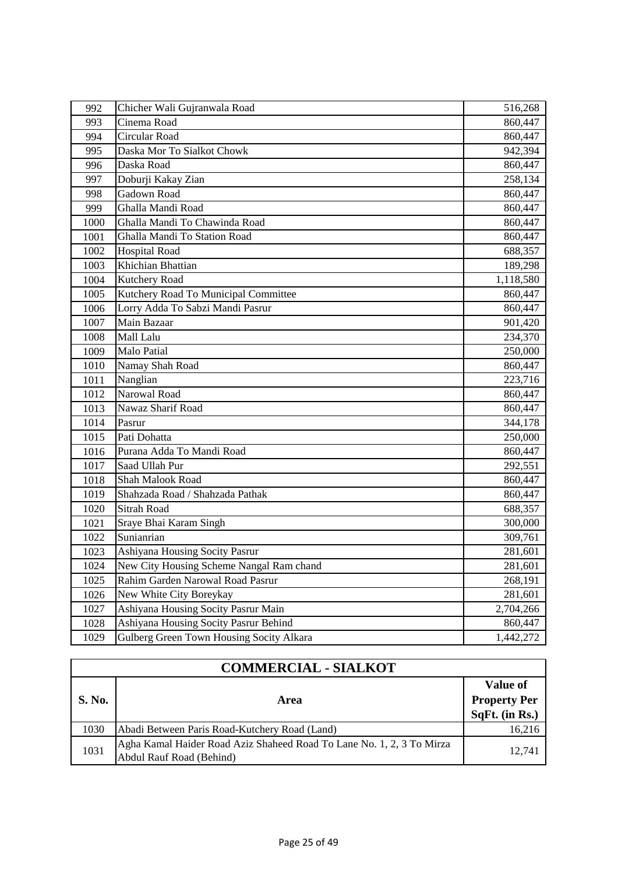| 992  | Chicher Wali Gujranwala Road             | 516,268   |
|------|------------------------------------------|-----------|
| 993  | Cinema Road                              | 860,447   |
| 994  | Circular Road                            | 860,447   |
| 995  | Daska Mor To Sialkot Chowk               | 942,394   |
| 996  | Daska Road                               | 860,447   |
| 997  | Doburji Kakay Zian                       | 258,134   |
| 998  | Gadown Road                              | 860,447   |
| 999  | Ghalla Mandi Road                        | 860,447   |
| 1000 | Ghalla Mandi To Chawinda Road            | 860,447   |
| 1001 | Ghalla Mandi To Station Road             | 860,447   |
| 1002 | <b>Hospital Road</b>                     | 688,357   |
| 1003 | Khichian Bhattian                        | 189,298   |
| 1004 | Kutchery Road                            | 1,118,580 |
| 1005 | Kutchery Road To Municipal Committee     | 860,447   |
| 1006 | Lorry Adda To Sabzi Mandi Pasrur         | 860,447   |
| 1007 | Main Bazaar                              | 901,420   |
| 1008 | Mall Lalu                                | 234,370   |
| 1009 | <b>Malo Patial</b>                       | 250,000   |
| 1010 | Namay Shah Road                          | 860,447   |
| 1011 | Nanglian                                 | 223,716   |
| 1012 | Narowal Road                             | 860,447   |
| 1013 | Nawaz Sharif Road                        | 860,447   |
| 1014 | Pasrur                                   | 344,178   |
| 1015 | Pati Dohatta                             | 250,000   |
| 1016 | Purana Adda To Mandi Road                | 860,447   |
| 1017 | Saad Ullah Pur                           | 292,551   |
| 1018 | Shah Malook Road                         | 860,447   |
| 1019 | Shahzada Road / Shahzada Pathak          | 860,447   |
| 1020 | <b>Sitrah Road</b>                       | 688,357   |
| 1021 | Sraye Bhai Karam Singh                   | 300,000   |
| 1022 | Sunianrian                               | 309,761   |
| 1023 | Ashiyana Housing Socity Pasrur           | 281,601   |
| 1024 | New City Housing Scheme Nangal Ram chand | 281,601   |
| 1025 | Rahim Garden Narowal Road Pasrur         | 268,191   |
| 1026 | New White City Boreykay                  | 281,601   |
| 1027 | Ashiyana Housing Socity Pasrur Main      | 2,704,266 |
| 1028 | Ashiyana Housing Socity Pasrur Behind    | 860,447   |
| 1029 | Gulberg Green Town Housing Socity Alkara | 1,442,272 |

| <b>COMMERCIAL - SIALKOT</b> |                                                                                                   |                                                   |
|-----------------------------|---------------------------------------------------------------------------------------------------|---------------------------------------------------|
| <b>S. No.</b>               | Area                                                                                              | Value of<br><b>Property Per</b><br>SqFt. (in Rs.) |
| 1030                        | Abadi Between Paris Road-Kutchery Road (Land)                                                     | 16,216                                            |
| 1031                        | Agha Kamal Haider Road Aziz Shaheed Road To Lane No. 1, 2, 3 To Mirza<br>Abdul Rauf Road (Behind) | 12.741                                            |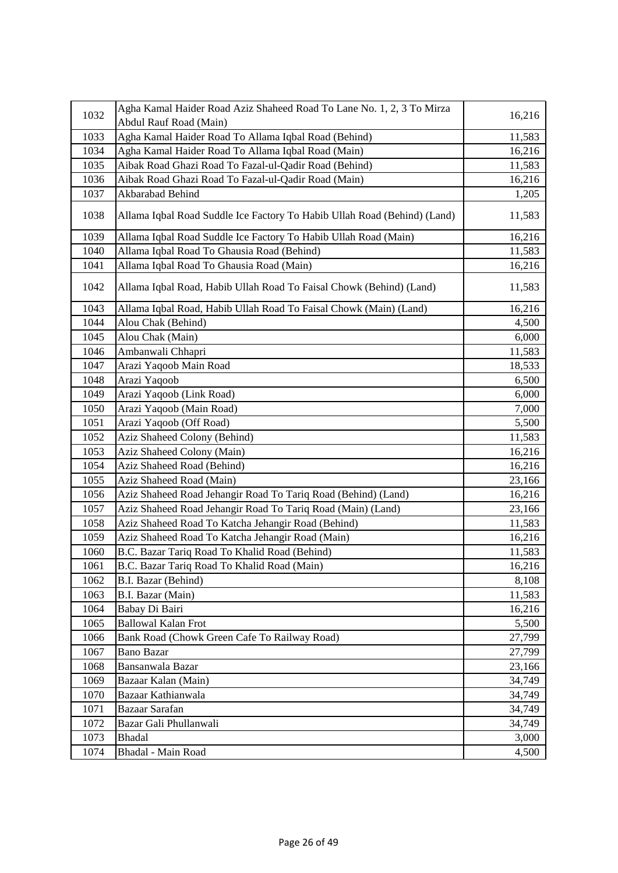| 1032 | Agha Kamal Haider Road Aziz Shaheed Road To Lane No. 1, 2, 3 To Mirza    | 16,216 |
|------|--------------------------------------------------------------------------|--------|
|      | Abdul Rauf Road (Main)                                                   |        |
| 1033 | Agha Kamal Haider Road To Allama Iqbal Road (Behind)                     | 11,583 |
| 1034 | Agha Kamal Haider Road To Allama Iqbal Road (Main)                       | 16,216 |
| 1035 | Aibak Road Ghazi Road To Fazal-ul-Qadir Road (Behind)                    | 11,583 |
| 1036 | Aibak Road Ghazi Road To Fazal-ul-Qadir Road (Main)                      | 16,216 |
| 1037 | Akbarabad Behind                                                         | 1,205  |
| 1038 | Allama Iqbal Road Suddle Ice Factory To Habib Ullah Road (Behind) (Land) | 11,583 |
| 1039 | Allama Iqbal Road Suddle Ice Factory To Habib Ullah Road (Main)          | 16,216 |
| 1040 | Allama Iqbal Road To Ghausia Road (Behind)                               | 11,583 |
| 1041 | Allama Iqbal Road To Ghausia Road (Main)                                 | 16,216 |
| 1042 | Allama Iqbal Road, Habib Ullah Road To Faisal Chowk (Behind) (Land)      | 11,583 |
| 1043 | Allama Iqbal Road, Habib Ullah Road To Faisal Chowk (Main) (Land)        | 16,216 |
| 1044 | Alou Chak (Behind)                                                       | 4,500  |
| 1045 | Alou Chak (Main)                                                         | 6,000  |
| 1046 | Ambanwali Chhapri                                                        | 11,583 |
| 1047 | Arazi Yaqoob Main Road                                                   | 18,533 |
| 1048 | Arazi Yaqoob                                                             | 6,500  |
| 1049 | Arazi Yaqoob (Link Road)                                                 | 6,000  |
| 1050 | Arazi Yaqoob (Main Road)                                                 | 7,000  |
| 1051 | Arazi Yaqoob (Off Road)                                                  | 5,500  |
| 1052 | Aziz Shaheed Colony (Behind)                                             | 11,583 |
| 1053 | Aziz Shaheed Colony (Main)                                               | 16,216 |
| 1054 | Aziz Shaheed Road (Behind)                                               | 16,216 |
| 1055 | Aziz Shaheed Road (Main)                                                 | 23,166 |
| 1056 | Aziz Shaheed Road Jehangir Road To Tariq Road (Behind) (Land)            | 16,216 |
| 1057 | Aziz Shaheed Road Jehangir Road To Tariq Road (Main) (Land)              | 23,166 |
| 1058 | Aziz Shaheed Road To Katcha Jehangir Road (Behind)                       | 11,583 |
| 1059 | Aziz Shaheed Road To Katcha Jehangir Road (Main)                         | 16,216 |
| 1060 | B.C. Bazar Tariq Road To Khalid Road (Behind)                            | 11,583 |
| 1061 | B.C. Bazar Tariq Road To Khalid Road (Main)                              | 16,216 |
| 1062 | B.I. Bazar (Behind)                                                      | 8,108  |
| 1063 | B.I. Bazar (Main)                                                        | 11,583 |
| 1064 | Babay Di Bairi                                                           | 16,216 |
| 1065 | <b>Ballowal Kalan Frot</b>                                               | 5,500  |
| 1066 | Bank Road (Chowk Green Cafe To Railway Road)                             | 27,799 |
| 1067 | <b>Bano Bazar</b>                                                        | 27,799 |
| 1068 | Bansanwala Bazar                                                         | 23,166 |
| 1069 | Bazaar Kalan (Main)                                                      | 34,749 |
| 1070 | Bazaar Kathianwala                                                       | 34,749 |
| 1071 | Bazaar Sarafan                                                           | 34,749 |
| 1072 | Bazar Gali Phullanwali                                                   | 34,749 |
| 1073 | <b>Bhadal</b>                                                            | 3,000  |
| 1074 | Bhadal - Main Road                                                       | 4,500  |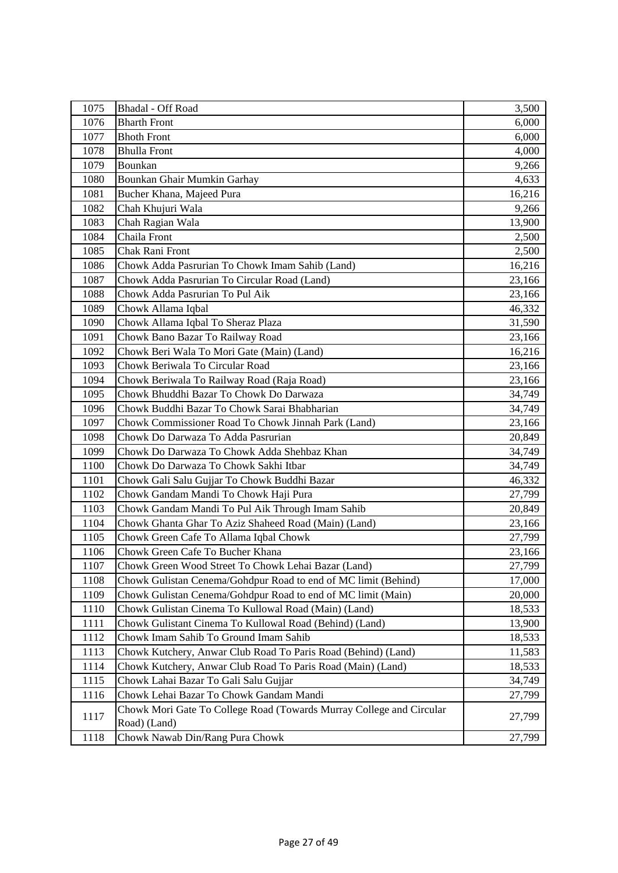| 1075 | Bhadal - Off Road                                                                    | 3,500  |
|------|--------------------------------------------------------------------------------------|--------|
| 1076 | <b>Bharth Front</b>                                                                  | 6,000  |
| 1077 | <b>Bhoth Front</b>                                                                   | 6,000  |
| 1078 | <b>Bhulla Front</b>                                                                  | 4,000  |
| 1079 | Bounkan                                                                              | 9,266  |
| 1080 | Bounkan Ghair Mumkin Garhay                                                          | 4,633  |
| 1081 | Bucher Khana, Majeed Pura                                                            | 16,216 |
| 1082 | Chah Khujuri Wala                                                                    | 9,266  |
| 1083 | Chah Ragian Wala                                                                     | 13,900 |
| 1084 | Chaila Front                                                                         | 2,500  |
| 1085 | Chak Rani Front                                                                      | 2,500  |
| 1086 | Chowk Adda Pasrurian To Chowk Imam Sahib (Land)                                      | 16,216 |
| 1087 | Chowk Adda Pasrurian To Circular Road (Land)                                         | 23,166 |
| 1088 | Chowk Adda Pasrurian To Pul Aik                                                      | 23,166 |
| 1089 | Chowk Allama Iqbal                                                                   | 46,332 |
| 1090 | Chowk Allama Iqbal To Sheraz Plaza                                                   | 31,590 |
| 1091 | Chowk Bano Bazar To Railway Road                                                     | 23,166 |
| 1092 | Chowk Beri Wala To Mori Gate (Main) (Land)                                           | 16,216 |
| 1093 | Chowk Beriwala To Circular Road                                                      | 23,166 |
| 1094 | Chowk Beriwala To Railway Road (Raja Road)                                           | 23,166 |
| 1095 | Chowk Bhuddhi Bazar To Chowk Do Darwaza                                              | 34,749 |
| 1096 | Chowk Buddhi Bazar To Chowk Sarai Bhabharian                                         | 34,749 |
| 1097 | Chowk Commissioner Road To Chowk Jinnah Park (Land)                                  | 23,166 |
| 1098 | Chowk Do Darwaza To Adda Pasrurian                                                   | 20,849 |
| 1099 | Chowk Do Darwaza To Chowk Adda Shehbaz Khan                                          | 34,749 |
| 1100 | Chowk Do Darwaza To Chowk Sakhi Itbar                                                | 34,749 |
| 1101 | Chowk Gali Salu Gujjar To Chowk Buddhi Bazar                                         | 46,332 |
| 1102 | Chowk Gandam Mandi To Chowk Haji Pura                                                | 27,799 |
| 1103 | Chowk Gandam Mandi To Pul Aik Through Imam Sahib                                     | 20,849 |
| 1104 | Chowk Ghanta Ghar To Aziz Shaheed Road (Main) (Land)                                 | 23,166 |
| 1105 | Chowk Green Cafe To Allama Iqbal Chowk                                               | 27,799 |
| 1106 | Chowk Green Cafe To Bucher Khana                                                     | 23,166 |
| 1107 | Chowk Green Wood Street To Chowk Lehai Bazar (Land)                                  | 27,799 |
| 1108 | Chowk Gulistan Cenema/Gohdpur Road to end of MC limit (Behind)                       | 17,000 |
| 1109 | Chowk Gulistan Cenema/Gohdpur Road to end of MC limit (Main)                         | 20,000 |
| 1110 | Chowk Gulistan Cinema To Kullowal Road (Main) (Land)                                 | 18,533 |
| 1111 | Chowk Gulistant Cinema To Kullowal Road (Behind) (Land)                              | 13,900 |
| 1112 | Chowk Imam Sahib To Ground Imam Sahib                                                | 18,533 |
| 1113 | Chowk Kutchery, Anwar Club Road To Paris Road (Behind) (Land)                        | 11,583 |
| 1114 | Chowk Kutchery, Anwar Club Road To Paris Road (Main) (Land)                          | 18,533 |
| 1115 | Chowk Lahai Bazar To Gali Salu Gujjar                                                | 34,749 |
| 1116 | Chowk Lehai Bazar To Chowk Gandam Mandi                                              | 27,799 |
| 1117 | Chowk Mori Gate To College Road (Towards Murray College and Circular<br>Road) (Land) | 27,799 |
| 1118 | Chowk Nawab Din/Rang Pura Chowk                                                      | 27,799 |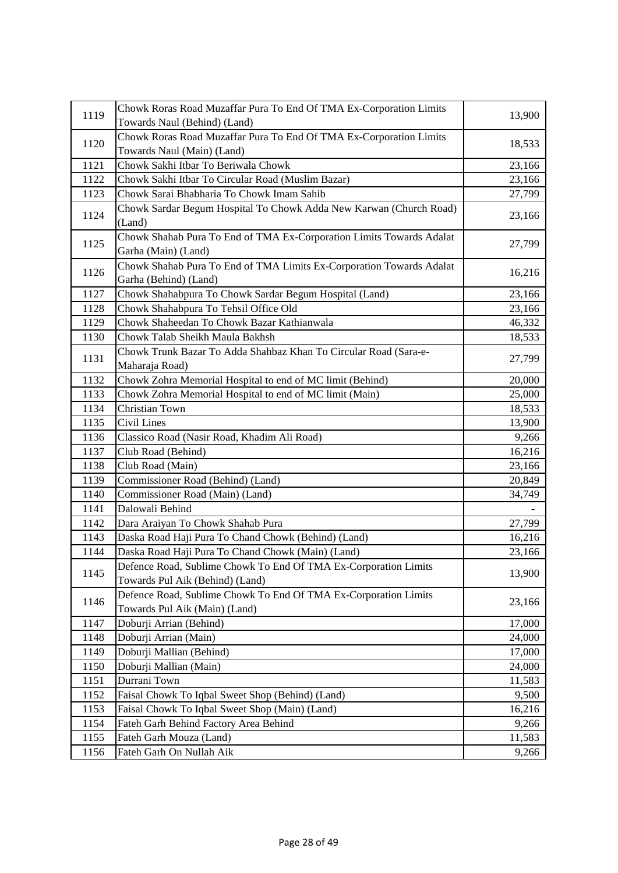| 1119 | Chowk Roras Road Muzaffar Pura To End Of TMA Ex-Corporation Limits                               |        |
|------|--------------------------------------------------------------------------------------------------|--------|
|      | Towards Naul (Behind) (Land)                                                                     | 13,900 |
|      | Chowk Roras Road Muzaffar Pura To End Of TMA Ex-Corporation Limits                               |        |
| 1120 | Towards Naul (Main) (Land)                                                                       | 18,533 |
| 1121 | Chowk Sakhi Itbar To Beriwala Chowk                                                              | 23,166 |
| 1122 | Chowk Sakhi Itbar To Circular Road (Muslim Bazar)                                                | 23,166 |
| 1123 | Chowk Sarai Bhabharia To Chowk Imam Sahib                                                        | 27,799 |
| 1124 | Chowk Sardar Begum Hospital To Chowk Adda New Karwan (Church Road)<br>(Land)                     | 23,166 |
| 1125 | Chowk Shahab Pura To End of TMA Ex-Corporation Limits Towards Adalat<br>Garha (Main) (Land)      | 27,799 |
| 1126 | Chowk Shahab Pura To End of TMA Limits Ex-Corporation Towards Adalat<br>Garha (Behind) (Land)    | 16,216 |
| 1127 | Chowk Shahabpura To Chowk Sardar Begum Hospital (Land)                                           | 23,166 |
| 1128 | Chowk Shahabpura To Tehsil Office Old                                                            | 23,166 |
| 1129 | Chowk Shaheedan To Chowk Bazar Kathianwala                                                       | 46,332 |
| 1130 | Chowk Talab Sheikh Maula Bakhsh                                                                  | 18,533 |
| 1131 | Chowk Trunk Bazar To Adda Shahbaz Khan To Circular Road (Sara-e-<br>Maharaja Road)               | 27,799 |
| 1132 | Chowk Zohra Memorial Hospital to end of MC limit (Behind)                                        | 20,000 |
| 1133 | Chowk Zohra Memorial Hospital to end of MC limit (Main)                                          | 25,000 |
| 1134 | Christian Town                                                                                   | 18,533 |
| 1135 | Civil Lines                                                                                      | 13,900 |
| 1136 | Classico Road (Nasir Road, Khadim Ali Road)                                                      | 9,266  |
| 1137 | Club Road (Behind)                                                                               | 16,216 |
| 1138 | Club Road (Main)                                                                                 | 23,166 |
| 1139 | Commissioner Road (Behind) (Land)                                                                | 20,849 |
| 1140 | Commissioner Road (Main) (Land)                                                                  | 34,749 |
| 1141 | Dalowali Behind                                                                                  |        |
| 1142 | Dara Araiyan To Chowk Shahab Pura                                                                | 27,799 |
| 1143 | Daska Road Haji Pura To Chand Chowk (Behind) (Land)                                              | 16,216 |
| 1144 | Daska Road Haji Pura To Chand Chowk (Main) (Land)                                                | 23,166 |
|      | Defence Road, Sublime Chowk To End Of TMA Ex-Corporation Limits                                  |        |
| 1145 | Towards Pul Aik (Behind) (Land)                                                                  | 13,900 |
| 1146 | Defence Road, Sublime Chowk To End Of TMA Ex-Corporation Limits<br>Towards Pul Aik (Main) (Land) | 23,166 |
| 1147 | Doburji Arrian (Behind)                                                                          | 17,000 |
| 1148 | Doburji Arrian (Main)                                                                            | 24,000 |
| 1149 | Doburji Mallian (Behind)                                                                         | 17,000 |
| 1150 | Doburji Mallian (Main)                                                                           | 24,000 |
| 1151 | Durrani Town                                                                                     | 11,583 |
| 1152 | Faisal Chowk To Iqbal Sweet Shop (Behind) (Land)                                                 | 9,500  |
| 1153 | Faisal Chowk To Iqbal Sweet Shop (Main) (Land)                                                   | 16,216 |
| 1154 | Fateh Garh Behind Factory Area Behind                                                            | 9,266  |
| 1155 | Fateh Garh Mouza (Land)                                                                          | 11,583 |
| 1156 | Fateh Garh On Nullah Aik                                                                         | 9,266  |
|      |                                                                                                  |        |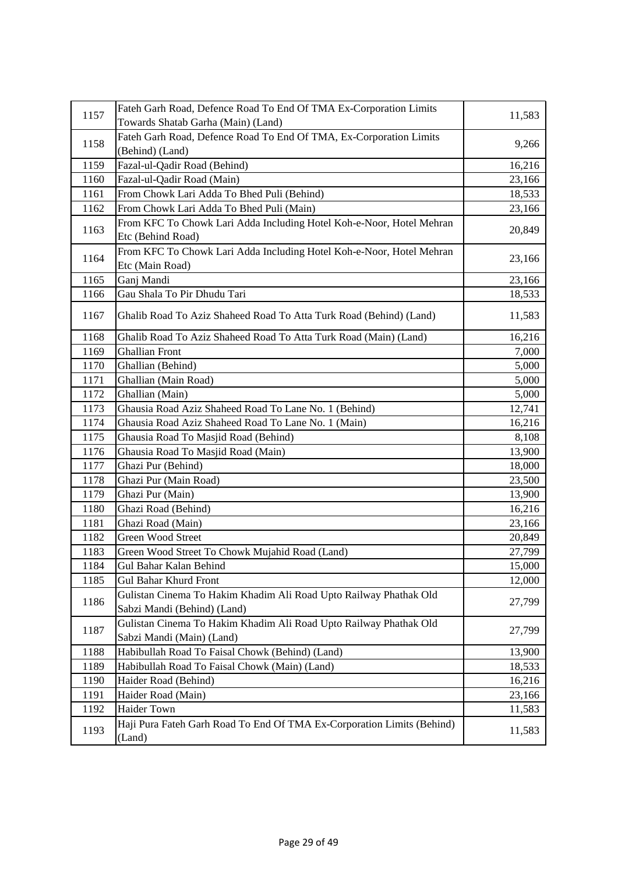| 1157 | Fateh Garh Road, Defence Road To End Of TMA Ex-Corporation Limits                                |                 |
|------|--------------------------------------------------------------------------------------------------|-----------------|
|      | Towards Shatab Garha (Main) (Land)                                                               | 11,583          |
|      | Fateh Garh Road, Defence Road To End Of TMA, Ex-Corporation Limits                               |                 |
| 1158 | (Behind) (Land)                                                                                  | 9,266           |
| 1159 | Fazal-ul-Qadir Road (Behind)                                                                     | 16,216          |
| 1160 | Fazal-ul-Qadir Road (Main)                                                                       | 23,166          |
| 1161 | From Chowk Lari Adda To Bhed Puli (Behind)                                                       | 18,533          |
| 1162 | From Chowk Lari Adda To Bhed Puli (Main)                                                         | 23,166          |
|      | From KFC To Chowk Lari Adda Including Hotel Koh-e-Noor, Hotel Mehran                             |                 |
| 1163 | Etc (Behind Road)                                                                                | 20,849          |
|      | From KFC To Chowk Lari Adda Including Hotel Koh-e-Noor, Hotel Mehran                             |                 |
| 1164 | Etc (Main Road)                                                                                  | 23,166          |
| 1165 | Ganj Mandi                                                                                       | 23,166          |
| 1166 | Gau Shala To Pir Dhudu Tari                                                                      | 18,533          |
| 1167 | Ghalib Road To Aziz Shaheed Road To Atta Turk Road (Behind) (Land)                               | 11,583          |
| 1168 | Ghalib Road To Aziz Shaheed Road To Atta Turk Road (Main) (Land)                                 |                 |
| 1169 | <b>Ghallian Front</b>                                                                            | 16,216<br>7,000 |
|      |                                                                                                  |                 |
| 1170 | Ghallian (Behind)                                                                                | 5,000           |
| 1171 | Ghallian (Main Road)                                                                             | 5,000           |
| 1172 | Ghallian (Main)                                                                                  | 5,000           |
| 1173 | Ghausia Road Aziz Shaheed Road To Lane No. 1 (Behind)                                            | 12,741          |
| 1174 | Ghausia Road Aziz Shaheed Road To Lane No. 1 (Main)                                              | 16,216          |
| 1175 | Ghausia Road To Masjid Road (Behind)                                                             | 8,108           |
| 1176 | Ghausia Road To Masjid Road (Main)                                                               | 13,900          |
| 1177 | Ghazi Pur (Behind)                                                                               | 18,000          |
| 1178 | Ghazi Pur (Main Road)                                                                            | 23,500          |
| 1179 | Ghazi Pur (Main)                                                                                 | 13,900          |
| 1180 | Ghazi Road (Behind)                                                                              | 16,216          |
| 1181 | Ghazi Road (Main)                                                                                | 23,166          |
| 1182 | <b>Green Wood Street</b>                                                                         | 20,849          |
| 1183 | Green Wood Street To Chowk Mujahid Road (Land)                                                   | 27,799          |
| 1184 | Gul Bahar Kalan Behind                                                                           | 15,000          |
| 1185 | <b>Gul Bahar Khurd Front</b>                                                                     | 12,000          |
| 1186 | Gulistan Cinema To Hakim Khadim Ali Road Upto Railway Phathak Old<br>Sabzi Mandi (Behind) (Land) | 27,799          |
|      | Gulistan Cinema To Hakim Khadim Ali Road Upto Railway Phathak Old                                |                 |
| 1187 | Sabzi Mandi (Main) (Land)                                                                        | 27,799          |
|      |                                                                                                  |                 |
| 1188 | Habibullah Road To Faisal Chowk (Behind) (Land)                                                  | 13,900          |
| 1189 | Habibullah Road To Faisal Chowk (Main) (Land)                                                    | 18,533          |
| 1190 | Haider Road (Behind)                                                                             | 16,216          |
| 1191 | Haider Road (Main)                                                                               | 23,166          |
| 1192 | Haider Town                                                                                      | 11,583          |
| 1193 | Haji Pura Fateh Garh Road To End Of TMA Ex-Corporation Limits (Behind)<br>(Land)                 | 11,583          |
|      |                                                                                                  |                 |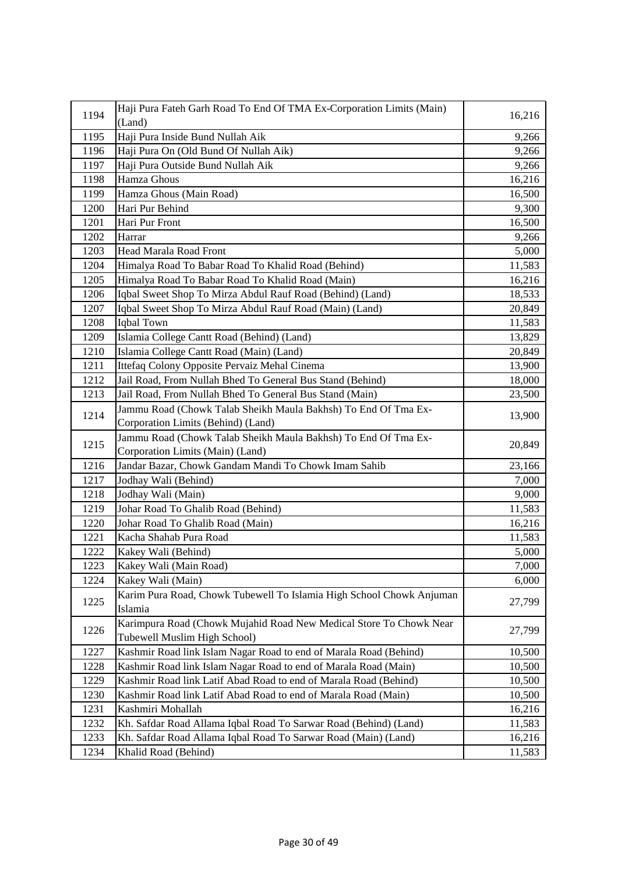| 1194 | Haji Pura Fateh Garh Road To End Of TMA Ex-Corporation Limits (Main) | 16,216 |
|------|----------------------------------------------------------------------|--------|
|      | (Land)                                                               |        |
| 1195 | Haji Pura Inside Bund Nullah Aik                                     | 9,266  |
| 1196 | Haji Pura On (Old Bund Of Nullah Aik)                                | 9,266  |
| 1197 | Haji Pura Outside Bund Nullah Aik                                    | 9,266  |
| 1198 | Hamza Ghous                                                          | 16,216 |
| 1199 | Hamza Ghous (Main Road)                                              | 16,500 |
| 1200 | Hari Pur Behind                                                      | 9,300  |
| 1201 | Hari Pur Front                                                       | 16,500 |
| 1202 | Harrar                                                               | 9,266  |
| 1203 | Head Marala Road Front                                               | 5,000  |
| 1204 | Himalya Road To Babar Road To Khalid Road (Behind)                   | 11,583 |
| 1205 | Himalya Road To Babar Road To Khalid Road (Main)                     | 16,216 |
| 1206 | Iqbal Sweet Shop To Mirza Abdul Rauf Road (Behind) (Land)            | 18,533 |
| 1207 | Iqbal Sweet Shop To Mirza Abdul Rauf Road (Main) (Land)              | 20,849 |
| 1208 | Iqbal Town                                                           | 11,583 |
| 1209 | Islamia College Cantt Road (Behind) (Land)                           | 13,829 |
| 1210 | Islamia College Cantt Road (Main) (Land)                             | 20,849 |
| 1211 | Ittefaq Colony Opposite Pervaiz Mehal Cinema                         | 13,900 |
| 1212 | Jail Road, From Nullah Bhed To General Bus Stand (Behind)            | 18,000 |
| 1213 | Jail Road, From Nullah Bhed To General Bus Stand (Main)              | 23,500 |
|      | Jammu Road (Chowk Talab Sheikh Maula Bakhsh) To End Of Tma Ex-       |        |
| 1214 | Corporation Limits (Behind) (Land)                                   | 13,900 |
| 1215 | Jammu Road (Chowk Talab Sheikh Maula Bakhsh) To End Of Tma Ex-       | 20,849 |
|      | Corporation Limits (Main) (Land)                                     |        |
| 1216 | Jandar Bazar, Chowk Gandam Mandi To Chowk Imam Sahib                 | 23,166 |
| 1217 | Jodhay Wali (Behind)                                                 | 7,000  |
| 1218 | Jodhay Wali (Main)                                                   | 9,000  |
| 1219 | Johar Road To Ghalib Road (Behind)                                   | 11,583 |
| 1220 | Johar Road To Ghalib Road (Main)                                     | 16,216 |
| 1221 | Kacha Shahab Pura Road                                               | 11,583 |
| 1222 | Kakey Wali (Behind)                                                  | 5,000  |
| 1223 | Kakey Wali (Main Road)                                               | 7,000  |
| 1224 | Kakey Wali (Main)                                                    | 6,000  |
| 1225 | Karim Pura Road, Chowk Tubewell To Islamia High School Chowk Anjuman | 27,799 |
|      | Islamia                                                              |        |
| 1226 | Karimpura Road (Chowk Mujahid Road New Medical Store To Chowk Near   | 27,799 |
|      | Tubewell Muslim High School)                                         |        |
| 1227 | Kashmir Road link Islam Nagar Road to end of Marala Road (Behind)    | 10,500 |
| 1228 | Kashmir Road link Islam Nagar Road to end of Marala Road (Main)      | 10,500 |
| 1229 | Kashmir Road link Latif Abad Road to end of Marala Road (Behind)     | 10,500 |
| 1230 | Kashmir Road link Latif Abad Road to end of Marala Road (Main)       | 10,500 |
| 1231 | Kashmiri Mohallah                                                    | 16,216 |
| 1232 | Kh. Safdar Road Allama Iqbal Road To Sarwar Road (Behind) (Land)     | 11,583 |
| 1233 | Kh. Safdar Road Allama Iqbal Road To Sarwar Road (Main) (Land)       | 16,216 |
| 1234 | Khalid Road (Behind)                                                 | 11,583 |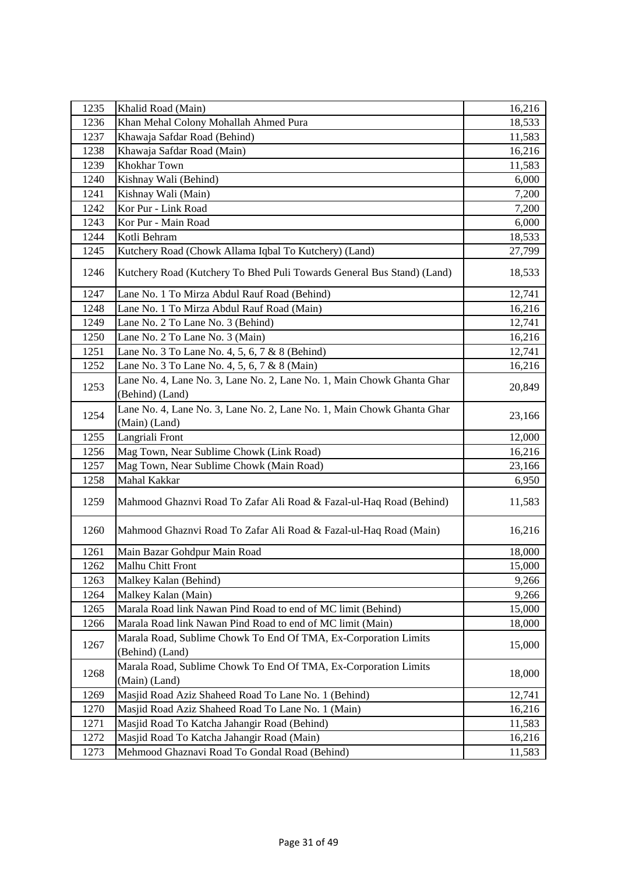| 1235 | Khalid Road (Main)                                                                        | 16,216 |
|------|-------------------------------------------------------------------------------------------|--------|
| 1236 | Khan Mehal Colony Mohallah Ahmed Pura                                                     | 18,533 |
| 1237 | Khawaja Safdar Road (Behind)                                                              | 11,583 |
| 1238 | Khawaja Safdar Road (Main)                                                                | 16,216 |
| 1239 | Khokhar Town                                                                              | 11,583 |
| 1240 | Kishnay Wali (Behind)                                                                     | 6,000  |
| 1241 | Kishnay Wali (Main)                                                                       | 7,200  |
| 1242 | Kor Pur - Link Road                                                                       | 7,200  |
| 1243 | Kor Pur - Main Road                                                                       | 6,000  |
| 1244 | Kotli Behram                                                                              | 18,533 |
| 1245 | Kutchery Road (Chowk Allama Iqbal To Kutchery) (Land)                                     | 27,799 |
| 1246 | Kutchery Road (Kutchery To Bhed Puli Towards General Bus Stand) (Land)                    | 18,533 |
| 1247 | Lane No. 1 To Mirza Abdul Rauf Road (Behind)                                              | 12,741 |
| 1248 | Lane No. 1 To Mirza Abdul Rauf Road (Main)                                                | 16,216 |
| 1249 | Lane No. 2 To Lane No. 3 (Behind)                                                         | 12,741 |
| 1250 | Lane No. 2 To Lane No. 3 (Main)                                                           | 16,216 |
| 1251 | Lane No. 3 To Lane No. 4, 5, 6, 7 & 8 (Behind)                                            | 12,741 |
| 1252 | Lane No. 3 To Lane No. 4, 5, 6, 7 & 8 (Main)                                              | 16,216 |
| 1253 | Lane No. 4, Lane No. 3, Lane No. 2, Lane No. 1, Main Chowk Ghanta Ghar<br>(Behind) (Land) | 20,849 |
| 1254 | Lane No. 4, Lane No. 3, Lane No. 2, Lane No. 1, Main Chowk Ghanta Ghar<br>(Main) (Land)   | 23,166 |
| 1255 | Langriali Front                                                                           | 12,000 |
| 1256 | Mag Town, Near Sublime Chowk (Link Road)                                                  | 16,216 |
| 1257 | Mag Town, Near Sublime Chowk (Main Road)                                                  | 23,166 |
| 1258 | Mahal Kakkar                                                                              | 6,950  |
| 1259 | Mahmood Ghaznvi Road To Zafar Ali Road & Fazal-ul-Haq Road (Behind)                       | 11,583 |
| 1260 | Mahmood Ghaznvi Road To Zafar Ali Road & Fazal-ul-Haq Road (Main)                         | 16,216 |
| 1261 | Main Bazar Gohdpur Main Road                                                              | 18,000 |
| 1262 | Malhu Chitt Front                                                                         | 15,000 |
| 1263 | Malkey Kalan (Behind)                                                                     | 9,266  |
| 1264 | Malkey Kalan (Main)                                                                       | 9,266  |
| 1265 | Marala Road link Nawan Pind Road to end of MC limit (Behind)                              | 15,000 |
| 1266 | Marala Road link Nawan Pind Road to end of MC limit (Main)                                | 18,000 |
| 1267 | Marala Road, Sublime Chowk To End Of TMA, Ex-Corporation Limits<br>(Behind) (Land)        | 15,000 |
| 1268 | Marala Road, Sublime Chowk To End Of TMA, Ex-Corporation Limits<br>(Main) (Land)          | 18,000 |
| 1269 | Masjid Road Aziz Shaheed Road To Lane No. 1 (Behind)                                      | 12,741 |
| 1270 | Masjid Road Aziz Shaheed Road To Lane No. 1 (Main)                                        | 16,216 |
| 1271 | Masjid Road To Katcha Jahangir Road (Behind)                                              | 11,583 |
| 1272 |                                                                                           |        |
|      | Masjid Road To Katcha Jahangir Road (Main)                                                | 16,216 |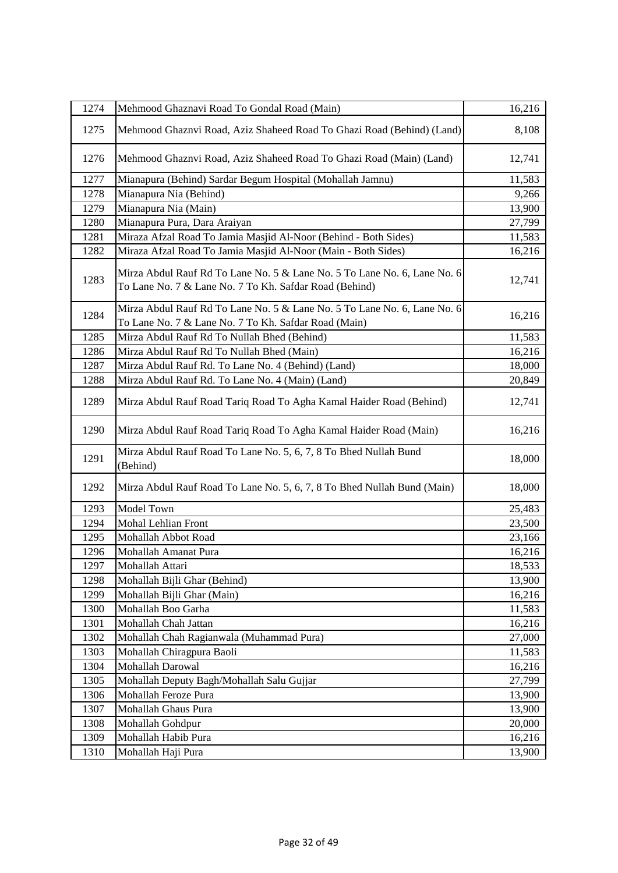| 1274 | Mehmood Ghaznavi Road To Gondal Road (Main)                                                                                        | 16,216 |
|------|------------------------------------------------------------------------------------------------------------------------------------|--------|
| 1275 | Mehmood Ghaznvi Road, Aziz Shaheed Road To Ghazi Road (Behind) (Land)                                                              | 8,108  |
| 1276 | Mehmood Ghaznvi Road, Aziz Shaheed Road To Ghazi Road (Main) (Land)                                                                | 12,741 |
| 1277 | Mianapura (Behind) Sardar Begum Hospital (Mohallah Jamnu)                                                                          | 11,583 |
| 1278 | Mianapura Nia (Behind)                                                                                                             | 9,266  |
| 1279 | Mianapura Nia (Main)                                                                                                               | 13,900 |
| 1280 | Mianapura Pura, Dara Araiyan                                                                                                       | 27,799 |
| 1281 | Miraza Afzal Road To Jamia Masjid Al-Noor (Behind - Both Sides)                                                                    | 11,583 |
| 1282 | Miraza Afzal Road To Jamia Masjid Al-Noor (Main - Both Sides)                                                                      | 16,216 |
| 1283 | Mirza Abdul Rauf Rd To Lane No. 5 & Lane No. 5 To Lane No. 6, Lane No. 6<br>To Lane No. 7 & Lane No. 7 To Kh. Safdar Road (Behind) | 12,741 |
| 1284 | Mirza Abdul Rauf Rd To Lane No. 5 & Lane No. 5 To Lane No. 6, Lane No. 6<br>To Lane No. 7 & Lane No. 7 To Kh. Safdar Road (Main)   | 16,216 |
| 1285 | Mirza Abdul Rauf Rd To Nullah Bhed (Behind)                                                                                        | 11,583 |
| 1286 | Mirza Abdul Rauf Rd To Nullah Bhed (Main)                                                                                          | 16,216 |
| 1287 | Mirza Abdul Rauf Rd. To Lane No. 4 (Behind) (Land)                                                                                 | 18,000 |
| 1288 | Mirza Abdul Rauf Rd. To Lane No. 4 (Main) (Land)                                                                                   | 20,849 |
| 1289 | Mirza Abdul Rauf Road Tariq Road To Agha Kamal Haider Road (Behind)                                                                | 12,741 |
| 1290 | Mirza Abdul Rauf Road Tariq Road To Agha Kamal Haider Road (Main)                                                                  | 16,216 |
| 1291 | Mirza Abdul Rauf Road To Lane No. 5, 6, 7, 8 To Bhed Nullah Bund<br>(Behind)                                                       | 18,000 |
| 1292 | Mirza Abdul Rauf Road To Lane No. 5, 6, 7, 8 To Bhed Nullah Bund (Main)                                                            | 18,000 |
| 1293 | Model Town                                                                                                                         | 25,483 |
| 1294 | Mohal Lehlian Front                                                                                                                | 23,500 |
| 1295 | Mohallah Abbot Road                                                                                                                | 23,166 |
| 1296 | Mohallah Amanat Pura                                                                                                               | 16,216 |
| 1297 | Mohallah Attari                                                                                                                    | 18,533 |
| 1298 | Mohallah Bijli Ghar (Behind)                                                                                                       | 13,900 |
| 1299 | Mohallah Bijli Ghar (Main)                                                                                                         | 16,216 |
| 1300 | Mohallah Boo Garha                                                                                                                 | 11,583 |
| 1301 | Mohallah Chah Jattan                                                                                                               | 16,216 |
| 1302 | Mohallah Chah Ragianwala (Muhammad Pura)                                                                                           | 27,000 |
| 1303 | Mohallah Chiragpura Baoli                                                                                                          | 11,583 |
| 1304 | Mohallah Darowal                                                                                                                   | 16,216 |
| 1305 | Mohallah Deputy Bagh/Mohallah Salu Gujjar                                                                                          | 27,799 |
| 1306 | Mohallah Feroze Pura                                                                                                               | 13,900 |
| 1307 | Mohallah Ghaus Pura                                                                                                                | 13,900 |
| 1308 | Mohallah Gohdpur                                                                                                                   | 20,000 |
| 1309 | Mohallah Habib Pura                                                                                                                | 16,216 |
| 1310 | Mohallah Haji Pura                                                                                                                 | 13,900 |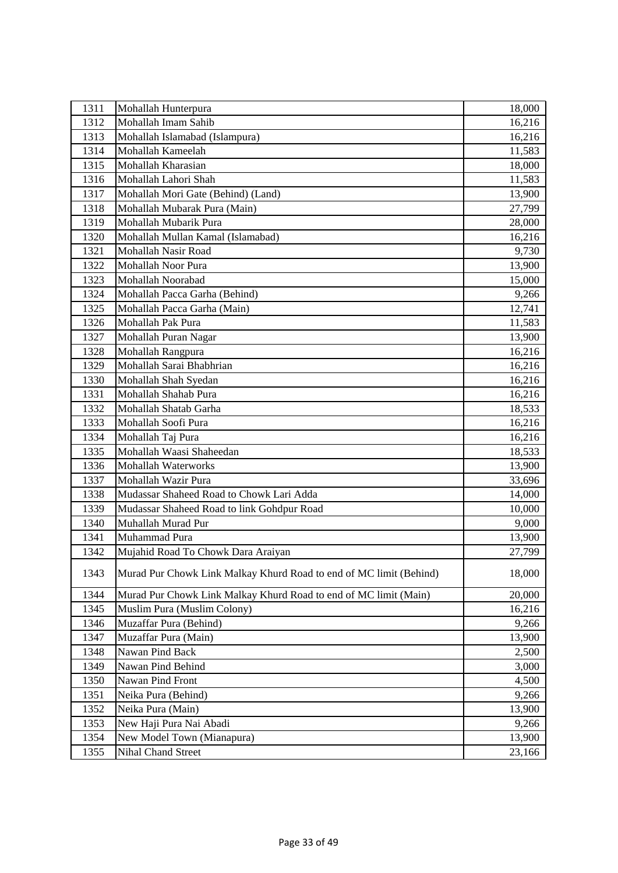| 1311 | Mohallah Hunterpura                                                | 18,000 |
|------|--------------------------------------------------------------------|--------|
| 1312 | Mohallah Imam Sahib                                                | 16,216 |
| 1313 | Mohallah Islamabad (Islampura)                                     | 16,216 |
| 1314 | Mohallah Kameelah                                                  | 11,583 |
| 1315 | Mohallah Kharasian                                                 | 18,000 |
| 1316 | Mohallah Lahori Shah                                               | 11,583 |
| 1317 | Mohallah Mori Gate (Behind) (Land)                                 | 13,900 |
| 1318 | Mohallah Mubarak Pura (Main)                                       | 27,799 |
| 1319 | Mohallah Mubarik Pura                                              | 28,000 |
| 1320 | Mohallah Mullan Kamal (Islamabad)                                  | 16,216 |
| 1321 | Mohallah Nasir Road                                                | 9,730  |
| 1322 | Mohallah Noor Pura                                                 | 13,900 |
| 1323 | Mohallah Noorabad                                                  | 15,000 |
| 1324 | Mohallah Pacca Garha (Behind)                                      | 9,266  |
| 1325 | Mohallah Pacca Garha (Main)                                        | 12,741 |
| 1326 | Mohallah Pak Pura                                                  | 11,583 |
| 1327 | Mohallah Puran Nagar                                               | 13,900 |
| 1328 | Mohallah Rangpura                                                  | 16,216 |
| 1329 | Mohallah Sarai Bhabhrian                                           | 16,216 |
| 1330 | Mohallah Shah Syedan                                               | 16,216 |
| 1331 | Mohallah Shahab Pura                                               | 16,216 |
| 1332 | Mohallah Shatab Garha                                              | 18,533 |
| 1333 | Mohallah Soofi Pura                                                | 16,216 |
| 1334 | Mohallah Taj Pura                                                  | 16,216 |
| 1335 | Mohallah Waasi Shaheedan                                           | 18,533 |
| 1336 | <b>Mohallah Waterworks</b>                                         | 13,900 |
| 1337 | Mohallah Wazir Pura                                                | 33,696 |
| 1338 | Mudassar Shaheed Road to Chowk Lari Adda                           | 14,000 |
| 1339 | Mudassar Shaheed Road to link Gohdpur Road                         | 10,000 |
| 1340 | Muhallah Murad Pur                                                 | 9,000  |
| 1341 | Muhammad Pura                                                      | 13,900 |
| 1342 | Mujahid Road To Chowk Dara Araiyan                                 | 27,799 |
| 1343 | Murad Pur Chowk Link Malkay Khurd Road to end of MC limit (Behind) | 18,000 |
| 1344 | Murad Pur Chowk Link Malkay Khurd Road to end of MC limit (Main)   | 20,000 |
| 1345 | Muslim Pura (Muslim Colony)                                        | 16,216 |
| 1346 | Muzaffar Pura (Behind)                                             | 9,266  |
| 1347 | Muzaffar Pura (Main)                                               | 13,900 |
| 1348 | Nawan Pind Back                                                    | 2,500  |
| 1349 | Nawan Pind Behind                                                  | 3,000  |
| 1350 | Nawan Pind Front                                                   | 4,500  |
| 1351 | Neika Pura (Behind)                                                | 9,266  |
| 1352 | Neika Pura (Main)                                                  | 13,900 |
| 1353 | New Haji Pura Nai Abadi                                            | 9,266  |
| 1354 | New Model Town (Mianapura)                                         | 13,900 |
| 1355 | Nihal Chand Street                                                 | 23,166 |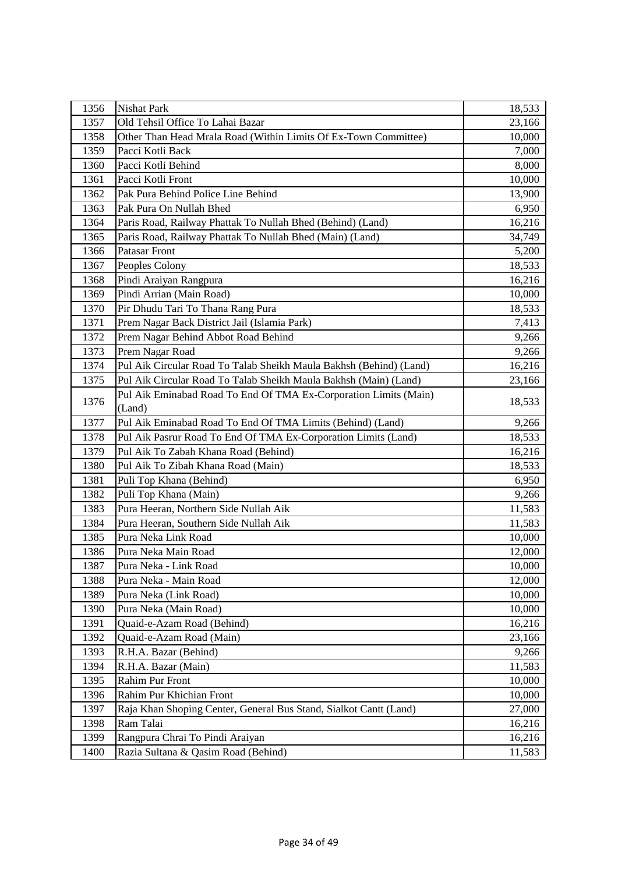| 1356 | <b>Nishat Park</b>                                                         | 18,533 |
|------|----------------------------------------------------------------------------|--------|
| 1357 | Old Tehsil Office To Lahai Bazar                                           | 23,166 |
| 1358 | Other Than Head Mrala Road (Within Limits Of Ex-Town Committee)            | 10,000 |
| 1359 | Pacci Kotli Back                                                           | 7,000  |
| 1360 | Pacci Kotli Behind                                                         | 8,000  |
| 1361 | Pacci Kotli Front                                                          | 10,000 |
| 1362 | Pak Pura Behind Police Line Behind                                         | 13,900 |
| 1363 | Pak Pura On Nullah Bhed                                                    | 6,950  |
| 1364 | Paris Road, Railway Phattak To Nullah Bhed (Behind) (Land)                 | 16,216 |
| 1365 | Paris Road, Railway Phattak To Nullah Bhed (Main) (Land)                   | 34,749 |
| 1366 | <b>Patasar Front</b>                                                       | 5,200  |
| 1367 | Peoples Colony                                                             | 18,533 |
| 1368 | Pindi Araiyan Rangpura                                                     | 16,216 |
| 1369 | Pindi Arrian (Main Road)                                                   | 10,000 |
| 1370 | Pir Dhudu Tari To Thana Rang Pura                                          | 18,533 |
| 1371 | Prem Nagar Back District Jail (Islamia Park)                               | 7,413  |
| 1372 | Prem Nagar Behind Abbot Road Behind                                        | 9,266  |
| 1373 | Prem Nagar Road                                                            | 9,266  |
| 1374 | Pul Aik Circular Road To Talab Sheikh Maula Bakhsh (Behind) (Land)         | 16,216 |
| 1375 | Pul Aik Circular Road To Talab Sheikh Maula Bakhsh (Main) (Land)           | 23,166 |
| 1376 | Pul Aik Eminabad Road To End Of TMA Ex-Corporation Limits (Main)<br>(Land) | 18,533 |
| 1377 | Pul Aik Eminabad Road To End Of TMA Limits (Behind) (Land)                 | 9,266  |
| 1378 | Pul Aik Pasrur Road To End Of TMA Ex-Corporation Limits (Land)             | 18,533 |
| 1379 | Pul Aik To Zabah Khana Road (Behind)                                       | 16,216 |
| 1380 | Pul Aik To Zibah Khana Road (Main)                                         | 18,533 |
| 1381 | Puli Top Khana (Behind)                                                    | 6,950  |
| 1382 | Puli Top Khana (Main)                                                      | 9,266  |
| 1383 | Pura Heeran, Northern Side Nullah Aik                                      | 11,583 |
| 1384 | Pura Heeran, Southern Side Nullah Aik                                      | 11,583 |
| 1385 | Pura Neka Link Road                                                        | 10,000 |
| 1386 | Pura Neka Main Road                                                        | 12,000 |
| 1387 | Pura Neka - Link Road                                                      | 10,000 |
| 1388 | Pura Neka - Main Road                                                      | 12,000 |
| 1389 | Pura Neka (Link Road)                                                      | 10,000 |
| 1390 | Pura Neka (Main Road)                                                      | 10,000 |
| 1391 | Quaid-e-Azam Road (Behind)                                                 | 16,216 |
| 1392 | Quaid-e-Azam Road (Main)                                                   | 23,166 |
| 1393 | R.H.A. Bazar (Behind)                                                      | 9,266  |
| 1394 | R.H.A. Bazar (Main)                                                        | 11,583 |
| 1395 | Rahim Pur Front                                                            | 10,000 |
| 1396 | Rahim Pur Khichian Front                                                   | 10,000 |
| 1397 | Raja Khan Shoping Center, General Bus Stand, Sialkot Cantt (Land)          | 27,000 |
| 1398 | Ram Talai                                                                  | 16,216 |
| 1399 | Rangpura Chrai To Pindi Araiyan                                            | 16,216 |
| 1400 | Razia Sultana & Qasim Road (Behind)                                        | 11,583 |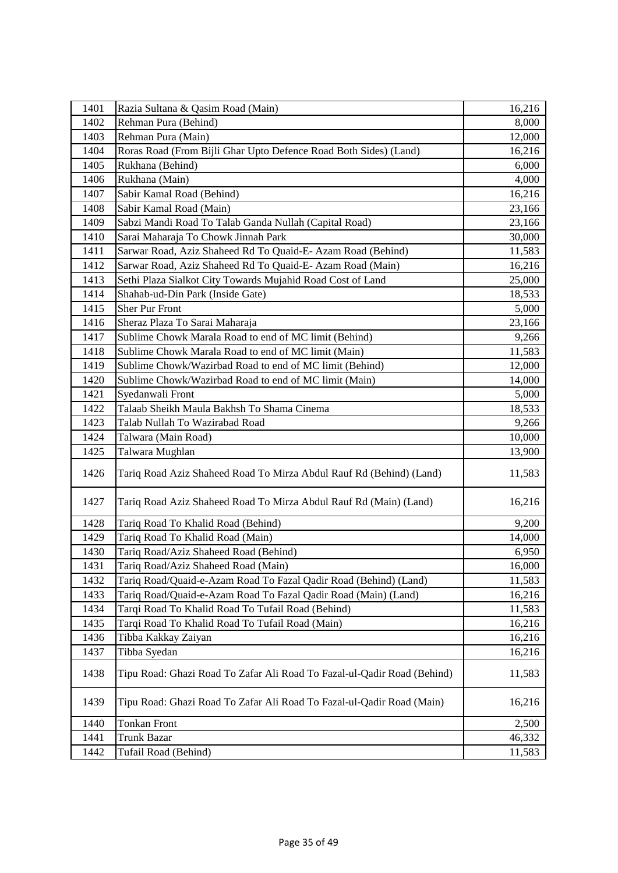| 1401 | Razia Sultana & Qasim Road (Main)                                       | 16,216 |
|------|-------------------------------------------------------------------------|--------|
| 1402 | Rehman Pura (Behind)                                                    | 8,000  |
| 1403 | Rehman Pura (Main)                                                      | 12,000 |
| 1404 | Roras Road (From Bijli Ghar Upto Defence Road Both Sides) (Land)        | 16,216 |
| 1405 | Rukhana (Behind)                                                        | 6,000  |
| 1406 | Rukhana (Main)                                                          | 4,000  |
| 1407 | Sabir Kamal Road (Behind)                                               | 16,216 |
| 1408 | Sabir Kamal Road (Main)                                                 | 23,166 |
| 1409 | Sabzi Mandi Road To Talab Ganda Nullah (Capital Road)                   | 23,166 |
| 1410 | Sarai Maharaja To Chowk Jinnah Park                                     | 30,000 |
| 1411 | Sarwar Road, Aziz Shaheed Rd To Quaid-E-Azam Road (Behind)              | 11,583 |
| 1412 | Sarwar Road, Aziz Shaheed Rd To Quaid-E- Azam Road (Main)               | 16,216 |
| 1413 | Sethi Plaza Sialkot City Towards Mujahid Road Cost of Land              | 25,000 |
| 1414 | Shahab-ud-Din Park (Inside Gate)                                        | 18,533 |
| 1415 | <b>Sher Pur Front</b>                                                   | 5,000  |
| 1416 | Sheraz Plaza To Sarai Maharaja                                          | 23,166 |
| 1417 | Sublime Chowk Marala Road to end of MC limit (Behind)                   | 9,266  |
| 1418 | Sublime Chowk Marala Road to end of MC limit (Main)                     | 11,583 |
| 1419 | Sublime Chowk/Wazirbad Road to end of MC limit (Behind)                 | 12,000 |
| 1420 | Sublime Chowk/Wazirbad Road to end of MC limit (Main)                   | 14,000 |
| 1421 | Syedanwali Front                                                        | 5,000  |
| 1422 | Talaab Sheikh Maula Bakhsh To Shama Cinema                              | 18,533 |
| 1423 | Talab Nullah To Wazirabad Road                                          | 9,266  |
| 1424 | Talwara (Main Road)                                                     | 10,000 |
| 1425 | Talwara Mughlan                                                         | 13,900 |
| 1426 | Tariq Road Aziz Shaheed Road To Mirza Abdul Rauf Rd (Behind) (Land)     | 11,583 |
| 1427 | Tariq Road Aziz Shaheed Road To Mirza Abdul Rauf Rd (Main) (Land)       | 16,216 |
| 1428 | Tariq Road To Khalid Road (Behind)                                      | 9,200  |
| 1429 | Tariq Road To Khalid Road (Main)                                        | 14,000 |
| 1430 | Tariq Road/Aziz Shaheed Road (Behind)                                   | 6,950  |
| 1431 | Tariq Road/Aziz Shaheed Road (Main)                                     | 16,000 |
| 1432 | Tariq Road/Quaid-e-Azam Road To Fazal Qadir Road (Behind) (Land)        | 11,583 |
| 1433 | Tariq Road/Quaid-e-Azam Road To Fazal Qadir Road (Main) (Land)          | 16,216 |
| 1434 | Tarqi Road To Khalid Road To Tufail Road (Behind)                       | 11,583 |
| 1435 | Tarqi Road To Khalid Road To Tufail Road (Main)                         | 16,216 |
| 1436 | Tibba Kakkay Zaiyan                                                     | 16,216 |
| 1437 | Tibba Syedan                                                            | 16,216 |
| 1438 | Tipu Road: Ghazi Road To Zafar Ali Road To Fazal-ul-Qadir Road (Behind) | 11,583 |
| 1439 | Tipu Road: Ghazi Road To Zafar Ali Road To Fazal-ul-Qadir Road (Main)   | 16,216 |
| 1440 | <b>Tonkan Front</b>                                                     | 2,500  |
| 1441 | <b>Trunk Bazar</b>                                                      | 46,332 |
| 1442 | Tufail Road (Behind)                                                    | 11,583 |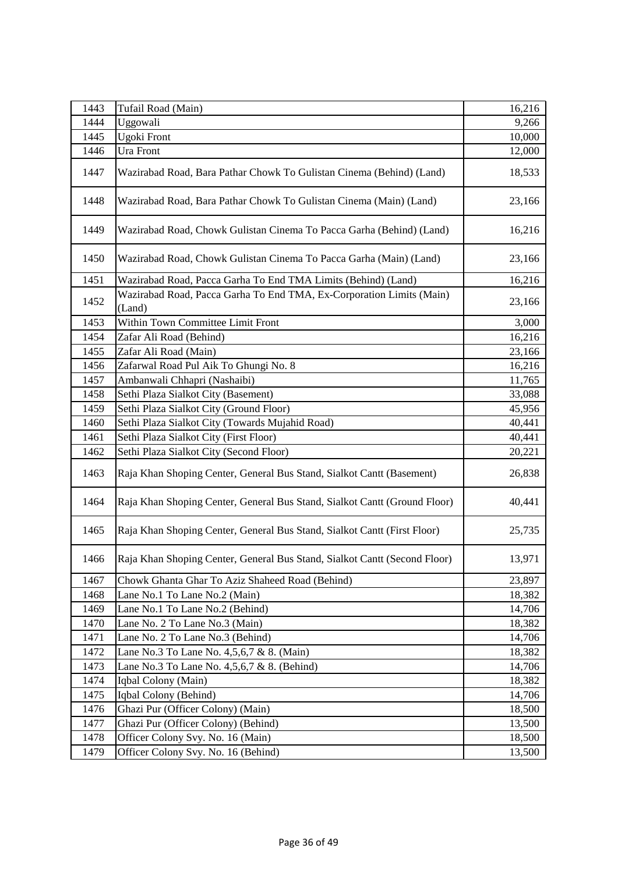| 1443 | Tufail Road (Main)                                                             | 16,216 |
|------|--------------------------------------------------------------------------------|--------|
| 1444 | Uggowali                                                                       | 9,266  |
| 1445 | Ugoki Front                                                                    | 10,000 |
| 1446 | Ura Front                                                                      | 12,000 |
| 1447 | Wazirabad Road, Bara Pathar Chowk To Gulistan Cinema (Behind) (Land)           | 18,533 |
| 1448 | Wazirabad Road, Bara Pathar Chowk To Gulistan Cinema (Main) (Land)             | 23,166 |
| 1449 | Wazirabad Road, Chowk Gulistan Cinema To Pacca Garha (Behind) (Land)           | 16,216 |
| 1450 | Wazirabad Road, Chowk Gulistan Cinema To Pacca Garha (Main) (Land)             | 23,166 |
| 1451 | Wazirabad Road, Pacca Garha To End TMA Limits (Behind) (Land)                  | 16,216 |
| 1452 | Wazirabad Road, Pacca Garha To End TMA, Ex-Corporation Limits (Main)<br>(Land) | 23,166 |
| 1453 | Within Town Committee Limit Front                                              | 3,000  |
| 1454 | Zafar Ali Road (Behind)                                                        | 16,216 |
| 1455 | Zafar Ali Road (Main)                                                          | 23,166 |
| 1456 | Zafarwal Road Pul Aik To Ghungi No. 8                                          | 16,216 |
| 1457 | Ambanwali Chhapri (Nashaibi)                                                   | 11,765 |
| 1458 | Sethi Plaza Sialkot City (Basement)                                            | 33,088 |
| 1459 | Sethi Plaza Sialkot City (Ground Floor)                                        | 45,956 |
| 1460 | Sethi Plaza Sialkot City (Towards Mujahid Road)                                | 40,441 |
| 1461 | Sethi Plaza Sialkot City (First Floor)                                         | 40,441 |
| 1462 | Sethi Plaza Sialkot City (Second Floor)                                        | 20,221 |
| 1463 | Raja Khan Shoping Center, General Bus Stand, Sialkot Cantt (Basement)          | 26,838 |
| 1464 | Raja Khan Shoping Center, General Bus Stand, Sialkot Cantt (Ground Floor)      | 40,441 |
| 1465 | Raja Khan Shoping Center, General Bus Stand, Sialkot Cantt (First Floor)       | 25,735 |
| 1466 | Raja Khan Shoping Center, General Bus Stand, Sialkot Cantt (Second Floor)      | 13,971 |
| 1467 | Chowk Ghanta Ghar To Aziz Shaheed Road (Behind)                                | 23,897 |
| 1468 | Lane No.1 To Lane No.2 (Main)                                                  | 18,382 |
| 1469 | Lane No.1 To Lane No.2 (Behind)                                                | 14,706 |
| 1470 | Lane No. 2 To Lane No.3 (Main)                                                 | 18,382 |
| 1471 | Lane No. 2 To Lane No.3 (Behind)                                               | 14,706 |
| 1472 | Lane No.3 To Lane No. 4,5,6,7 & 8. (Main)                                      | 18,382 |
| 1473 | Lane No.3 To Lane No. 4,5,6,7 & 8. (Behind)                                    | 14,706 |
| 1474 | Iqbal Colony (Main)                                                            | 18,382 |
| 1475 | Iqbal Colony (Behind)                                                          | 14,706 |
| 1476 | Ghazi Pur (Officer Colony) (Main)                                              | 18,500 |
| 1477 | Ghazi Pur (Officer Colony) (Behind)                                            | 13,500 |
| 1478 | Officer Colony Svy. No. 16 (Main)                                              | 18,500 |
| 1479 | Officer Colony Svy. No. 16 (Behind)                                            | 13,500 |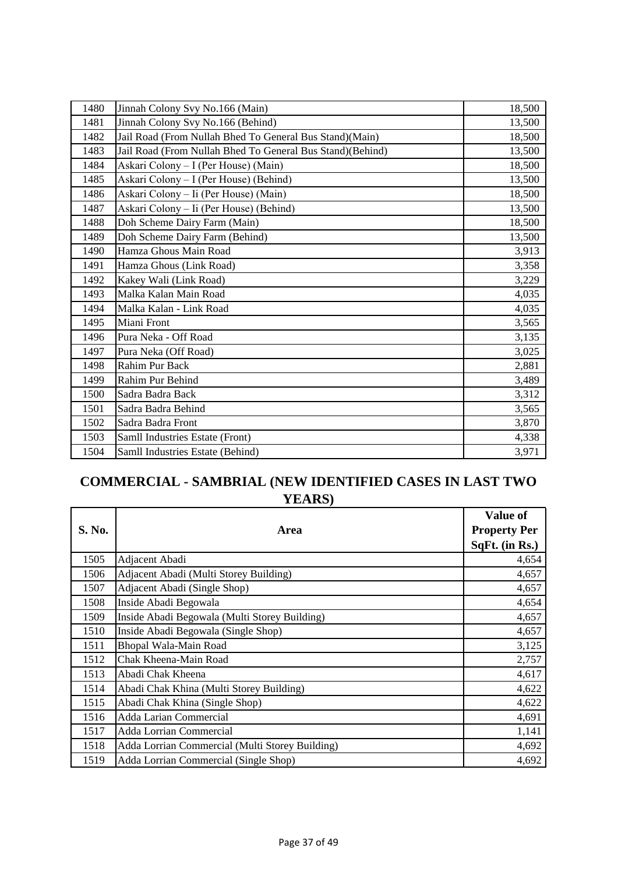| 1480 | Jinnah Colony Svy No.166 (Main)                           | 18,500 |
|------|-----------------------------------------------------------|--------|
| 1481 | Jinnah Colony Svy No.166 (Behind)                         | 13,500 |
| 1482 | Jail Road (From Nullah Bhed To General Bus Stand)(Main)   | 18,500 |
| 1483 | Jail Road (From Nullah Bhed To General Bus Stand)(Behind) | 13,500 |
| 1484 | Askari Colony - I (Per House) (Main)                      | 18,500 |
| 1485 | Askari Colony - I (Per House) (Behind)                    | 13,500 |
| 1486 | Askari Colony - Ii (Per House) (Main)                     | 18,500 |
| 1487 | Askari Colony - Ii (Per House) (Behind)                   | 13,500 |
| 1488 | Doh Scheme Dairy Farm (Main)                              | 18,500 |
| 1489 | Doh Scheme Dairy Farm (Behind)                            | 13,500 |
| 1490 | Hamza Ghous Main Road                                     | 3,913  |
| 1491 | Hamza Ghous (Link Road)                                   | 3,358  |
| 1492 | Kakey Wali (Link Road)                                    | 3,229  |
| 1493 | Malka Kalan Main Road                                     | 4,035  |
| 1494 | Malka Kalan - Link Road                                   | 4,035  |
| 1495 | Miani Front                                               | 3,565  |
| 1496 | Pura Neka - Off Road                                      | 3,135  |
| 1497 | Pura Neka (Off Road)                                      | 3,025  |
| 1498 | Rahim Pur Back                                            | 2,881  |
| 1499 | Rahim Pur Behind                                          | 3,489  |
| 1500 | Sadra Badra Back                                          | 3,312  |
| 1501 | Sadra Badra Behind                                        | 3,565  |
| 1502 | Sadra Badra Front                                         | 3,870  |
| 1503 | Samll Industries Estate (Front)                           | 4,338  |
| 1504 | Samll Industries Estate (Behind)                          | 3,971  |

# **COMMERCIAL - SAMBRIAL (NEW IDENTIFIED CASES IN LAST TWO YEARS)**

|        |                                                 | Value of            |
|--------|-------------------------------------------------|---------------------|
| S. No. | Area                                            | <b>Property Per</b> |
|        |                                                 | SqFt. (in Rs.)      |
| 1505   | Adjacent Abadi                                  | 4,654               |
| 1506   | Adjacent Abadi (Multi Storey Building)          | 4,657               |
| 1507   | Adjacent Abadi (Single Shop)                    | 4,657               |
| 1508   | Inside Abadi Begowala                           | 4,654               |
| 1509   | Inside Abadi Begowala (Multi Storey Building)   | 4,657               |
| 1510   | Inside Abadi Begowala (Single Shop)             | 4,657               |
| 1511   | Bhopal Wala-Main Road                           | 3,125               |
| 1512   | Chak Kheena-Main Road                           | 2,757               |
| 1513   | Abadi Chak Kheena                               | 4,617               |
| 1514   | Abadi Chak Khina (Multi Storey Building)        | 4,622               |
| 1515   | Abadi Chak Khina (Single Shop)                  | 4,622               |
| 1516   | Adda Larian Commercial                          | 4,691               |
| 1517   | Adda Lorrian Commercial                         | 1,141               |
| 1518   | Adda Lorrian Commercial (Multi Storey Building) | 4,692               |
| 1519   | Adda Lorrian Commercial (Single Shop)           | 4,692               |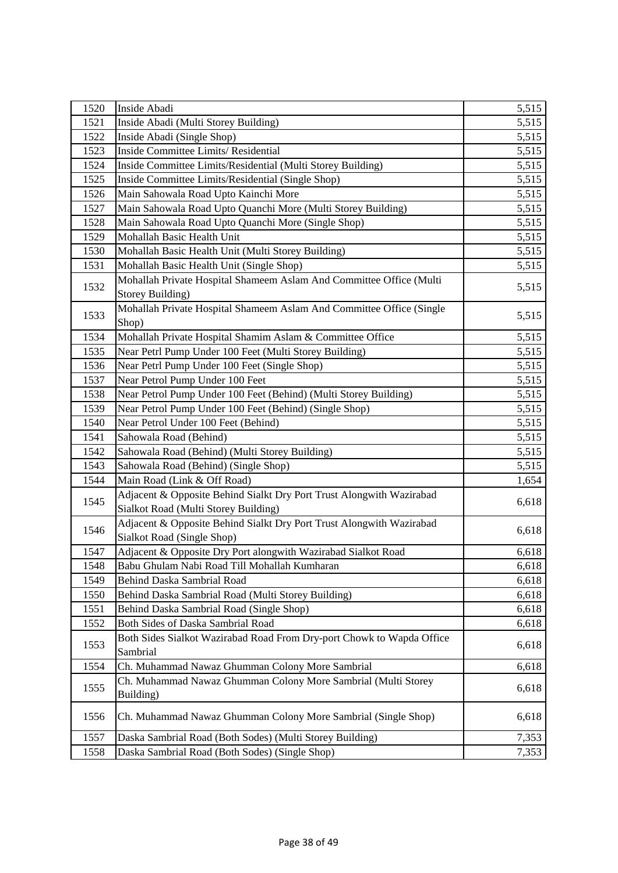| 1520 | Inside Abadi                                                                            | 5,515 |
|------|-----------------------------------------------------------------------------------------|-------|
| 1521 | Inside Abadi (Multi Storey Building)                                                    | 5,515 |
| 1522 | Inside Abadi (Single Shop)                                                              | 5,515 |
| 1523 | Inside Committee Limits/ Residential                                                    | 5,515 |
| 1524 | Inside Committee Limits/Residential (Multi Storey Building)                             | 5,515 |
| 1525 | Inside Committee Limits/Residential (Single Shop)                                       | 5,515 |
| 1526 | Main Sahowala Road Upto Kainchi More                                                    | 5,515 |
| 1527 | Main Sahowala Road Upto Quanchi More (Multi Storey Building)                            | 5,515 |
| 1528 | Main Sahowala Road Upto Quanchi More (Single Shop)                                      | 5,515 |
| 1529 | Mohallah Basic Health Unit                                                              | 5,515 |
| 1530 | Mohallah Basic Health Unit (Multi Storey Building)                                      | 5,515 |
| 1531 | Mohallah Basic Health Unit (Single Shop)                                                | 5,515 |
| 1532 | Mohallah Private Hospital Shameem Aslam And Committee Office (Multi<br>Storey Building) | 5,515 |
| 1533 | Mohallah Private Hospital Shameem Aslam And Committee Office (Single                    | 5,515 |
|      | Shop)                                                                                   |       |
| 1534 | Mohallah Private Hospital Shamim Aslam & Committee Office                               | 5,515 |
| 1535 | Near Petrl Pump Under 100 Feet (Multi Storey Building)                                  | 5,515 |
| 1536 | Near Petrl Pump Under 100 Feet (Single Shop)                                            | 5,515 |
| 1537 | Near Petrol Pump Under 100 Feet                                                         | 5,515 |
| 1538 | Near Petrol Pump Under 100 Feet (Behind) (Multi Storey Building)                        | 5,515 |
| 1539 | Near Petrol Pump Under 100 Feet (Behind) (Single Shop)                                  | 5,515 |
| 1540 | Near Petrol Under 100 Feet (Behind)                                                     | 5,515 |
| 1541 | Sahowala Road (Behind)                                                                  | 5,515 |
| 1542 | Sahowala Road (Behind) (Multi Storey Building)                                          | 5,515 |
| 1543 | Sahowala Road (Behind) (Single Shop)                                                    | 5,515 |
| 1544 | Main Road (Link & Off Road)                                                             | 1,654 |
| 1545 | Adjacent & Opposite Behind Sialkt Dry Port Trust Alongwith Wazirabad                    | 6,618 |
|      | Sialkot Road (Multi Storey Building)                                                    |       |
| 1546 | Adjacent & Opposite Behind Sialkt Dry Port Trust Alongwith Wazirabad                    | 6,618 |
|      | Sialkot Road (Single Shop)                                                              |       |
| 1547 | Adjacent & Opposite Dry Port alongwith Wazirabad Sialkot Road                           | 6,618 |
| 1548 | Babu Ghulam Nabi Road Till Mohallah Kumharan                                            | 6,618 |
| 1549 | Behind Daska Sambrial Road                                                              | 6,618 |
| 1550 | Behind Daska Sambrial Road (Multi Storey Building)                                      | 6,618 |
| 1551 | Behind Daska Sambrial Road (Single Shop)                                                | 6,618 |
| 1552 | Both Sides of Daska Sambrial Road                                                       | 6,618 |
| 1553 | Both Sides Sialkot Wazirabad Road From Dry-port Chowk to Wapda Office<br>Sambrial       | 6,618 |
| 1554 | Ch. Muhammad Nawaz Ghumman Colony More Sambrial                                         | 6,618 |
| 1555 | Ch. Muhammad Nawaz Ghumman Colony More Sambrial (Multi Storey                           | 6,618 |
|      | Building)                                                                               |       |
| 1556 | Ch. Muhammad Nawaz Ghumman Colony More Sambrial (Single Shop)                           | 6,618 |
| 1557 | Daska Sambrial Road (Both Sodes) (Multi Storey Building)                                | 7,353 |
| 1558 | Daska Sambrial Road (Both Sodes) (Single Shop)                                          | 7,353 |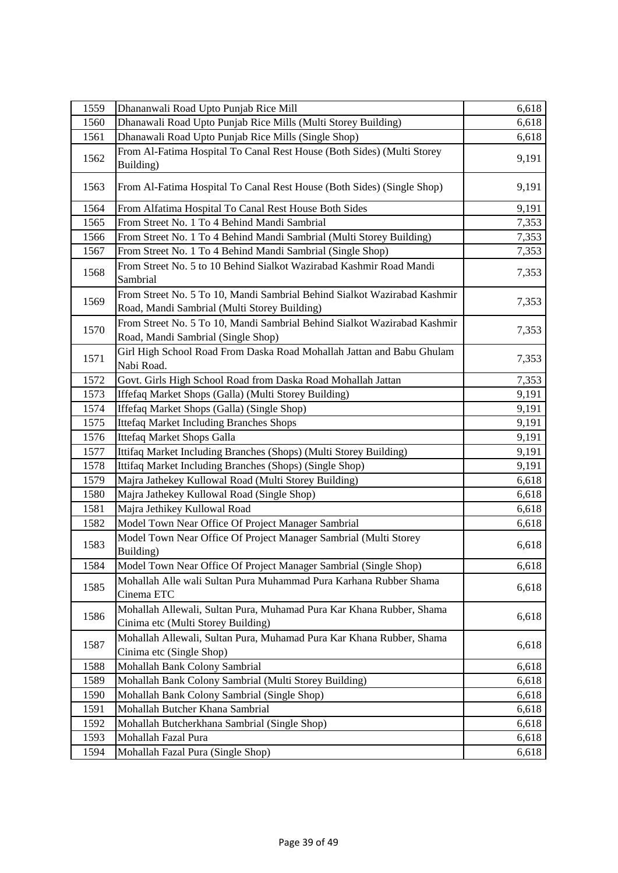| 1559 | Dhananwali Road Upto Punjab Rice Mill                                                                                    | 6,618 |
|------|--------------------------------------------------------------------------------------------------------------------------|-------|
| 1560 | Dhanawali Road Upto Punjab Rice Mills (Multi Storey Building)                                                            | 6,618 |
| 1561 | Dhanawali Road Upto Punjab Rice Mills (Single Shop)                                                                      | 6,618 |
|      | From Al-Fatima Hospital To Canal Rest House (Both Sides) (Multi Storey                                                   |       |
| 1562 | Building)                                                                                                                | 9,191 |
| 1563 | From Al-Fatima Hospital To Canal Rest House (Both Sides) (Single Shop)                                                   | 9,191 |
| 1564 | From Alfatima Hospital To Canal Rest House Both Sides                                                                    | 9,191 |
| 1565 | From Street No. 1 To 4 Behind Mandi Sambrial                                                                             | 7,353 |
| 1566 | From Street No. 1 To 4 Behind Mandi Sambrial (Multi Storey Building)                                                     | 7,353 |
| 1567 | From Street No. 1 To 4 Behind Mandi Sambrial (Single Shop)                                                               | 7,353 |
| 1568 | From Street No. 5 to 10 Behind Sialkot Wazirabad Kashmir Road Mandi<br>Sambrial                                          | 7,353 |
| 1569 | From Street No. 5 To 10, Mandi Sambrial Behind Sialkot Wazirabad Kashmir<br>Road, Mandi Sambrial (Multi Storey Building) | 7,353 |
| 1570 | From Street No. 5 To 10, Mandi Sambrial Behind Sialkot Wazirabad Kashmir<br>Road, Mandi Sambrial (Single Shop)           | 7,353 |
| 1571 | Girl High School Road From Daska Road Mohallah Jattan and Babu Ghulam<br>Nabi Road.                                      | 7,353 |
| 1572 | Govt. Girls High School Road from Daska Road Mohallah Jattan                                                             | 7,353 |
| 1573 | Iffefaq Market Shops (Galla) (Multi Storey Building)                                                                     | 9,191 |
| 1574 | Iffefaq Market Shops (Galla) (Single Shop)                                                                               | 9,191 |
| 1575 | <b>Ittefaq Market Including Branches Shops</b>                                                                           | 9,191 |
| 1576 | Ittefaq Market Shops Galla                                                                                               | 9,191 |
| 1577 | Ittifaq Market Including Branches (Shops) (Multi Storey Building)                                                        | 9,191 |
| 1578 | Ittifaq Market Including Branches (Shops) (Single Shop)                                                                  | 9,191 |
| 1579 | Majra Jathekey Kullowal Road (Multi Storey Building)                                                                     | 6,618 |
| 1580 | Majra Jathekey Kullowal Road (Single Shop)                                                                               | 6,618 |
| 1581 | Majra Jethikey Kullowal Road                                                                                             | 6,618 |
| 1582 | Model Town Near Office Of Project Manager Sambrial                                                                       | 6,618 |
| 1583 | Model Town Near Office Of Project Manager Sambrial (Multi Storey<br>Building)                                            | 6,618 |
| 1584 | Model Town Near Office Of Project Manager Sambrial (Single Shop)                                                         | 6,618 |
| 1585 | Mohallah Alle wali Sultan Pura Muhammad Pura Karhana Rubber Shama<br>Cinema ETC                                          | 6,618 |
| 1586 | Mohallah Allewali, Sultan Pura, Muhamad Pura Kar Khana Rubber, Shama<br>Cinima etc (Multi Storey Building)               | 6,618 |
| 1587 | Mohallah Allewali, Sultan Pura, Muhamad Pura Kar Khana Rubber, Shama<br>Cinima etc (Single Shop)                         | 6,618 |
| 1588 | Mohallah Bank Colony Sambrial                                                                                            | 6,618 |
| 1589 | Mohallah Bank Colony Sambrial (Multi Storey Building)                                                                    | 6,618 |
| 1590 | Mohallah Bank Colony Sambrial (Single Shop)                                                                              | 6,618 |
| 1591 | Mohallah Butcher Khana Sambrial                                                                                          | 6,618 |
| 1592 | Mohallah Butcherkhana Sambrial (Single Shop)                                                                             | 6,618 |
| 1593 | Mohallah Fazal Pura                                                                                                      | 6,618 |
| 1594 | Mohallah Fazal Pura (Single Shop)                                                                                        | 6,618 |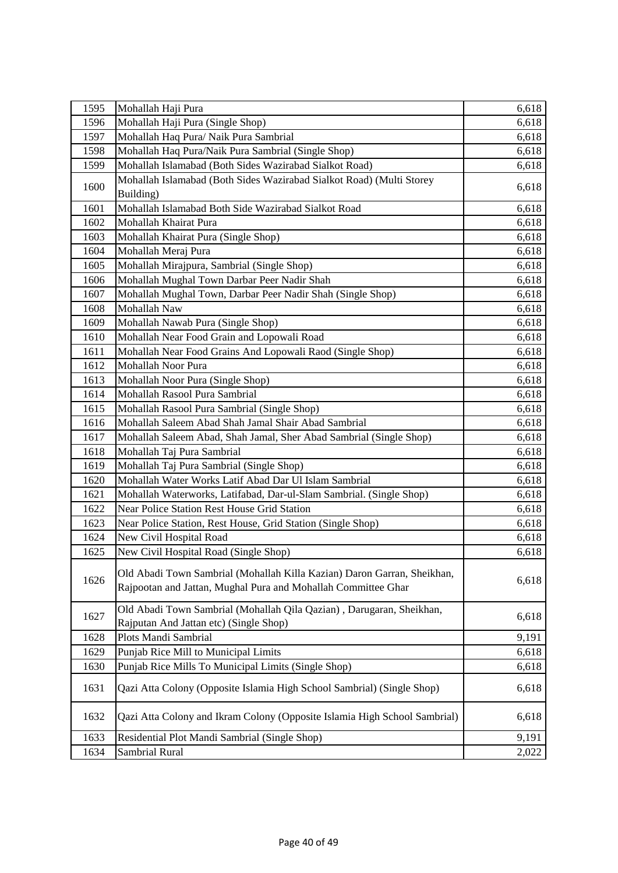| 1595 | Mohallah Haji Pura                                                                                                                       | 6,618 |
|------|------------------------------------------------------------------------------------------------------------------------------------------|-------|
| 1596 | Mohallah Haji Pura (Single Shop)                                                                                                         | 6,618 |
| 1597 | Mohallah Haq Pura/ Naik Pura Sambrial                                                                                                    | 6,618 |
| 1598 | Mohallah Haq Pura/Naik Pura Sambrial (Single Shop)                                                                                       | 6,618 |
| 1599 | Mohallah Islamabad (Both Sides Wazirabad Sialkot Road)                                                                                   | 6,618 |
| 1600 | Mohallah Islamabad (Both Sides Wazirabad Sialkot Road) (Multi Storey<br>Building)                                                        | 6,618 |
| 1601 | Mohallah Islamabad Both Side Wazirabad Sialkot Road                                                                                      | 6,618 |
| 1602 | Mohallah Khairat Pura                                                                                                                    | 6,618 |
| 1603 | Mohallah Khairat Pura (Single Shop)                                                                                                      | 6,618 |
| 1604 | Mohallah Meraj Pura                                                                                                                      | 6,618 |
| 1605 | Mohallah Mirajpura, Sambrial (Single Shop)                                                                                               | 6,618 |
| 1606 | Mohallah Mughal Town Darbar Peer Nadir Shah                                                                                              | 6,618 |
| 1607 | Mohallah Mughal Town, Darbar Peer Nadir Shah (Single Shop)                                                                               | 6,618 |
| 1608 | Mohallah Naw                                                                                                                             | 6,618 |
| 1609 | Mohallah Nawab Pura (Single Shop)                                                                                                        | 6,618 |
| 1610 | Mohallah Near Food Grain and Lopowali Road                                                                                               | 6,618 |
| 1611 | Mohallah Near Food Grains And Lopowali Raod (Single Shop)                                                                                | 6,618 |
| 1612 | Mohallah Noor Pura                                                                                                                       | 6,618 |
| 1613 | Mohallah Noor Pura (Single Shop)                                                                                                         | 6,618 |
| 1614 | Mohallah Rasool Pura Sambrial                                                                                                            | 6,618 |
| 1615 | Mohallah Rasool Pura Sambrial (Single Shop)                                                                                              | 6,618 |
| 1616 | Mohallah Saleem Abad Shah Jamal Shair Abad Sambrial                                                                                      | 6,618 |
| 1617 | Mohallah Saleem Abad, Shah Jamal, Sher Abad Sambrial (Single Shop)                                                                       | 6,618 |
| 1618 | Mohallah Taj Pura Sambrial                                                                                                               | 6,618 |
| 1619 | Mohallah Taj Pura Sambrial (Single Shop)                                                                                                 | 6,618 |
| 1620 | Mohallah Water Works Latif Abad Dar Ul Islam Sambrial                                                                                    | 6,618 |
| 1621 | Mohallah Waterworks, Latifabad, Dar-ul-Slam Sambrial. (Single Shop)                                                                      | 6,618 |
| 1622 | Near Police Station Rest House Grid Station                                                                                              | 6,618 |
| 1623 | Near Police Station, Rest House, Grid Station (Single Shop)                                                                              | 6,618 |
| 1624 | New Civil Hospital Road                                                                                                                  | 6,618 |
| 1625 | New Civil Hospital Road (Single Shop)                                                                                                    | 6,618 |
| 1626 | Old Abadi Town Sambrial (Mohallah Killa Kazian) Daron Garran, Sheikhan,<br>Rajpootan and Jattan, Mughal Pura and Mohallah Committee Ghar | 6,618 |
| 1627 | Old Abadi Town Sambrial (Mohallah Qila Qazian), Darugaran, Sheikhan,<br>Rajputan And Jattan etc) (Single Shop)                           | 6,618 |
| 1628 | Plots Mandi Sambrial                                                                                                                     | 9,191 |
| 1629 | Punjab Rice Mill to Municipal Limits                                                                                                     | 6,618 |
| 1630 | Punjab Rice Mills To Municipal Limits (Single Shop)                                                                                      | 6,618 |
| 1631 | Qazi Atta Colony (Opposite Islamia High School Sambrial) (Single Shop)                                                                   | 6,618 |
| 1632 | Qazi Atta Colony and Ikram Colony (Opposite Islamia High School Sambrial)                                                                | 6,618 |
| 1633 | Residential Plot Mandi Sambrial (Single Shop)                                                                                            | 9,191 |
| 1634 | Sambrial Rural                                                                                                                           | 2,022 |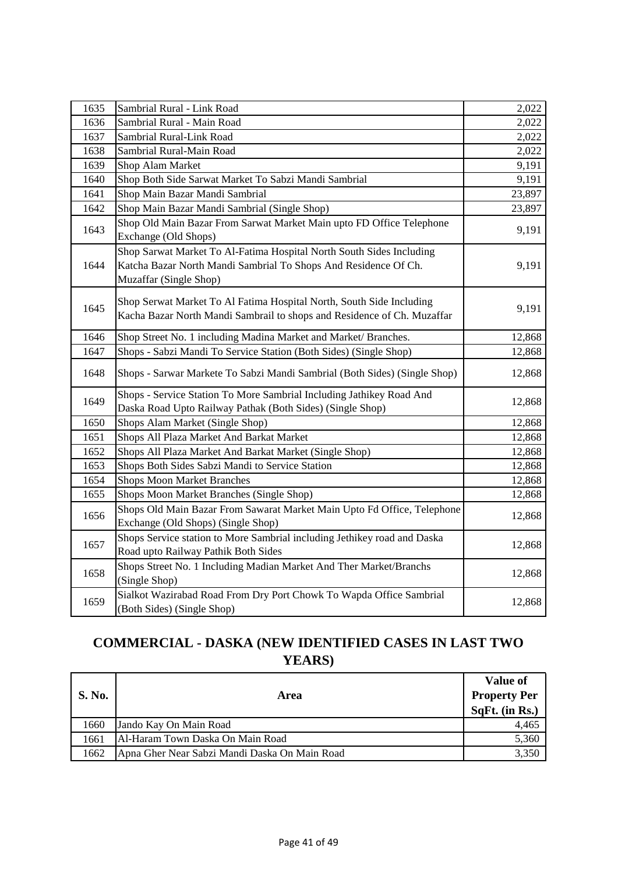| 1635 | Sambrial Rural - Link Road                                                                                                                                        | 2,022  |
|------|-------------------------------------------------------------------------------------------------------------------------------------------------------------------|--------|
| 1636 | Sambrial Rural - Main Road                                                                                                                                        | 2,022  |
| 1637 | Sambrial Rural-Link Road                                                                                                                                          | 2,022  |
| 1638 | Sambrial Rural-Main Road                                                                                                                                          | 2,022  |
| 1639 | Shop Alam Market                                                                                                                                                  | 9,191  |
| 1640 | Shop Both Side Sarwat Market To Sabzi Mandi Sambrial                                                                                                              | 9,191  |
| 1641 | Shop Main Bazar Mandi Sambrial                                                                                                                                    | 23,897 |
| 1642 | Shop Main Bazar Mandi Sambrial (Single Shop)                                                                                                                      | 23,897 |
| 1643 | Shop Old Main Bazar From Sarwat Market Main upto FD Office Telephone<br>Exchange (Old Shops)                                                                      | 9,191  |
| 1644 | Shop Sarwat Market To Al-Fatima Hospital North South Sides Including<br>Katcha Bazar North Mandi Sambrial To Shops And Residence Of Ch.<br>Muzaffar (Single Shop) | 9,191  |
| 1645 | Shop Serwat Market To Al Fatima Hospital North, South Side Including<br>Kacha Bazar North Mandi Sambrail to shops and Residence of Ch. Muzaffar                   | 9,191  |
| 1646 | Shop Street No. 1 including Madina Market and Market/Branches.                                                                                                    | 12,868 |
| 1647 | Shops - Sabzi Mandi To Service Station (Both Sides) (Single Shop)                                                                                                 | 12,868 |
| 1648 | Shops - Sarwar Markete To Sabzi Mandi Sambrial (Both Sides) (Single Shop)                                                                                         | 12,868 |
| 1649 | Shops - Service Station To More Sambrial Including Jathikey Road And<br>Daska Road Upto Railway Pathak (Both Sides) (Single Shop)                                 | 12,868 |
| 1650 | Shops Alam Market (Single Shop)                                                                                                                                   | 12,868 |
| 1651 | Shops All Plaza Market And Barkat Market                                                                                                                          | 12,868 |
| 1652 | Shops All Plaza Market And Barkat Market (Single Shop)                                                                                                            | 12,868 |
| 1653 | Shops Both Sides Sabzi Mandi to Service Station                                                                                                                   | 12,868 |
| 1654 | <b>Shops Moon Market Branches</b>                                                                                                                                 | 12,868 |
| 1655 | Shops Moon Market Branches (Single Shop)                                                                                                                          | 12,868 |
| 1656 | Shops Old Main Bazar From Sawarat Market Main Upto Fd Office, Telephone<br>Exchange (Old Shops) (Single Shop)                                                     | 12,868 |
| 1657 | Shops Service station to More Sambrial including Jethikey road and Daska<br>Road upto Railway Pathik Both Sides                                                   | 12,868 |
| 1658 | Shops Street No. 1 Including Madian Market And Ther Market/Branchs<br>(Single Shop)                                                                               | 12,868 |
| 1659 | Sialkot Wazirabad Road From Dry Port Chowk To Wapda Office Sambrial<br>(Both Sides) (Single Shop)                                                                 | 12,868 |

# **COMMERCIAL - DASKA (NEW IDENTIFIED CASES IN LAST TWO YEARS)**

|               |                                               | <b>Value of</b>     |
|---------------|-----------------------------------------------|---------------------|
| <b>S. No.</b> | Area                                          | <b>Property Per</b> |
|               |                                               | $SqFt.$ (in Rs.)    |
| 1660          | Jando Kay On Main Road                        | 4,465               |
| 1661          | Al-Haram Town Daska On Main Road              | 5,360               |
| 1662          | Apna Gher Near Sabzi Mandi Daska On Main Road | 3.350               |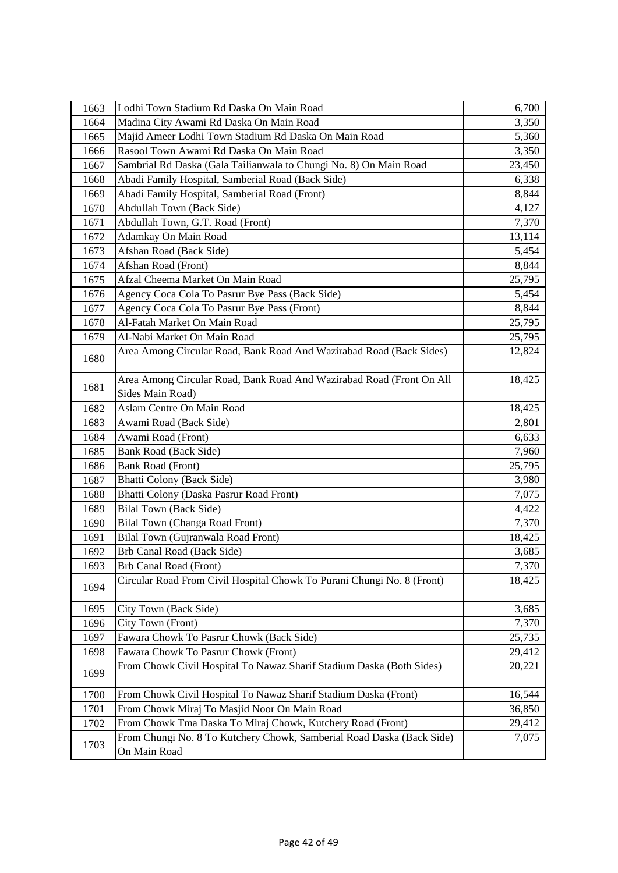| 1663 | Lodhi Town Stadium Rd Daska On Main Road                                                 | 6,700  |
|------|------------------------------------------------------------------------------------------|--------|
| 1664 | Madina City Awami Rd Daska On Main Road                                                  | 3,350  |
| 1665 | Majid Ameer Lodhi Town Stadium Rd Daska On Main Road                                     | 5,360  |
| 1666 | Rasool Town Awami Rd Daska On Main Road                                                  | 3,350  |
| 1667 | Sambrial Rd Daska (Gala Tailianwala to Chungi No. 8) On Main Road                        | 23,450 |
| 1668 | Abadi Family Hospital, Samberial Road (Back Side)                                        | 6,338  |
| 1669 | Abadi Family Hospital, Samberial Road (Front)                                            | 8,844  |
| 1670 | Abdullah Town (Back Side)                                                                | 4,127  |
| 1671 | Abdullah Town, G.T. Road (Front)                                                         | 7,370  |
| 1672 | Adamkay On Main Road                                                                     | 13,114 |
| 1673 | Afshan Road (Back Side)                                                                  | 5,454  |
| 1674 | Afshan Road (Front)                                                                      | 8,844  |
| 1675 | Afzal Cheema Market On Main Road                                                         | 25,795 |
| 1676 | Agency Coca Cola To Pasrur Bye Pass (Back Side)                                          | 5,454  |
| 1677 | Agency Coca Cola To Pasrur Bye Pass (Front)                                              | 8,844  |
| 1678 | Al-Fatah Market On Main Road                                                             | 25,795 |
| 1679 | Al-Nabi Market On Main Road                                                              | 25,795 |
| 1680 | Area Among Circular Road, Bank Road And Wazirabad Road (Back Sides)                      | 12,824 |
| 1681 | Area Among Circular Road, Bank Road And Wazirabad Road (Front On All<br>Sides Main Road) | 18,425 |
| 1682 | Aslam Centre On Main Road                                                                | 18,425 |
| 1683 | Awami Road (Back Side)                                                                   | 2,801  |
| 1684 | Awami Road (Front)                                                                       | 6,633  |
| 1685 | Bank Road (Back Side)                                                                    | 7,960  |
| 1686 | <b>Bank Road (Front)</b>                                                                 | 25,795 |
| 1687 | Bhatti Colony (Back Side)                                                                | 3,980  |
| 1688 | Bhatti Colony (Daska Pasrur Road Front)                                                  | 7,075  |
| 1689 | <b>Bilal Town (Back Side)</b>                                                            | 4,422  |
| 1690 | Bilal Town (Changa Road Front)                                                           | 7,370  |
| 1691 | Bilal Town (Gujranwala Road Front)                                                       | 18,425 |
| 1692 | Brb Canal Road (Back Side)                                                               | 3,685  |
| 1693 | Brb Canal Road (Front)                                                                   | 7,370  |
| 1694 | Circular Road From Civil Hospital Chowk To Purani Chungi No. 8 (Front)                   | 18,425 |
| 1695 | City Town (Back Side)                                                                    | 3,685  |
| 1696 | City Town (Front)                                                                        | 7,370  |
| 1697 | Fawara Chowk To Pasrur Chowk (Back Side)                                                 | 25,735 |
| 1698 | Fawara Chowk To Pasrur Chowk (Front)                                                     | 29,412 |
| 1699 | From Chowk Civil Hospital To Nawaz Sharif Stadium Daska (Both Sides)                     | 20,221 |
| 1700 | From Chowk Civil Hospital To Nawaz Sharif Stadium Daska (Front)                          | 16,544 |
| 1701 | From Chowk Miraj To Masjid Noor On Main Road                                             | 36,850 |
| 1702 | From Chowk Tma Daska To Miraj Chowk, Kutchery Road (Front)                               | 29,412 |
| 1703 | From Chungi No. 8 To Kutchery Chowk, Samberial Road Daska (Back Side)<br>On Main Road    | 7,075  |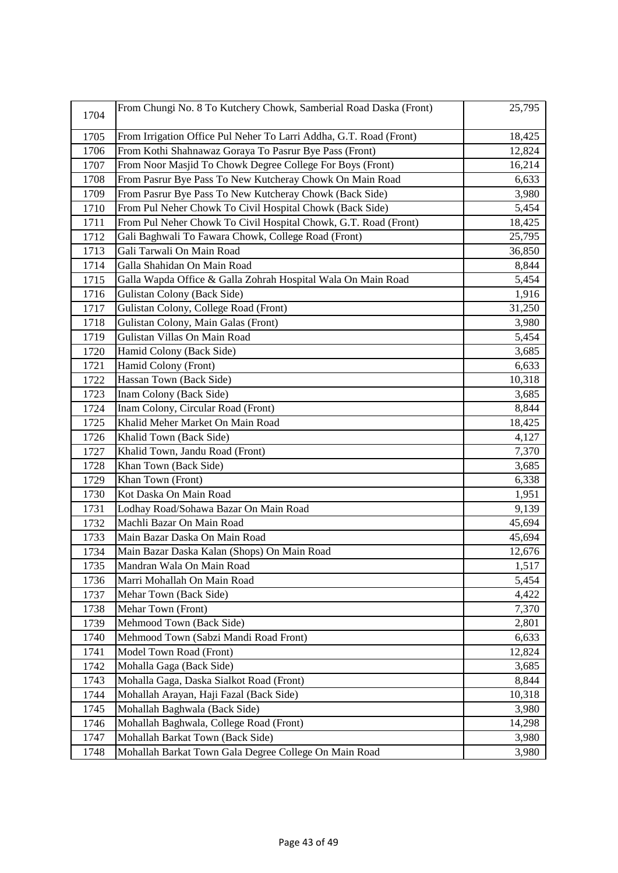| 1704 | From Chungi No. 8 To Kutchery Chowk, Samberial Road Daska (Front)  | 25,795 |
|------|--------------------------------------------------------------------|--------|
| 1705 | From Irrigation Office Pul Neher To Larri Addha, G.T. Road (Front) | 18,425 |
| 1706 | From Kothi Shahnawaz Goraya To Pasrur Bye Pass (Front)             | 12,824 |
| 1707 | From Noor Masjid To Chowk Degree College For Boys (Front)          | 16,214 |
| 1708 | From Pasrur Bye Pass To New Kutcheray Chowk On Main Road           | 6,633  |
| 1709 | From Pasrur Bye Pass To New Kutcheray Chowk (Back Side)            | 3,980  |
| 1710 | From Pul Neher Chowk To Civil Hospital Chowk (Back Side)           | 5,454  |
| 1711 | From Pul Neher Chowk To Civil Hospital Chowk, G.T. Road (Front)    | 18,425 |
| 1712 | Gali Baghwali To Fawara Chowk, College Road (Front)                | 25,795 |
| 1713 | Gali Tarwali On Main Road                                          | 36,850 |
| 1714 | Galla Shahidan On Main Road                                        | 8,844  |
| 1715 | Galla Wapda Office & Galla Zohrah Hospital Wala On Main Road       | 5,454  |
| 1716 | Gulistan Colony (Back Side)                                        | 1,916  |
| 1717 | Gulistan Colony, College Road (Front)                              | 31,250 |
| 1718 | Gulistan Colony, Main Galas (Front)                                | 3,980  |
| 1719 | Gulistan Villas On Main Road                                       | 5,454  |
| 1720 | Hamid Colony (Back Side)                                           | 3,685  |
| 1721 | Hamid Colony (Front)                                               | 6,633  |
| 1722 | Hassan Town (Back Side)                                            | 10,318 |
| 1723 | Inam Colony (Back Side)                                            | 3,685  |
| 1724 | Inam Colony, Circular Road (Front)                                 | 8,844  |
| 1725 | Khalid Meher Market On Main Road                                   | 18,425 |
| 1726 | Khalid Town (Back Side)                                            | 4,127  |
| 1727 | Khalid Town, Jandu Road (Front)                                    | 7,370  |
| 1728 | Khan Town (Back Side)                                              | 3,685  |
| 1729 | Khan Town (Front)                                                  | 6,338  |
| 1730 | Kot Daska On Main Road                                             | 1,951  |
| 1731 | Lodhay Road/Sohawa Bazar On Main Road                              | 9,139  |
| 1732 | Machli Bazar On Main Road                                          | 45,694 |
| 1733 | Main Bazar Daska On Main Road                                      | 45,694 |
| 1734 | Main Bazar Daska Kalan (Shops) On Main Road                        | 12,676 |
| 1735 | Mandran Wala On Main Road                                          | 1,517  |
| 1736 | Marri Mohallah On Main Road                                        | 5,454  |
| 1737 | Mehar Town (Back Side)                                             | 4,422  |
| 1738 | Mehar Town (Front)                                                 | 7,370  |
| 1739 | Mehmood Town (Back Side)                                           | 2,801  |
| 1740 | Mehmood Town (Sabzi Mandi Road Front)                              | 6,633  |
| 1741 | Model Town Road (Front)                                            | 12,824 |
| 1742 | Mohalla Gaga (Back Side)                                           | 3,685  |
| 1743 | Mohalla Gaga, Daska Sialkot Road (Front)                           | 8,844  |
| 1744 | Mohallah Arayan, Haji Fazal (Back Side)                            | 10,318 |
| 1745 | Mohallah Baghwala (Back Side)                                      | 3,980  |
| 1746 | Mohallah Baghwala, College Road (Front)                            | 14,298 |
| 1747 | Mohallah Barkat Town (Back Side)                                   | 3,980  |
| 1748 | Mohallah Barkat Town Gala Degree College On Main Road              | 3,980  |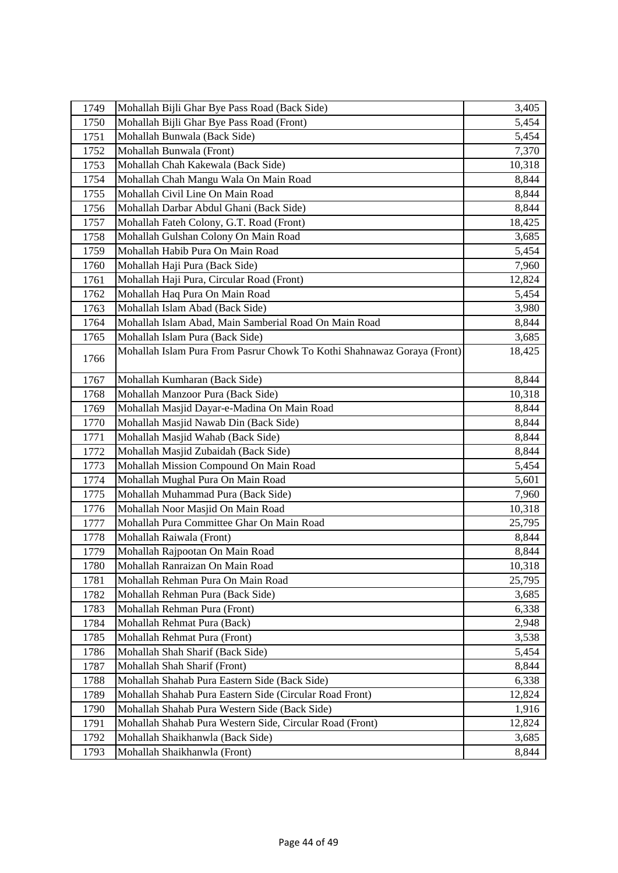| 1749 | Mohallah Bijli Ghar Bye Pass Road (Back Side)                           | 3,405  |
|------|-------------------------------------------------------------------------|--------|
| 1750 | Mohallah Bijli Ghar Bye Pass Road (Front)                               | 5,454  |
| 1751 | Mohallah Bunwala (Back Side)                                            | 5,454  |
| 1752 | Mohallah Bunwala (Front)                                                | 7,370  |
| 1753 | Mohallah Chah Kakewala (Back Side)                                      | 10,318 |
| 1754 | Mohallah Chah Mangu Wala On Main Road                                   | 8,844  |
| 1755 | Mohallah Civil Line On Main Road                                        | 8,844  |
| 1756 | Mohallah Darbar Abdul Ghani (Back Side)                                 | 8,844  |
| 1757 | Mohallah Fateh Colony, G.T. Road (Front)                                | 18,425 |
| 1758 | Mohallah Gulshan Colony On Main Road                                    | 3,685  |
| 1759 | Mohallah Habib Pura On Main Road                                        | 5,454  |
| 1760 | Mohallah Haji Pura (Back Side)                                          | 7,960  |
| 1761 | Mohallah Haji Pura, Circular Road (Front)                               | 12,824 |
| 1762 | Mohallah Haq Pura On Main Road                                          | 5,454  |
| 1763 | Mohallah Islam Abad (Back Side)                                         | 3,980  |
| 1764 | Mohallah Islam Abad, Main Samberial Road On Main Road                   | 8,844  |
| 1765 | Mohallah Islam Pura (Back Side)                                         | 3,685  |
|      | Mohallah Islam Pura From Pasrur Chowk To Kothi Shahnawaz Goraya (Front) | 18,425 |
| 1766 |                                                                         |        |
| 1767 | Mohallah Kumharan (Back Side)                                           | 8,844  |
| 1768 | Mohallah Manzoor Pura (Back Side)                                       | 10,318 |
| 1769 | Mohallah Masjid Dayar-e-Madina On Main Road                             | 8,844  |
| 1770 | Mohallah Masjid Nawab Din (Back Side)                                   | 8,844  |
| 1771 | Mohallah Masjid Wahab (Back Side)                                       | 8,844  |
| 1772 | Mohallah Masjid Zubaidah (Back Side)                                    | 8,844  |
| 1773 | Mohallah Mission Compound On Main Road                                  | 5,454  |
| 1774 | Mohallah Mughal Pura On Main Road                                       | 5,601  |
| 1775 | Mohallah Muhammad Pura (Back Side)                                      | 7,960  |
| 1776 | Mohallah Noor Masjid On Main Road                                       | 10,318 |
| 1777 | Mohallah Pura Committee Ghar On Main Road                               | 25,795 |
| 1778 | Mohallah Raiwala (Front)                                                | 8,844  |
| 1779 | Mohallah Rajpootan On Main Road                                         | 8,844  |
| 1780 | Mohallah Ranraizan On Main Road                                         | 10,318 |
| 1781 | Mohallah Rehman Pura On Main Road                                       | 25,795 |
| 1782 | Mohallah Rehman Pura (Back Side)                                        | 3,685  |
| 1783 | Mohallah Rehman Pura (Front)                                            | 6,338  |
| 1784 | Mohallah Rehmat Pura (Back)                                             | 2,948  |
| 1785 | Mohallah Rehmat Pura (Front)                                            | 3,538  |
| 1786 | Mohallah Shah Sharif (Back Side)                                        | 5,454  |
| 1787 | Mohallah Shah Sharif (Front)                                            | 8,844  |
| 1788 | Mohallah Shahab Pura Eastern Side (Back Side)                           | 6,338  |
| 1789 | Mohallah Shahab Pura Eastern Side (Circular Road Front)                 | 12,824 |
| 1790 | Mohallah Shahab Pura Western Side (Back Side)                           | 1,916  |
| 1791 | Mohallah Shahab Pura Western Side, Circular Road (Front)                | 12,824 |
| 1792 | Mohallah Shaikhanwla (Back Side)                                        | 3,685  |
| 1793 | Mohallah Shaikhanwla (Front)                                            | 8,844  |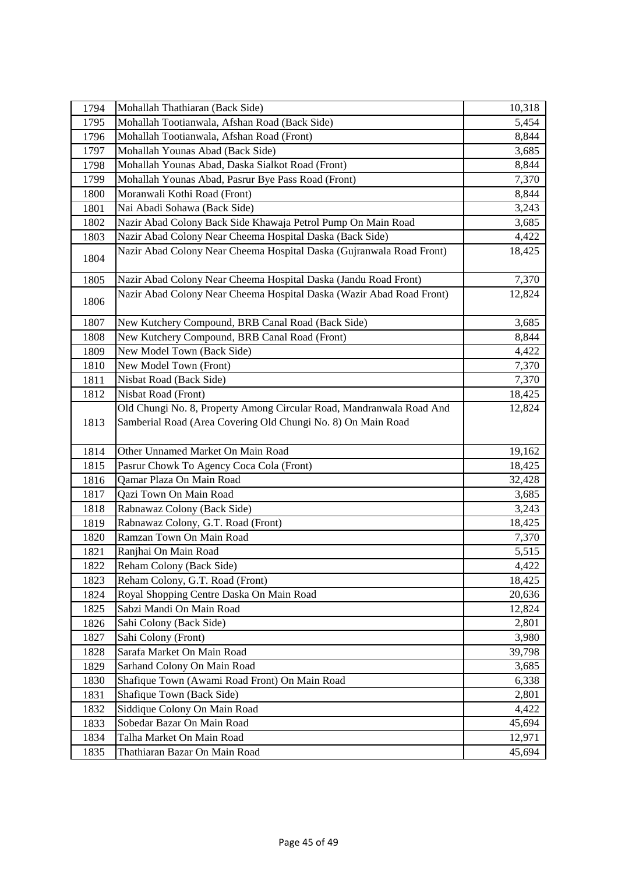| 1794         | Mohallah Thathiaran (Back Side)                                                                                                      | 10,318          |
|--------------|--------------------------------------------------------------------------------------------------------------------------------------|-----------------|
| 1795         | Mohallah Tootianwala, Afshan Road (Back Side)                                                                                        | 5,454           |
| 1796         | Mohallah Tootianwala, Afshan Road (Front)                                                                                            | 8,844           |
| 1797         | Mohallah Younas Abad (Back Side)                                                                                                     | 3,685           |
| 1798         | Mohallah Younas Abad, Daska Sialkot Road (Front)                                                                                     | 8,844           |
| 1799         | Mohallah Younas Abad, Pasrur Bye Pass Road (Front)                                                                                   | 7,370           |
| 1800         | Moranwali Kothi Road (Front)                                                                                                         | 8,844           |
| 1801         | Nai Abadi Sohawa (Back Side)                                                                                                         | 3,243           |
| 1802         | Nazir Abad Colony Back Side Khawaja Petrol Pump On Main Road                                                                         | 3,685           |
| 1803         | Nazir Abad Colony Near Cheema Hospital Daska (Back Side)                                                                             | 4,422           |
| 1804         | Nazir Abad Colony Near Cheema Hospital Daska (Gujranwala Road Front)                                                                 | 18,425          |
| 1805         | Nazir Abad Colony Near Cheema Hospital Daska (Jandu Road Front)                                                                      | 7,370           |
| 1806         | Nazir Abad Colony Near Cheema Hospital Daska (Wazir Abad Road Front)                                                                 | 12,824          |
| 1807         | New Kutchery Compound, BRB Canal Road (Back Side)                                                                                    | 3,685           |
| 1808         | New Kutchery Compound, BRB Canal Road (Front)                                                                                        | 8,844           |
| 1809         | New Model Town (Back Side)                                                                                                           | 4,422           |
| 1810         | New Model Town (Front)                                                                                                               | 7,370           |
| 1811         | Nisbat Road (Back Side)                                                                                                              | 7,370           |
| 1812         | Nisbat Road (Front)                                                                                                                  | 18,425          |
| 1813         | Old Chungi No. 8, Property Among Circular Road, Mandranwala Road And<br>Samberial Road (Area Covering Old Chungi No. 8) On Main Road | 12,824          |
| 1814         | Other Unnamed Market On Main Road                                                                                                    | 19,162          |
| 1815         | Pasrur Chowk To Agency Coca Cola (Front)                                                                                             |                 |
|              |                                                                                                                                      |                 |
|              | Qamar Plaza On Main Road                                                                                                             | 18,425          |
| 1816         |                                                                                                                                      | 32,428<br>3,685 |
| 1817<br>1818 | Qazi Town On Main Road                                                                                                               |                 |
| 1819         | Rabnawaz Colony (Back Side)                                                                                                          | 3,243           |
| 1820         | Rabnawaz Colony, G.T. Road (Front)<br>Ramzan Town On Main Road                                                                       | 18,425<br>7,370 |
| 1821         | Ranjhai On Main Road                                                                                                                 | 5,515           |
| 1822         | Reham Colony (Back Side)                                                                                                             | 4,422           |
| 1823         | Reham Colony, G.T. Road (Front)                                                                                                      | 18,425          |
| 1824         | Royal Shopping Centre Daska On Main Road                                                                                             | 20,636          |
| 1825         | Sabzi Mandi On Main Road                                                                                                             | 12,824          |
| 1826         | Sahi Colony (Back Side)                                                                                                              | 2,801           |
| 1827         | Sahi Colony (Front)                                                                                                                  | 3,980           |
| 1828         | Sarafa Market On Main Road                                                                                                           | 39,798          |
| 1829         | Sarhand Colony On Main Road                                                                                                          | 3,685           |
| 1830         | Shafique Town (Awami Road Front) On Main Road                                                                                        | 6,338           |
| 1831         | Shafique Town (Back Side)                                                                                                            | 2,801           |
| 1832         | Siddique Colony On Main Road                                                                                                         | 4,422           |
| 1833         | Sobedar Bazar On Main Road                                                                                                           | 45,694          |
| 1834         | Talha Market On Main Road                                                                                                            | 12,971          |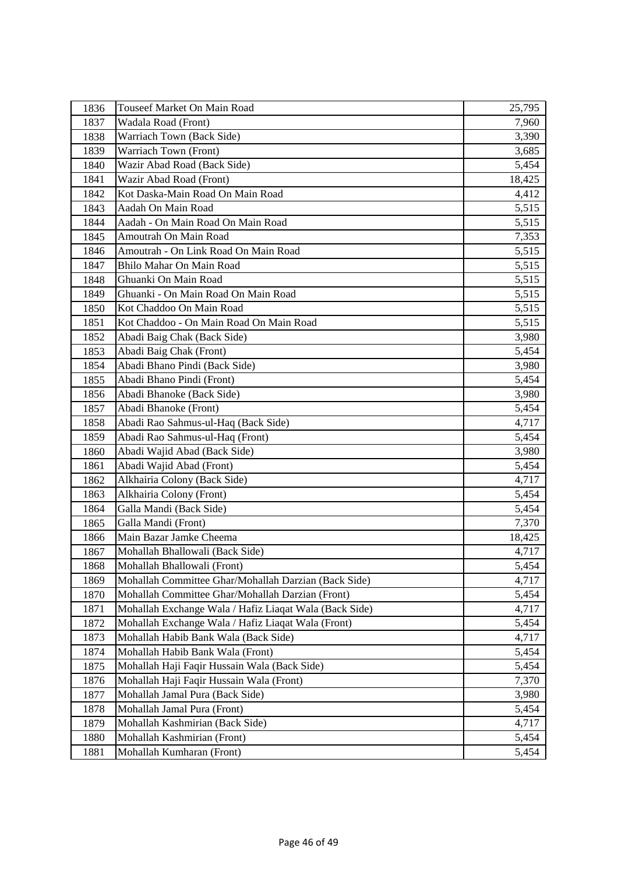| 1836 | Touseef Market On Main Road                            | 25,795 |
|------|--------------------------------------------------------|--------|
| 1837 | Wadala Road (Front)                                    | 7,960  |
| 1838 | Warriach Town (Back Side)                              | 3,390  |
| 1839 | Warriach Town (Front)                                  | 3,685  |
| 1840 | Wazir Abad Road (Back Side)                            | 5,454  |
| 1841 | Wazir Abad Road (Front)                                | 18,425 |
| 1842 | Kot Daska-Main Road On Main Road                       | 4,412  |
| 1843 | Aadah On Main Road                                     | 5,515  |
| 1844 | Aadah - On Main Road On Main Road                      | 5,515  |
| 1845 | Amoutrah On Main Road                                  | 7,353  |
| 1846 | Amoutrah - On Link Road On Main Road                   | 5,515  |
| 1847 | Bhilo Mahar On Main Road                               | 5,515  |
| 1848 | Ghuanki On Main Road                                   | 5,515  |
| 1849 | Ghuanki - On Main Road On Main Road                    | 5,515  |
| 1850 | Kot Chaddoo On Main Road                               | 5,515  |
| 1851 | Kot Chaddoo - On Main Road On Main Road                | 5,515  |
| 1852 | Abadi Baig Chak (Back Side)                            | 3,980  |
| 1853 | Abadi Baig Chak (Front)                                | 5,454  |
| 1854 | Abadi Bhano Pindi (Back Side)                          | 3,980  |
| 1855 | Abadi Bhano Pindi (Front)                              | 5,454  |
| 1856 | Abadi Bhanoke (Back Side)                              | 3,980  |
| 1857 | Abadi Bhanoke (Front)                                  | 5,454  |
| 1858 | Abadi Rao Sahmus-ul-Haq (Back Side)                    | 4,717  |
| 1859 | Abadi Rao Sahmus-ul-Haq (Front)                        | 5,454  |
| 1860 | Abadi Wajid Abad (Back Side)                           | 3,980  |
| 1861 | Abadi Wajid Abad (Front)                               | 5,454  |
| 1862 | Alkhairia Colony (Back Side)                           | 4,717  |
| 1863 | Alkhairia Colony (Front)                               | 5,454  |
| 1864 | Galla Mandi (Back Side)                                | 5,454  |
| 1865 | Galla Mandi (Front)                                    | 7,370  |
| 1866 | Main Bazar Jamke Cheema                                | 18,425 |
| 1867 | Mohallah Bhallowali (Back Side)                        | 4,717  |
| 1868 | Mohallah Bhallowali (Front)                            | 5,454  |
| 1869 | Mohallah Committee Ghar/Mohallah Darzian (Back Side)   | 4,717  |
| 1870 | Mohallah Committee Ghar/Mohallah Darzian (Front)       | 5,454  |
| 1871 | Mohallah Exchange Wala / Hafiz Liaqat Wala (Back Side) | 4,717  |
| 1872 | Mohallah Exchange Wala / Hafiz Liaqat Wala (Front)     | 5,454  |
| 1873 | Mohallah Habib Bank Wala (Back Side)                   | 4,717  |
| 1874 | Mohallah Habib Bank Wala (Front)                       | 5,454  |
| 1875 | Mohallah Haji Faqir Hussain Wala (Back Side)           | 5,454  |
| 1876 | Mohallah Haji Faqir Hussain Wala (Front)               | 7,370  |
| 1877 | Mohallah Jamal Pura (Back Side)                        | 3,980  |
| 1878 | Mohallah Jamal Pura (Front)                            | 5,454  |
| 1879 | Mohallah Kashmirian (Back Side)                        | 4,717  |
| 1880 | Mohallah Kashmirian (Front)                            | 5,454  |
| 1881 | Mohallah Kumharan (Front)                              | 5,454  |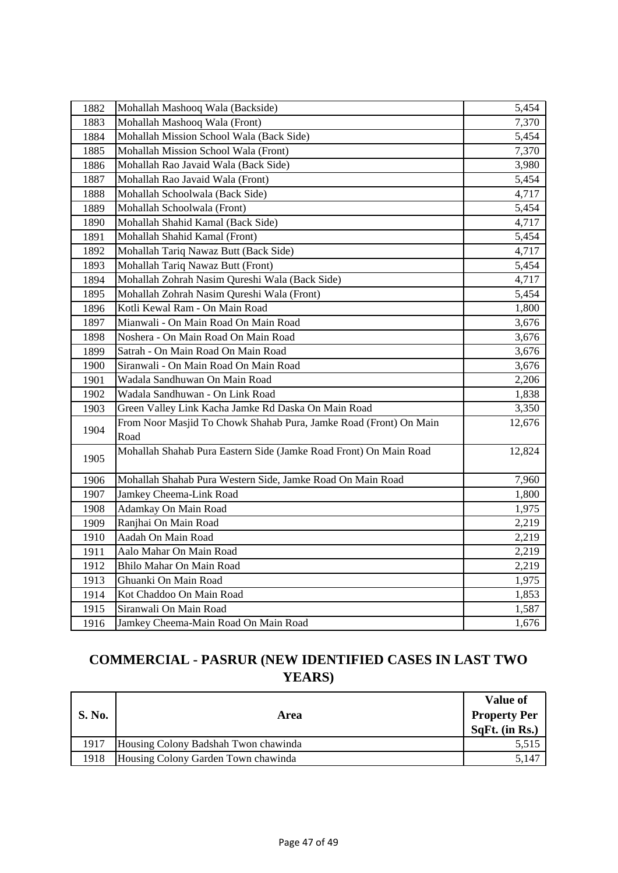| 1882 | Mohallah Mashooq Wala (Backside)                                          | 5,454  |
|------|---------------------------------------------------------------------------|--------|
| 1883 | Mohallah Mashooq Wala (Front)                                             | 7,370  |
| 1884 | Mohallah Mission School Wala (Back Side)                                  | 5,454  |
| 1885 | Mohallah Mission School Wala (Front)                                      | 7,370  |
| 1886 | Mohallah Rao Javaid Wala (Back Side)                                      | 3,980  |
| 1887 | Mohallah Rao Javaid Wala (Front)                                          | 5,454  |
| 1888 | Mohallah Schoolwala (Back Side)                                           | 4,717  |
| 1889 | Mohallah Schoolwala (Front)                                               | 5,454  |
| 1890 | Mohallah Shahid Kamal (Back Side)                                         | 4,717  |
| 1891 | Mohallah Shahid Kamal (Front)                                             | 5,454  |
| 1892 | Mohallah Tariq Nawaz Butt (Back Side)                                     | 4,717  |
| 1893 | Mohallah Tariq Nawaz Butt (Front)                                         | 5,454  |
| 1894 | Mohallah Zohrah Nasim Qureshi Wala (Back Side)                            | 4,717  |
| 1895 | Mohallah Zohrah Nasim Qureshi Wala (Front)                                | 5,454  |
| 1896 | Kotli Kewal Ram - On Main Road                                            | 1,800  |
| 1897 | Mianwali - On Main Road On Main Road                                      | 3,676  |
| 1898 | Noshera - On Main Road On Main Road                                       | 3,676  |
| 1899 | Satrah - On Main Road On Main Road                                        | 3,676  |
| 1900 | Siranwali - On Main Road On Main Road                                     | 3,676  |
| 1901 | Wadala Sandhuwan On Main Road                                             | 2,206  |
| 1902 | Wadala Sandhuwan - On Link Road                                           | 1,838  |
| 1903 | Green Valley Link Kacha Jamke Rd Daska On Main Road                       | 3,350  |
| 1904 | From Noor Masjid To Chowk Shahab Pura, Jamke Road (Front) On Main<br>Road | 12,676 |
| 1905 | Mohallah Shahab Pura Eastern Side (Jamke Road Front) On Main Road         | 12,824 |
| 1906 | Mohallah Shahab Pura Western Side, Jamke Road On Main Road                | 7,960  |
| 1907 | Jamkey Cheema-Link Road                                                   | 1,800  |
| 1908 | Adamkay On Main Road                                                      | 1,975  |
| 1909 | Ranjhai On Main Road                                                      | 2,219  |
| 1910 | Aadah On Main Road                                                        | 2,219  |
| 1911 | Aalo Mahar On Main Road                                                   | 2,219  |
| 1912 | Bhilo Mahar On Main Road                                                  | 2,219  |
| 1913 | Ghuanki On Main Road                                                      | 1,975  |
| 1914 | Kot Chaddoo On Main Road                                                  | 1,853  |
| 1915 | Siranwali On Main Road                                                    | 1,587  |
| 1916 | Jamkey Cheema-Main Road On Main Road                                      | 1,676  |

# **COMMERCIAL - PASRUR (NEW IDENTIFIED CASES IN LAST TWO YEARS)**

| <b>S. No.</b> | Area                                 | <b>Value of</b><br><b>Property Per</b><br>SqFt. (in Rs.) |
|---------------|--------------------------------------|----------------------------------------------------------|
| 1917          | Housing Colony Badshah Twon chawinda | 5,515                                                    |
| 1918          | Housing Colony Garden Town chawinda  | 5,147                                                    |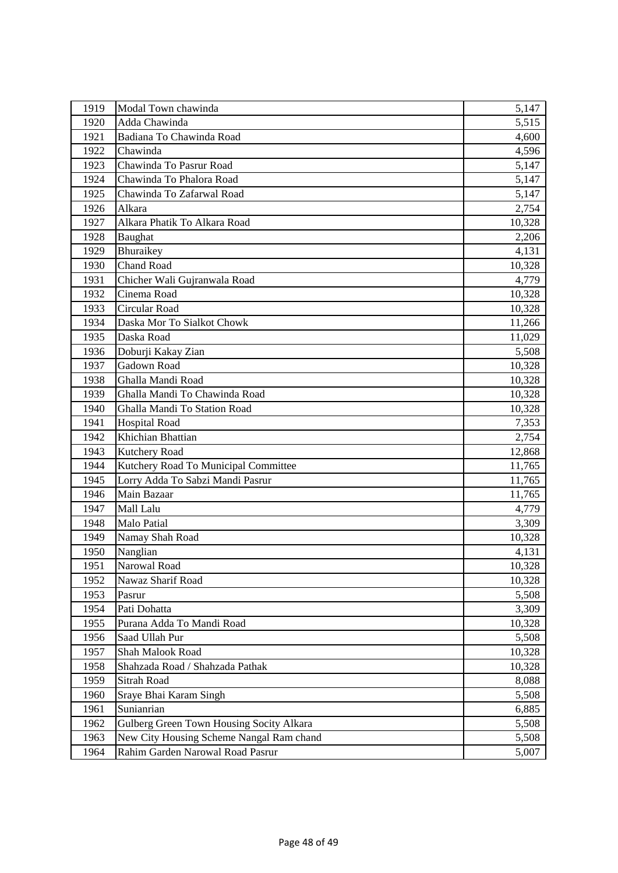| 1919 | Modal Town chawinda                      | 5,147  |
|------|------------------------------------------|--------|
| 1920 | Adda Chawinda                            | 5,515  |
| 1921 | Badiana To Chawinda Road                 | 4,600  |
| 1922 | Chawinda                                 | 4,596  |
| 1923 | Chawinda To Pasrur Road                  | 5,147  |
| 1924 | Chawinda To Phalora Road                 | 5,147  |
| 1925 | Chawinda To Zafarwal Road                | 5,147  |
| 1926 | Alkara                                   | 2,754  |
| 1927 | Alkara Phatik To Alkara Road             | 10,328 |
| 1928 | Baughat                                  | 2,206  |
| 1929 | Bhuraikey                                | 4,131  |
| 1930 | Chand Road                               | 10,328 |
| 1931 | Chicher Wali Gujranwala Road             | 4,779  |
| 1932 | Cinema Road                              | 10,328 |
| 1933 | Circular Road                            | 10,328 |
| 1934 | Daska Mor To Sialkot Chowk               | 11,266 |
| 1935 | Daska Road                               | 11,029 |
| 1936 | Doburji Kakay Zian                       | 5,508  |
| 1937 | Gadown Road                              | 10,328 |
| 1938 | Ghalla Mandi Road                        | 10,328 |
| 1939 | Ghalla Mandi To Chawinda Road            | 10,328 |
| 1940 | Ghalla Mandi To Station Road             | 10,328 |
| 1941 | <b>Hospital Road</b>                     | 7,353  |
| 1942 | Khichian Bhattian                        | 2,754  |
| 1943 | Kutchery Road                            | 12,868 |
| 1944 | Kutchery Road To Municipal Committee     | 11,765 |
| 1945 | Lorry Adda To Sabzi Mandi Pasrur         | 11,765 |
| 1946 | Main Bazaar                              | 11,765 |
| 1947 | Mall Lalu                                | 4,779  |
| 1948 | Malo Patial                              | 3,309  |
| 1949 | Namay Shah Road                          | 10,328 |
| 1950 | Nanglian                                 | 4,131  |
| 1951 | Narowal Road                             | 10,328 |
| 1952 | Nawaz Sharif Road                        | 10,328 |
| 1953 | Pasrur                                   | 5,508  |
| 1954 | Pati Dohatta                             | 3,309  |
| 1955 | Purana Adda To Mandi Road                | 10,328 |
| 1956 | Saad Ullah Pur                           | 5,508  |
| 1957 | Shah Malook Road                         | 10,328 |
| 1958 | Shahzada Road / Shahzada Pathak          | 10,328 |
| 1959 | <b>Sitrah Road</b>                       | 8,088  |
| 1960 | Sraye Bhai Karam Singh                   | 5,508  |
| 1961 | Sunianrian                               | 6,885  |
| 1962 | Gulberg Green Town Housing Socity Alkara | 5,508  |
| 1963 | New City Housing Scheme Nangal Ram chand | 5,508  |
| 1964 | Rahim Garden Narowal Road Pasrur         | 5,007  |